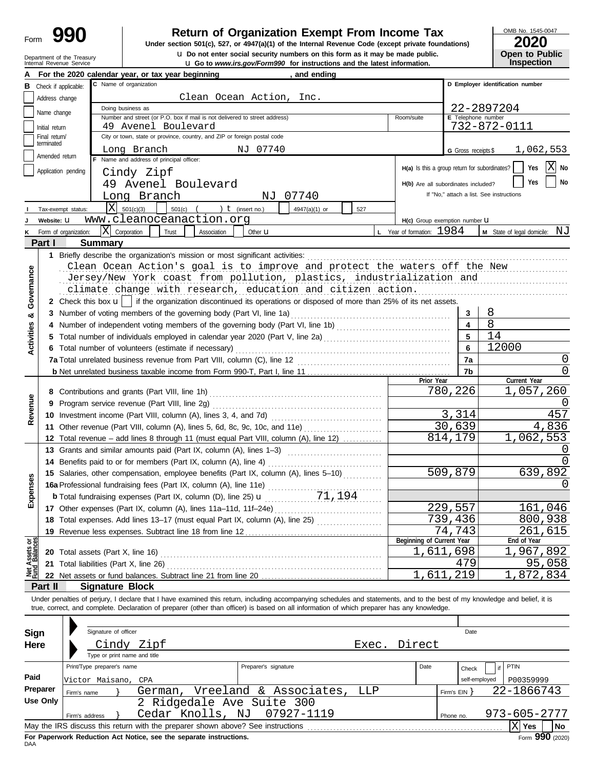| Form |  |
|------|--|
|------|--|

## **Return of Organization Exempt From Income Tax**

**u** Go to *www.irs.gov/Form990* for instructions and the latest information. **u** Do not enter social security numbers on this form as it may be made public. **Under section 501(c), 527, or 4947(a)(1) of the Internal Revenue Code (except private foundations)** OMB No. 1545-0047

|  | LULU                  |
|--|-----------------------|
|  | <b>Open to Public</b> |
|  | <b>Inspection</b>     |

|                                |                                                                   | Department of the Treasury<br>Internal Revenue Service |                            |                                                                                                 |                                         |                                  | U Do not enter social security numbers on this form as it may be made public.<br><b>u</b> Go to www.irs.gov/Form990 for instructions and the latest information.           |        |                                     |                           | Open to Public<br><b>Inspection</b>                    |                  |
|--------------------------------|-------------------------------------------------------------------|--------------------------------------------------------|----------------------------|-------------------------------------------------------------------------------------------------|-----------------------------------------|----------------------------------|----------------------------------------------------------------------------------------------------------------------------------------------------------------------------|--------|-------------------------------------|---------------------------|--------------------------------------------------------|------------------|
|                                | For the 2020 calendar year, or tax year beginning<br>, and ending |                                                        |                            |                                                                                                 |                                         |                                  |                                                                                                                                                                            |        |                                     |                           |                                                        |                  |
| в                              | Check if applicable:                                              |                                                        |                            | C Name of organization                                                                          |                                         | D Employer identification number |                                                                                                                                                                            |        |                                     |                           |                                                        |                  |
|                                | Address change                                                    |                                                        |                            | Clean Ocean Action, Inc.                                                                        |                                         |                                  |                                                                                                                                                                            |        |                                     |                           |                                                        |                  |
|                                | Name change                                                       |                                                        |                            | Doing business as                                                                               |                                         |                                  | 22-2897204                                                                                                                                                                 |        |                                     |                           |                                                        |                  |
|                                |                                                                   |                                                        |                            | Number and street (or P.O. box if mail is not delivered to street address)                      |                                         |                                  |                                                                                                                                                                            |        | Room/suite                          | <b>E</b> Telephone number |                                                        |                  |
|                                | Initial return<br>Final return/                                   |                                                        |                            | 49 Avenel Boulevard<br>City or town, state or province, country, and ZIP or foreign postal code |                                         |                                  |                                                                                                                                                                            |        |                                     |                           | 732-872-0111                                           |                  |
|                                | terminated                                                        |                                                        |                            |                                                                                                 |                                         | NJ 07740                         |                                                                                                                                                                            |        |                                     |                           |                                                        |                  |
|                                | Amended return                                                    |                                                        |                            | Long Branch<br>Name and address of principal officer:                                           |                                         |                                  |                                                                                                                                                                            |        |                                     | G Gross receipts \$       | 1,062,553                                              |                  |
|                                |                                                                   | Application pending                                    |                            | Cindy Zipf                                                                                      |                                         |                                  |                                                                                                                                                                            |        |                                     |                           | $H(a)$ is this a group return for subordinates?<br>Yes | X<br>No          |
|                                |                                                                   |                                                        |                            | 49 Avenel Boulevard                                                                             |                                         |                                  |                                                                                                                                                                            |        | H(b) Are all subordinates included? |                           | Yes                                                    | No               |
|                                |                                                                   |                                                        |                            | Long Branch                                                                                     |                                         | NJ                               | 07740                                                                                                                                                                      |        |                                     |                           | If "No," attach a list. See instructions               |                  |
|                                |                                                                   | Tax-exempt status:                                     | $ {\bf X} $                | 501(c)(3)                                                                                       | 501(c) $($ $)$ $($ $)$ $($ (insert no.) |                                  | 4947(a)(1) or<br>527                                                                                                                                                       |        |                                     |                           |                                                        |                  |
|                                | Website: U                                                        |                                                        |                            | www.cleanoceanaction.org                                                                        |                                         |                                  |                                                                                                                                                                            |        | H(c) Group exemption number LI      |                           |                                                        |                  |
|                                |                                                                   | Form of organization:                                  | $ \mathbf{X} $ Corporation | Trust                                                                                           | Association                             | Other <b>u</b>                   |                                                                                                                                                                            |        | L Year of formation: 1984           |                           | M State of legal domicile: NJ                          |                  |
|                                | Part I                                                            |                                                        | <b>Summary</b>             |                                                                                                 |                                         |                                  |                                                                                                                                                                            |        |                                     |                           |                                                        |                  |
|                                |                                                                   |                                                        |                            | 1 Briefly describe the organization's mission or most significant activities:                   |                                         |                                  |                                                                                                                                                                            |        |                                     |                           |                                                        |                  |
|                                |                                                                   |                                                        |                            |                                                                                                 |                                         |                                  | Clean Ocean Action's goal is to improve and protect the waters off the New                                                                                                 |        |                                     |                           |                                                        |                  |
| Governance                     |                                                                   |                                                        |                            |                                                                                                 |                                         |                                  | Jersey/New York coast from pollution, plastics, industrialization and                                                                                                      |        |                                     |                           |                                                        |                  |
|                                |                                                                   |                                                        |                            |                                                                                                 |                                         |                                  | climate change with research, education and citizen action.                                                                                                                |        |                                     |                           |                                                        |                  |
|                                |                                                                   |                                                        |                            |                                                                                                 |                                         |                                  | 2 Check this box $\mathbf{u}$   if the organization discontinued its operations or disposed of more than 25% of its net assets.                                            |        |                                     |                           |                                                        |                  |
| ಯ                              |                                                                   |                                                        |                            | 3 Number of voting members of the governing body (Part VI, line 1a)                             |                                         |                                  |                                                                                                                                                                            |        |                                     | 3                         | 8                                                      |                  |
|                                |                                                                   |                                                        |                            |                                                                                                 |                                         |                                  |                                                                                                                                                                            |        |                                     | 4                         | 8                                                      |                  |
| Activities                     |                                                                   |                                                        |                            |                                                                                                 |                                         |                                  |                                                                                                                                                                            |        |                                     | 5                         | 14                                                     |                  |
|                                |                                                                   |                                                        |                            | 6 Total number of volunteers (estimate if necessary)                                            |                                         |                                  |                                                                                                                                                                            |        |                                     | 6                         | 12000                                                  |                  |
|                                |                                                                   |                                                        |                            |                                                                                                 |                                         |                                  |                                                                                                                                                                            |        |                                     | 7a                        |                                                        | $\Omega$         |
|                                |                                                                   |                                                        |                            |                                                                                                 |                                         |                                  |                                                                                                                                                                            |        |                                     | 7b                        |                                                        | <sup>0</sup>     |
|                                |                                                                   |                                                        |                            |                                                                                                 |                                         |                                  |                                                                                                                                                                            |        | Prior Year                          |                           | Current Year                                           |                  |
|                                |                                                                   |                                                        |                            |                                                                                                 |                                         |                                  |                                                                                                                                                                            |        |                                     | 780,226                   | 1,057,260                                              |                  |
| Revenue                        | 9                                                                 |                                                        |                            | Program service revenue (Part VIII, line 2g)                                                    |                                         |                                  |                                                                                                                                                                            |        |                                     |                           |                                                        | $\left( \right)$ |
|                                |                                                                   |                                                        |                            |                                                                                                 |                                         |                                  |                                                                                                                                                                            |        |                                     | 3,314                     |                                                        | 457              |
|                                |                                                                   |                                                        |                            |                                                                                                 |                                         |                                  | 11 Other revenue (Part VIII, column (A), lines 5, 6d, 8c, 9c, 10c, and 11e)                                                                                                |        |                                     | 30,639                    |                                                        | 4,836            |
|                                | 12                                                                |                                                        |                            |                                                                                                 |                                         |                                  | Total revenue – add lines 8 through 11 (must equal Part VIII, column (A), line 12)                                                                                         |        |                                     | 814,179                   | 1,062,553                                              |                  |
|                                |                                                                   |                                                        |                            |                                                                                                 |                                         |                                  | 13 Grants and similar amounts paid (Part IX, column (A), lines 1-3)                                                                                                        |        |                                     |                           |                                                        | $\left( \right)$ |
|                                |                                                                   |                                                        |                            | 14 Benefits paid to or for members (Part IX, column (A), line 4)                                |                                         |                                  |                                                                                                                                                                            |        |                                     |                           |                                                        |                  |
|                                |                                                                   |                                                        |                            |                                                                                                 |                                         |                                  | 15 Salaries, other compensation, employee benefits (Part IX, column (A), lines 5-10)                                                                                       |        |                                     | 509,879                   | 639,892                                                |                  |
| nses                           |                                                                   |                                                        |                            | 16a Professional fundraising fees (Part IX, column (A), line 11e)                               |                                         |                                  |                                                                                                                                                                            |        |                                     |                           |                                                        | O                |
| Exper                          |                                                                   |                                                        |                            |                                                                                                 |                                         |                                  |                                                                                                                                                                            |        |                                     |                           |                                                        |                  |
|                                |                                                                   |                                                        |                            |                                                                                                 |                                         |                                  |                                                                                                                                                                            |        |                                     | 229,557                   | 161,046                                                |                  |
|                                |                                                                   |                                                        |                            |                                                                                                 |                                         |                                  | 18 Total expenses. Add lines 13-17 (must equal Part IX, column (A), line 25) [                                                                                             |        |                                     | 739,436                   | 800,938                                                |                  |
|                                | 19                                                                |                                                        |                            |                                                                                                 |                                         |                                  |                                                                                                                                                                            |        | Beginning of Current Year           | 74,743                    | 261,615<br>End of Year                                 |                  |
|                                |                                                                   |                                                        |                            |                                                                                                 |                                         |                                  |                                                                                                                                                                            |        |                                     | 1,611,698                 | 1,967,892                                              |                  |
|                                | 21                                                                |                                                        |                            | Total liabilities (Part X, line 26)                                                             |                                         |                                  |                                                                                                                                                                            |        |                                     | 479                       |                                                        | 95,058           |
| Net Assets or<br>Fund Balances |                                                                   |                                                        |                            |                                                                                                 |                                         |                                  |                                                                                                                                                                            |        |                                     | 1,611,219                 | 1,872,834                                              |                  |
|                                | Part II                                                           |                                                        | <b>Signature Block</b>     |                                                                                                 |                                         |                                  |                                                                                                                                                                            |        |                                     |                           |                                                        |                  |
|                                |                                                                   |                                                        |                            |                                                                                                 |                                         |                                  | Under penalties of perjury, I declare that I have examined this return, including accompanying schedules and statements, and to the best of my knowledge and belief, it is |        |                                     |                           |                                                        |                  |
|                                |                                                                   |                                                        |                            |                                                                                                 |                                         |                                  | true, correct, and complete. Declaration of preparer (other than officer) is based on all information of which preparer has any knowledge.                                 |        |                                     |                           |                                                        |                  |
|                                |                                                                   |                                                        |                            |                                                                                                 |                                         |                                  |                                                                                                                                                                            |        |                                     |                           |                                                        |                  |
| Sign                           |                                                                   |                                                        | Signature of officer       |                                                                                                 |                                         |                                  |                                                                                                                                                                            |        |                                     | Date                      |                                                        |                  |
| Here                           |                                                                   |                                                        | Cindy Zipf<br>Exec.        |                                                                                                 |                                         |                                  |                                                                                                                                                                            | Direct |                                     |                           |                                                        |                  |
|                                |                                                                   |                                                        |                            | Type or print name and title                                                                    |                                         |                                  |                                                                                                                                                                            |        |                                     |                           |                                                        |                  |
|                                |                                                                   |                                                        | Print/Type preparer's name |                                                                                                 |                                         | Preparer's signature             |                                                                                                                                                                            |        | Date                                | Check                     | PTIN                                                   |                  |
| Paid                           |                                                                   |                                                        | Victor Maisano,            | CPA                                                                                             |                                         |                                  |                                                                                                                                                                            |        |                                     |                           | self-employed<br>P00359999                             |                  |
|                                | Preparer                                                          | Firm's name                                            |                            | German,                                                                                         |                                         |                                  | Vreeland & Associates,                                                                                                                                                     | LLP    |                                     | Firm's $EIN$ }            | 22-1866743                                             |                  |
|                                | <b>Use Only</b>                                                   |                                                        |                            |                                                                                                 | 2 Ridgedale Ave Suite 300               |                                  |                                                                                                                                                                            |        |                                     |                           |                                                        |                  |
|                                |                                                                   | Firm's address                                         |                            | Cedar Knolls, NJ                                                                                |                                         |                                  | 07927-1119                                                                                                                                                                 |        |                                     | Phone no.                 | 973-605-2777                                           |                  |
|                                |                                                                   |                                                        |                            | May the IRS discuss this return with the preparer shown above? See instructions                 |                                         |                                  |                                                                                                                                                                            |        |                                     |                           | $ \mathrm{X} $ Yes                                     | <b>No</b>        |

| Sign                                                                       |                                                                                                        | Signature of officer       |  |                              |  |  |                                | Date  |        |  |               |  |            |  |
|----------------------------------------------------------------------------|--------------------------------------------------------------------------------------------------------|----------------------------|--|------------------------------|--|--|--------------------------------|-------|--------|--|---------------|--|------------|--|
| Here                                                                       |                                                                                                        |                            |  | Cindy Zipf                   |  |  |                                | Exec. | Direct |  |               |  |            |  |
|                                                                            |                                                                                                        |                            |  | Type or print name and title |  |  |                                |       |        |  |               |  |            |  |
|                                                                            |                                                                                                        | Print/Type preparer's name |  |                              |  |  | Preparer's signature           |       | Date   |  | Check         |  | PTIN       |  |
| Paid                                                                       |                                                                                                        | Victor Maisano, CPA        |  |                              |  |  |                                |       |        |  | self-employed |  | P00359999  |  |
| Preparer                                                                   | Firm's name                                                                                            |                            |  |                              |  |  | German, Vreeland & Associates, | LLP   |        |  | Firm's EIN Y  |  | 22-1866743 |  |
| Use Only                                                                   | 2 Ridgedale Ave Suite 300                                                                              |                            |  |                              |  |  |                                |       |        |  |               |  |            |  |
| Cedar Knolls, NJ 07927-1119<br>973-605-2777<br>Firm's address<br>Phone no. |                                                                                                        |                            |  |                              |  |  |                                |       |        |  |               |  |            |  |
|                                                                            | May the IRS discuss this return with the preparer shown above? See instructions<br>l No<br>ΙXΙ<br>Yes  |                            |  |                              |  |  |                                |       |        |  |               |  |            |  |
|                                                                            | $\overline{a}$ 000 $\overline{a}$<br>For Donoruork Reduction Act Notice, can the conorate instructions |                            |  |                              |  |  |                                |       |        |  |               |  |            |  |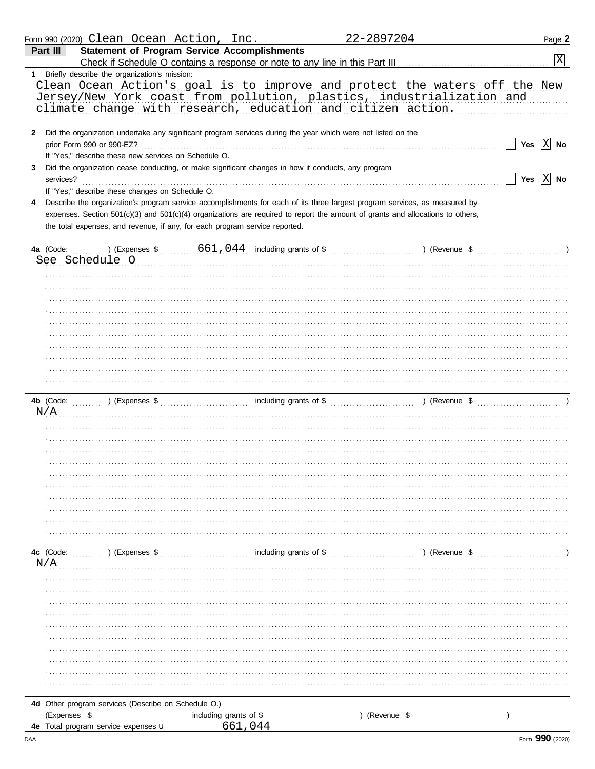|     | Form 990 (2020) Clean Ocean Action, Inc.                                                                                                                                                                                                                                                                                                    |                                   | 22-2897204                                                                                                                                                                                                                                                       |               | Page 2                |
|-----|---------------------------------------------------------------------------------------------------------------------------------------------------------------------------------------------------------------------------------------------------------------------------------------------------------------------------------------------|-----------------------------------|------------------------------------------------------------------------------------------------------------------------------------------------------------------------------------------------------------------------------------------------------------------|---------------|-----------------------|
|     | <b>Statement of Program Service Accomplishments</b><br>Part III                                                                                                                                                                                                                                                                             |                                   |                                                                                                                                                                                                                                                                  |               |                       |
|     |                                                                                                                                                                                                                                                                                                                                             |                                   |                                                                                                                                                                                                                                                                  |               | X                     |
|     | 1 Briefly describe the organization's mission:<br>Clean Ocean Action's goal is to improve and protect the waters off the New<br>Jersey/New York coast from pollution, plastics, industrialization and<br>climate change with research, education and citizen action.                                                                        |                                   |                                                                                                                                                                                                                                                                  |               |                       |
| 3   | 2 Did the organization undertake any significant program services during the year which were not listed on the<br>prior Form 990 or 990-EZ?<br>If "Yes," describe these new services on Schedule O.<br>Did the organization cease conducting, or make significant changes in how it conducts, any program                                   |                                   |                                                                                                                                                                                                                                                                  |               | Yes $\overline{X}$ No |
|     | services?<br>If "Yes," describe these changes on Schedule O.                                                                                                                                                                                                                                                                                |                                   |                                                                                                                                                                                                                                                                  |               | Yes $\overline{X}$ No |
|     | Describe the organization's program service accomplishments for each of its three largest program services, as measured by<br>expenses. Section 501(c)(3) and 501(c)(4) organizations are required to report the amount of grants and allocations to others,<br>the total expenses, and revenue, if any, for each program service reported. |                                   |                                                                                                                                                                                                                                                                  |               |                       |
|     | 4a (Code:                                                                                                                                                                                                                                                                                                                                   |                                   | ) (Expenses $\frac{1}{2}$ , $\frac{661}{1044}$ including grants of $\frac{1}{2}$ , $\frac{1}{2}$ , $\frac{1}{2}$ (Revenue $\frac{1}{2}$ , $\frac{1}{2}$ , $\frac{1}{2}$ ) (Revenue $\frac{1}{2}$ , $\frac{1}{2}$ , $\frac{1}{2}$ , $\frac{1}{2}$ , $\frac{1}{2}$ |               |                       |
|     | See Schedule O                                                                                                                                                                                                                                                                                                                              |                                   |                                                                                                                                                                                                                                                                  |               |                       |
|     |                                                                                                                                                                                                                                                                                                                                             |                                   |                                                                                                                                                                                                                                                                  |               |                       |
|     |                                                                                                                                                                                                                                                                                                                                             |                                   |                                                                                                                                                                                                                                                                  |               |                       |
|     |                                                                                                                                                                                                                                                                                                                                             |                                   |                                                                                                                                                                                                                                                                  |               |                       |
|     |                                                                                                                                                                                                                                                                                                                                             |                                   |                                                                                                                                                                                                                                                                  |               |                       |
|     |                                                                                                                                                                                                                                                                                                                                             |                                   |                                                                                                                                                                                                                                                                  |               |                       |
|     |                                                                                                                                                                                                                                                                                                                                             |                                   |                                                                                                                                                                                                                                                                  |               |                       |
|     |                                                                                                                                                                                                                                                                                                                                             |                                   |                                                                                                                                                                                                                                                                  |               |                       |
|     |                                                                                                                                                                                                                                                                                                                                             |                                   |                                                                                                                                                                                                                                                                  |               |                       |
|     |                                                                                                                                                                                                                                                                                                                                             |                                   |                                                                                                                                                                                                                                                                  |               |                       |
|     |                                                                                                                                                                                                                                                                                                                                             |                                   |                                                                                                                                                                                                                                                                  |               |                       |
|     |                                                                                                                                                                                                                                                                                                                                             |                                   |                                                                                                                                                                                                                                                                  |               |                       |
| N/A |                                                                                                                                                                                                                                                                                                                                             |                                   |                                                                                                                                                                                                                                                                  |               |                       |
|     |                                                                                                                                                                                                                                                                                                                                             |                                   |                                                                                                                                                                                                                                                                  |               |                       |
|     |                                                                                                                                                                                                                                                                                                                                             |                                   |                                                                                                                                                                                                                                                                  |               |                       |
|     |                                                                                                                                                                                                                                                                                                                                             |                                   |                                                                                                                                                                                                                                                                  |               |                       |
|     |                                                                                                                                                                                                                                                                                                                                             |                                   |                                                                                                                                                                                                                                                                  |               |                       |
|     |                                                                                                                                                                                                                                                                                                                                             |                                   |                                                                                                                                                                                                                                                                  |               |                       |
|     |                                                                                                                                                                                                                                                                                                                                             |                                   |                                                                                                                                                                                                                                                                  |               |                       |
|     |                                                                                                                                                                                                                                                                                                                                             |                                   |                                                                                                                                                                                                                                                                  |               |                       |
|     |                                                                                                                                                                                                                                                                                                                                             |                                   |                                                                                                                                                                                                                                                                  |               |                       |
|     |                                                                                                                                                                                                                                                                                                                                             |                                   |                                                                                                                                                                                                                                                                  |               |                       |
|     |                                                                                                                                                                                                                                                                                                                                             |                                   |                                                                                                                                                                                                                                                                  |               |                       |
|     | 4c (Code:<br>) (Expenses \$                                                                                                                                                                                                                                                                                                                 | including grants of \$            |                                                                                                                                                                                                                                                                  | ) (Revenue \$ |                       |
| N/A |                                                                                                                                                                                                                                                                                                                                             |                                   |                                                                                                                                                                                                                                                                  |               |                       |
|     |                                                                                                                                                                                                                                                                                                                                             |                                   |                                                                                                                                                                                                                                                                  |               |                       |
|     |                                                                                                                                                                                                                                                                                                                                             |                                   |                                                                                                                                                                                                                                                                  |               |                       |
|     |                                                                                                                                                                                                                                                                                                                                             |                                   |                                                                                                                                                                                                                                                                  |               |                       |
|     |                                                                                                                                                                                                                                                                                                                                             |                                   |                                                                                                                                                                                                                                                                  |               |                       |
|     |                                                                                                                                                                                                                                                                                                                                             |                                   |                                                                                                                                                                                                                                                                  |               |                       |
|     |                                                                                                                                                                                                                                                                                                                                             |                                   |                                                                                                                                                                                                                                                                  |               |                       |
|     |                                                                                                                                                                                                                                                                                                                                             |                                   |                                                                                                                                                                                                                                                                  |               |                       |
|     |                                                                                                                                                                                                                                                                                                                                             |                                   |                                                                                                                                                                                                                                                                  |               |                       |
|     |                                                                                                                                                                                                                                                                                                                                             |                                   |                                                                                                                                                                                                                                                                  |               |                       |
|     |                                                                                                                                                                                                                                                                                                                                             |                                   |                                                                                                                                                                                                                                                                  |               |                       |
|     |                                                                                                                                                                                                                                                                                                                                             |                                   |                                                                                                                                                                                                                                                                  |               |                       |
|     | 4d Other program services (Describe on Schedule O.)                                                                                                                                                                                                                                                                                         |                                   |                                                                                                                                                                                                                                                                  |               |                       |
|     | (Expenses \$<br>4e Total program service expenses u                                                                                                                                                                                                                                                                                         | including grants of \$<br>661,044 | (Revenue \$                                                                                                                                                                                                                                                      |               |                       |
|     |                                                                                                                                                                                                                                                                                                                                             |                                   |                                                                                                                                                                                                                                                                  |               |                       |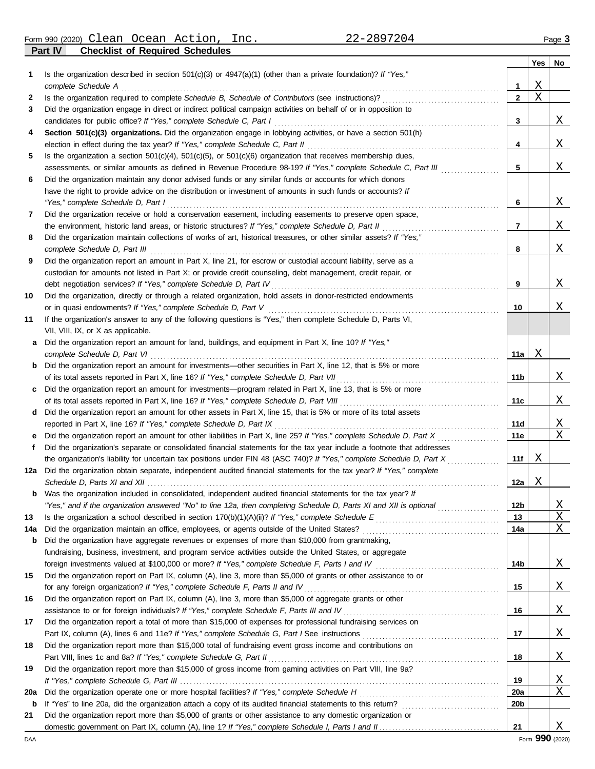Form 990 (2020) Page **3** Clean Ocean Action, Inc. 22-2897204

**Part IV Checklist of Required Schedules**

|             |                                                                                                                                                      |                 | Yes | No. |
|-------------|------------------------------------------------------------------------------------------------------------------------------------------------------|-----------------|-----|-----|
| 1           | Is the organization described in section $501(c)(3)$ or $4947(a)(1)$ (other than a private foundation)? If "Yes,"                                    |                 |     |     |
|             | complete Schedule A                                                                                                                                  | $\mathbf 1$     | Χ   |     |
| 2           |                                                                                                                                                      | $\mathbf{2}$    | Χ   |     |
| 3           | Did the organization engage in direct or indirect political campaign activities on behalf of or in opposition to                                     |                 |     |     |
|             | candidates for public office? If "Yes," complete Schedule C, Part I                                                                                  | 3               |     | X   |
| 4           | Section 501(c)(3) organizations. Did the organization engage in lobbying activities, or have a section 501(h)                                        |                 |     |     |
|             |                                                                                                                                                      | 4               |     | X   |
| 5           | Is the organization a section $501(c)(4)$ , $501(c)(5)$ , or $501(c)(6)$ organization that receives membership dues,                                 |                 |     |     |
|             | assessments, or similar amounts as defined in Revenue Procedure 98-19? If "Yes," complete Schedule C, Part III                                       | 5               |     | Χ   |
| 6           | Did the organization maintain any donor advised funds or any similar funds or accounts for which donors                                              |                 |     |     |
|             | have the right to provide advice on the distribution or investment of amounts in such funds or accounts? If                                          |                 |     |     |
|             | "Yes," complete Schedule D, Part I                                                                                                                   | 6               |     | X   |
| 7           | Did the organization receive or hold a conservation easement, including easements to preserve open space,                                            |                 |     |     |
|             | the environment, historic land areas, or historic structures? If "Yes," complete Schedule D, Part II                                                 | 7               |     | X   |
| 8           | Did the organization maintain collections of works of art, historical treasures, or other similar assets? If "Yes,"<br>complete Schedule D, Part III | 8               |     | Χ   |
| 9           | Did the organization report an amount in Part X, line 21, for escrow or custodial account liability, serve as a                                      |                 |     |     |
|             | custodian for amounts not listed in Part X; or provide credit counseling, debt management, credit repair, or                                         |                 |     |     |
|             | debt negotiation services? If "Yes," complete Schedule D, Part IV                                                                                    | 9               |     | X   |
| 10          | Did the organization, directly or through a related organization, hold assets in donor-restricted endowments                                         |                 |     |     |
|             | or in quasi endowments? If "Yes," complete Schedule D, Part V                                                                                        | 10              |     | Χ   |
| 11          | If the organization's answer to any of the following questions is "Yes," then complete Schedule D, Parts VI,                                         |                 |     |     |
|             | VII, VIII, IX, or X as applicable.                                                                                                                   |                 |     |     |
| a           | Did the organization report an amount for land, buildings, and equipment in Part X, line 10? If "Yes,"                                               |                 |     |     |
|             | complete Schedule D, Part VI                                                                                                                         | 11a             | Χ   |     |
| b           | Did the organization report an amount for investments—other securities in Part X, line 12, that is 5% or more                                        |                 |     |     |
|             | of its total assets reported in Part X, line 16? If "Yes," complete Schedule D, Part VII                                                             | 11b             |     | X   |
| c           | Did the organization report an amount for investments—program related in Part X, line 13, that is 5% or more                                         |                 |     |     |
|             | of its total assets reported in Part X, line 16? If "Yes," complete Schedule D, Part VIII [[[[[[[[[[[[[[[[[[[[                                       | 11c             |     | Χ   |
| d           | Did the organization report an amount for other assets in Part X, line 15, that is 5% or more of its total assets                                    |                 |     |     |
|             | reported in Part X, line 16? If "Yes," complete Schedule D, Part IX                                                                                  | 11d             |     | X   |
|             | Did the organization report an amount for other liabilities in Part X, line 25? If "Yes," complete Schedule D, Part X                                | <b>11e</b>      |     | Χ   |
| f           | Did the organization's separate or consolidated financial statements for the tax year include a footnote that addresses                              |                 |     |     |
|             | the organization's liability for uncertain tax positions under FIN 48 (ASC 740)? If "Yes," complete Schedule D, Part X                               | 11f             | Х   |     |
| 12a         | Did the organization obtain separate, independent audited financial statements for the tax year? If "Yes," complete                                  | 12a             | х   |     |
| b           | Was the organization included in consolidated, independent audited financial statements for the tax year? If                                         |                 |     |     |
|             | "Yes," and if the organization answered "No" to line 12a, then completing Schedule D, Parts XI and XII is optional <i>manimining</i>                 | 12 <sub>b</sub> |     | Χ   |
| 13          |                                                                                                                                                      | 13              |     | Χ   |
| 14a         |                                                                                                                                                      | 14a             |     | Χ   |
| b           | Did the organization have aggregate revenues or expenses of more than \$10,000 from grantmaking,                                                     |                 |     |     |
|             | fundraising, business, investment, and program service activities outside the United States, or aggregate                                            |                 |     |     |
|             |                                                                                                                                                      | 14b             |     | X   |
| 15          | Did the organization report on Part IX, column (A), line 3, more than \$5,000 of grants or other assistance to or                                    |                 |     |     |
|             | for any foreign organization? If "Yes," complete Schedule F, Parts II and IV                                                                         | 15              |     | X   |
| 16          | Did the organization report on Part IX, column (A), line 3, more than \$5,000 of aggregate grants or other                                           |                 |     |     |
|             | assistance to or for foreign individuals? If "Yes," complete Schedule F, Parts III and IV                                                            | 16              |     | X   |
| 17          | Did the organization report a total of more than \$15,000 of expenses for professional fundraising services on                                       |                 |     |     |
|             |                                                                                                                                                      | 17              |     | X   |
| 18          | Did the organization report more than \$15,000 total of fundraising event gross income and contributions on                                          |                 |     |     |
|             | Part VIII, lines 1c and 8a? If "Yes," complete Schedule G, Part II                                                                                   | 18              |     | X   |
| 19          | Did the organization report more than \$15,000 of gross income from gaming activities on Part VIII, line 9a?                                         |                 |     |     |
|             |                                                                                                                                                      | 19              |     | X   |
| 20a         |                                                                                                                                                      | <b>20a</b>      |     | Χ   |
| $\mathbf b$ |                                                                                                                                                      | 20b             |     |     |
| 21          | Did the organization report more than \$5,000 of grants or other assistance to any domestic organization or                                          | 21              |     | Χ   |
|             |                                                                                                                                                      |                 |     |     |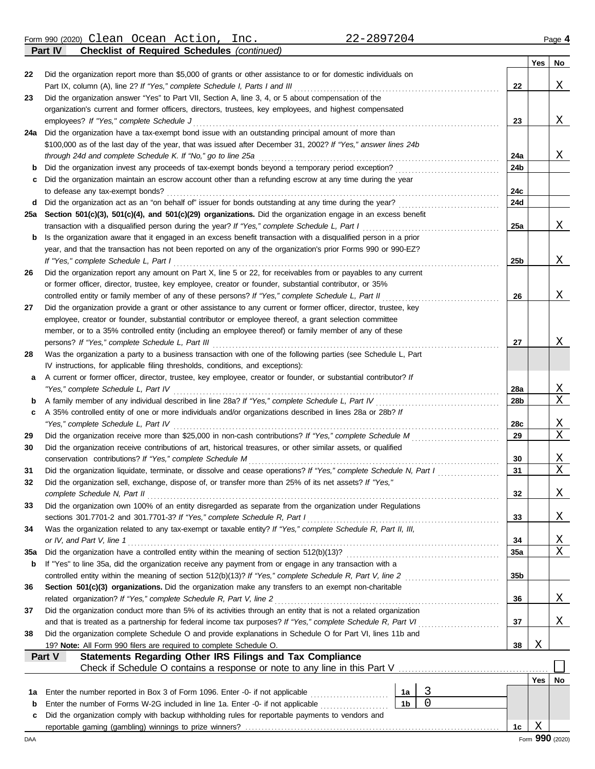Form 990 (2020) Page **4** Clean Ocean Action, Inc. 22-2897204

**Part IV Checklist of Required Schedules** *(continued)*

|     |                                                                                                                                                                                                                                  |                 | Yes | No. |
|-----|----------------------------------------------------------------------------------------------------------------------------------------------------------------------------------------------------------------------------------|-----------------|-----|-----|
| 22  | Did the organization report more than \$5,000 of grants or other assistance to or for domestic individuals on                                                                                                                    |                 |     |     |
|     |                                                                                                                                                                                                                                  | 22              |     | Χ   |
| 23  | Did the organization answer "Yes" to Part VII, Section A, line 3, 4, or 5 about compensation of the                                                                                                                              |                 |     |     |
|     | organization's current and former officers, directors, trustees, key employees, and highest compensated                                                                                                                          |                 |     |     |
|     | employees? If "Yes," complete Schedule J                                                                                                                                                                                         | 23              |     | X   |
| 24a | Did the organization have a tax-exempt bond issue with an outstanding principal amount of more than                                                                                                                              |                 |     |     |
|     | \$100,000 as of the last day of the year, that was issued after December 31, 2002? If "Yes," answer lines 24b                                                                                                                    |                 |     |     |
|     | through 24d and complete Schedule K. If "No," go to line 25a                                                                                                                                                                     | 24a             |     | X   |
| b   | Did the organization invest any proceeds of tax-exempt bonds beyond a temporary period exception?                                                                                                                                | 24b             |     |     |
|     | Did the organization maintain an escrow account other than a refunding escrow at any time during the year                                                                                                                        |                 |     |     |
|     | to defease any tax-exempt bonds?                                                                                                                                                                                                 | 24c             |     |     |
| d   |                                                                                                                                                                                                                                  | 24d             |     |     |
| 25a | Section 501(c)(3), 501(c)(4), and 501(c)(29) organizations. Did the organization engage in an excess benefit                                                                                                                     |                 |     |     |
|     | transaction with a disqualified person during the year? If "Yes," complete Schedule L, Part I                                                                                                                                    | 25a             |     | X   |
| b   | Is the organization aware that it engaged in an excess benefit transaction with a disqualified person in a prior<br>year, and that the transaction has not been reported on any of the organization's prior Forms 990 or 990-EZ? |                 |     |     |
|     | If "Yes," complete Schedule L, Part I                                                                                                                                                                                            | 25b             |     | X   |
| 26  | Did the organization report any amount on Part X, line 5 or 22, for receivables from or payables to any current                                                                                                                  |                 |     |     |
|     | or former officer, director, trustee, key employee, creator or founder, substantial contributor, or 35%                                                                                                                          |                 |     |     |
|     | controlled entity or family member of any of these persons? If "Yes," complete Schedule L, Part II                                                                                                                               | 26              |     | X   |
| 27  | Did the organization provide a grant or other assistance to any current or former officer, director, trustee, key                                                                                                                |                 |     |     |
|     | employee, creator or founder, substantial contributor or employee thereof, a grant selection committee                                                                                                                           |                 |     |     |
|     | member, or to a 35% controlled entity (including an employee thereof) or family member of any of these                                                                                                                           |                 |     |     |
|     | persons? If "Yes," complete Schedule L, Part III                                                                                                                                                                                 | 27              |     | X   |
| 28  | Was the organization a party to a business transaction with one of the following parties (see Schedule L, Part                                                                                                                   |                 |     |     |
|     | IV instructions, for applicable filing thresholds, conditions, and exceptions):                                                                                                                                                  |                 |     |     |
| а   | A current or former officer, director, trustee, key employee, creator or founder, or substantial contributor? If                                                                                                                 |                 |     |     |
|     | "Yes," complete Schedule L, Part IV                                                                                                                                                                                              | 28a             |     | X   |
| b   |                                                                                                                                                                                                                                  | 28b             |     | Χ   |
| c   | A 35% controlled entity of one or more individuals and/or organizations described in lines 28a or 28b? If                                                                                                                        |                 |     |     |
|     | "Yes," complete Schedule L, Part IV encourance contract to the set of the Schedule L, Part IV encourance and t                                                                                                                   | 28c             |     | X   |
| 29  | Did the organization receive more than \$25,000 in non-cash contributions? If "Yes," complete Schedule M                                                                                                                         | 29              |     | Χ   |
| 30  | Did the organization receive contributions of art, historical treasures, or other similar assets, or qualified                                                                                                                   |                 |     |     |
|     | conservation contributions? If "Yes," complete Schedule M                                                                                                                                                                        | 30              |     | X   |
| 31  | Did the organization liquidate, terminate, or dissolve and cease operations? If "Yes," complete Schedule N, Part I                                                                                                               | 31              |     | Χ   |
| 32  | Did the organization sell, exchange, dispose of, or transfer more than 25% of its net assets? If "Yes,"                                                                                                                          |                 |     |     |
|     | complete Schedule N, Part II                                                                                                                                                                                                     | 32              |     | Χ   |
| 33  | Did the organization own 100% of an entity disregarded as separate from the organization under Regulations                                                                                                                       |                 |     |     |
| 34  | sections 301.7701-2 and 301.7701-3? If "Yes," complete Schedule R, Part I<br>Was the organization related to any tax-exempt or taxable entity? If "Yes," complete Schedule R, Part II, III,                                      | 33              |     | X   |
|     | or IV, and Part V, line 1                                                                                                                                                                                                        | 34              |     | X   |
| 35a |                                                                                                                                                                                                                                  | 35a             |     | Χ   |
| b   | If "Yes" to line 35a, did the organization receive any payment from or engage in any transaction with a                                                                                                                          |                 |     |     |
|     | controlled entity within the meaning of section 512(b)(13)? If "Yes," complete Schedule R, Part V, line 2                                                                                                                        | 35 <sub>b</sub> |     |     |
| 36  | Section 501(c)(3) organizations. Did the organization make any transfers to an exempt non-charitable                                                                                                                             |                 |     |     |
|     | related organization? If "Yes," complete Schedule R, Part V, line 2                                                                                                                                                              | 36              |     | X   |
| 37  | Did the organization conduct more than 5% of its activities through an entity that is not a related organization                                                                                                                 |                 |     |     |
|     | and that is treated as a partnership for federal income tax purposes? If "Yes," complete Schedule R, Part VI.                                                                                                                    | 37              |     | X   |
| 38  | Did the organization complete Schedule O and provide explanations in Schedule O for Part VI, lines 11b and                                                                                                                       |                 |     |     |
|     | 19? Note: All Form 990 filers are required to complete Schedule O.                                                                                                                                                               | 38              | Χ   |     |
|     | Statements Regarding Other IRS Filings and Tax Compliance<br>Part V                                                                                                                                                              |                 |     |     |
|     | Check if Schedule O contains a response or note to any line in this Part V                                                                                                                                                       |                 |     |     |
|     |                                                                                                                                                                                                                                  |                 | Yes | No  |
| 1a  | 3<br>Enter the number reported in Box 3 of Form 1096. Enter -0- if not applicable<br>1a                                                                                                                                          |                 |     |     |
| b   | 0<br>1 <sub>b</sub><br>Enter the number of Forms W-2G included in line 1a. Enter -0- if not applicable                                                                                                                           |                 |     |     |
| с   | Did the organization comply with backup withholding rules for reportable payments to vendors and                                                                                                                                 |                 |     |     |
|     |                                                                                                                                                                                                                                  | 1c              | Χ   |     |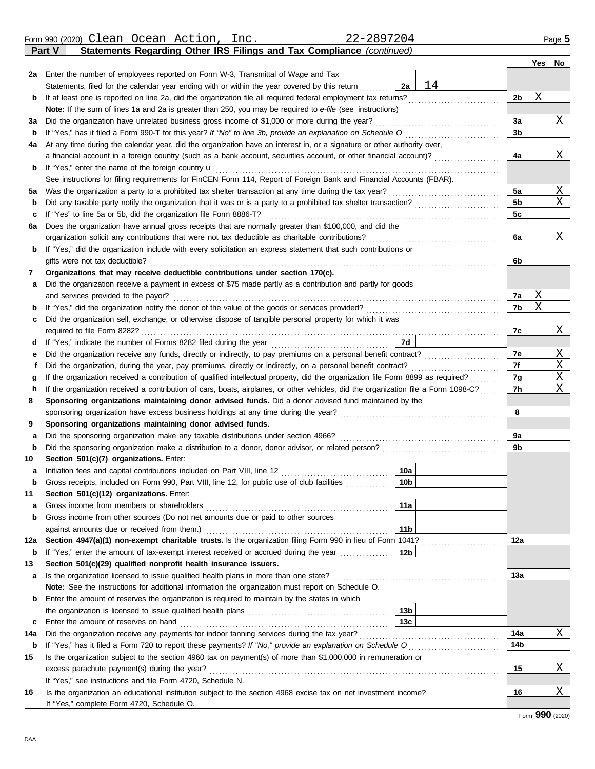|  | Form 990 | (2020)<br>$\cap \neg r$<br>CTEAII | Ocean | Action | ∸∸ | .0700<br>,, <i>,</i><br>L<br>$\sim$ | Page.<br>. |
|--|----------|-----------------------------------|-------|--------|----|-------------------------------------|------------|
|--|----------|-----------------------------------|-------|--------|----|-------------------------------------|------------|

|                                           | Statements Regarding Other IRS Filings and Tax Compliance (continued)<br><b>Part V</b>                                                                                                                                         |                 |    |                |     |    |
|-------------------------------------------|--------------------------------------------------------------------------------------------------------------------------------------------------------------------------------------------------------------------------------|-----------------|----|----------------|-----|----|
|                                           |                                                                                                                                                                                                                                |                 |    |                | Yes | No |
| 2a                                        | Enter the number of employees reported on Form W-3, Transmittal of Wage and Tax                                                                                                                                                |                 |    |                |     |    |
|                                           | Statements, filed for the calendar year ending with or within the year covered by this return                                                                                                                                  | 2a              | 14 |                |     |    |
| b                                         | If at least one is reported on line 2a, did the organization file all required federal employment tax returns?                                                                                                                 |                 |    | 2b             | Χ   |    |
|                                           | Note: If the sum of lines 1a and 2a is greater than 250, you may be required to e-file (see instructions)                                                                                                                      |                 |    |                |     |    |
| за                                        | Did the organization have unrelated business gross income of \$1,000 or more during the year?                                                                                                                                  |                 |    | За             |     | Χ  |
| b                                         | If "Yes," has it filed a Form 990-T for this year? If "No" to line 3b, provide an explanation on Schedule O [ [ [ [ [ ] ]                                                                                                      |                 |    | 3b             |     |    |
| 4a                                        | At any time during the calendar year, did the organization have an interest in, or a signature or other authority over,                                                                                                        |                 |    |                |     |    |
|                                           | a financial account in a foreign country (such as a bank account, securities account, or other financial account)?                                                                                                             |                 |    | 4a             |     | Χ  |
| b                                         | If "Yes," enter the name of the foreign country <b>u</b>                                                                                                                                                                       |                 |    |                |     |    |
|                                           | See instructions for filing requirements for FinCEN Form 114, Report of Foreign Bank and Financial Accounts (FBAR).<br>Was the organization a party to a prohibited tax shelter transaction at any time during the tax year?   |                 |    | 5a             |     | Χ  |
| 5а<br>b                                   |                                                                                                                                                                                                                                |                 |    | 5 <sub>b</sub> |     | Χ  |
| c                                         | If "Yes" to line 5a or 5b, did the organization file Form 8886-T?                                                                                                                                                              |                 |    | 5c             |     |    |
| 6а                                        | Does the organization have annual gross receipts that are normally greater than \$100,000, and did the                                                                                                                         |                 |    |                |     |    |
|                                           | organization solicit any contributions that were not tax deductible as charitable contributions?                                                                                                                               |                 |    | 6a             |     | Χ  |
| b                                         | If "Yes," did the organization include with every solicitation an express statement that such contributions or                                                                                                                 |                 |    |                |     |    |
|                                           | gifts were not tax deductible?                                                                                                                                                                                                 |                 |    | 6b             |     |    |
| 7                                         | Organizations that may receive deductible contributions under section 170(c).                                                                                                                                                  |                 |    |                |     |    |
| а                                         | Did the organization receive a payment in excess of \$75 made partly as a contribution and partly for goods                                                                                                                    |                 |    |                |     |    |
|                                           | and services provided to the payor?                                                                                                                                                                                            |                 |    | 7a             | Χ   |    |
| b                                         |                                                                                                                                                                                                                                |                 |    | 7b             | Χ   |    |
| с                                         | Did the organization sell, exchange, or otherwise dispose of tangible personal property for which it was                                                                                                                       |                 |    |                |     |    |
|                                           | required to file Form 8282?                                                                                                                                                                                                    |                 |    | 7c             |     | Χ  |
| d                                         |                                                                                                                                                                                                                                | 7d              |    |                |     |    |
| е                                         |                                                                                                                                                                                                                                |                 |    | 7e             |     | Χ  |
| f                                         | Did the organization, during the year, pay premiums, directly or indirectly, on a personal benefit contract?                                                                                                                   |                 |    | 7f             |     | Χ  |
| g                                         | If the organization received a contribution of qualified intellectual property, did the organization file Form 8899 as required?                                                                                               |                 |    | 7g             |     | Χ  |
| h                                         | If the organization received a contribution of cars, boats, airplanes, or other vehicles, did the organization file a Form 1098-C?                                                                                             |                 |    | 7h             |     | Χ  |
| 8                                         | Sponsoring organizations maintaining donor advised funds. Did a donor advised fund maintained by the                                                                                                                           |                 |    |                |     |    |
|                                           | sponsoring organization have excess business holdings at any time during the year?                                                                                                                                             |                 |    | 8              |     |    |
| 9                                         | Sponsoring organizations maintaining donor advised funds.                                                                                                                                                                      |                 |    | 9a             |     |    |
| а<br>b                                    | Did the sponsoring organization make any taxable distributions under section 4966?                                                                                                                                             |                 |    | 9b             |     |    |
| 10                                        | Section 501(c)(7) organizations. Enter:                                                                                                                                                                                        |                 |    |                |     |    |
| а                                         | Initiation fees and capital contributions included on Part VIII, line 12 [11] [11] [12] [11] [12] [11] [12] [1                                                                                                                 | 10a             |    |                |     |    |
|                                           | Gross receipts, included on Form 990, Part VIII, line 12, for public use of club facilities                                                                                                                                    | 10 <sub>b</sub> |    |                |     |    |
| 11                                        | Section 501(c)(12) organizations. Enter:                                                                                                                                                                                       |                 |    |                |     |    |
| а                                         | Gross income from members or shareholders                                                                                                                                                                                      | 11a             |    |                |     |    |
| b                                         | Gross income from other sources (Do not net amounts due or paid to other sources                                                                                                                                               |                 |    |                |     |    |
|                                           | against amounts due or received from them.)                                                                                                                                                                                    | 11 <sub>b</sub> |    |                |     |    |
| 12a                                       | Section 4947(a)(1) non-exempt charitable trusts. Is the organization filing Form 990 in lieu of Form 1041?                                                                                                                     |                 |    | 12a            |     |    |
| b                                         |                                                                                                                                                                                                                                |                 |    |                |     |    |
| 13                                        | Section 501(c)(29) qualified nonprofit health insurance issuers.                                                                                                                                                               |                 |    |                |     |    |
| a                                         | Is the organization licensed to issue qualified health plans in more than one state?                                                                                                                                           |                 |    | 13а            |     |    |
|                                           | Note: See the instructions for additional information the organization must report on Schedule O.                                                                                                                              |                 |    |                |     |    |
| b                                         | Enter the amount of reserves the organization is required to maintain by the states in which                                                                                                                                   |                 |    |                |     |    |
|                                           | the organization is licensed to issue qualified health plans [10] contains the organization is licensed to issue qualified health plans [10] contains the original state of the state of the state of the state original state | 13 <sub>b</sub> |    |                |     |    |
| c                                         | Enter the amount of reserves on hand                                                                                                                                                                                           | 13 <sub>c</sub> |    |                |     |    |
| 14a                                       | Did the organization receive any payments for indoor tanning services during the tax year?                                                                                                                                     |                 |    | 14a            |     | Χ  |
| b                                         |                                                                                                                                                                                                                                |                 |    | 14b            |     |    |
| 15                                        | Is the organization subject to the section 4960 tax on payment(s) of more than \$1,000,000 in remuneration or                                                                                                                  |                 |    | 15             |     | Χ  |
|                                           | excess parachute payment(s) during the year?<br>If "Yes," see instructions and file Form 4720, Schedule N.                                                                                                                     |                 |    |                |     |    |
| 16                                        | Is the organization an educational institution subject to the section 4968 excise tax on net investment income?                                                                                                                |                 |    | 16             |     | Χ  |
| If "Yes," complete Form 4720, Schedule O. |                                                                                                                                                                                                                                |                 |    |                |     |    |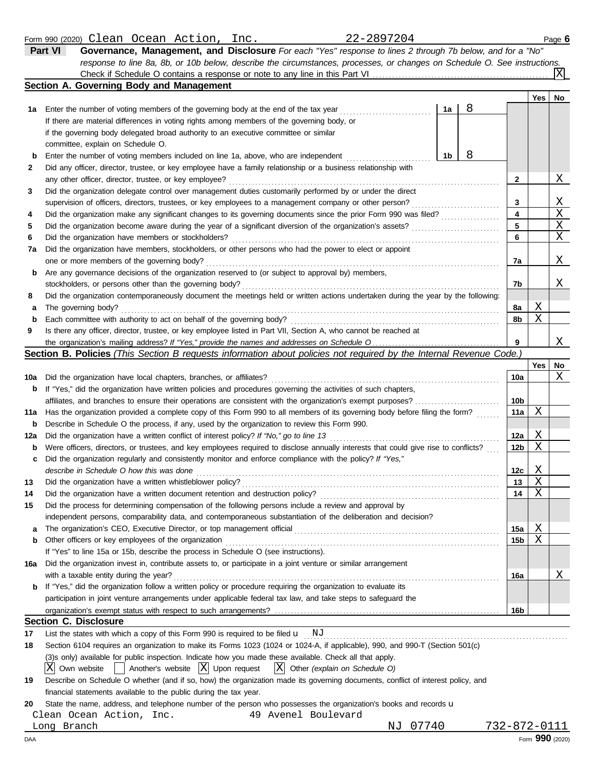| Form 990<br>(2020) | Clean | Ocean | Action | $\bar{m}$<br>∸∸∸∽ | cocroc<br>-20 <i>C</i><br>ے ت<br>20 Q | Page <b>b</b> |
|--------------------|-------|-------|--------|-------------------|---------------------------------------|---------------|
|                    |       |       |        |                   |                                       |               |

| Part VI | Governance, Management, and Disclosure For each "Yes" response to lines 2 through 7b below, and for a "No"                |
|---------|---------------------------------------------------------------------------------------------------------------------------|
|         | response to line 8a, 8b, or 10b below, describe the circumstances, processes, or changes on Schedule O. See instructions. |
|         | $\sqrt{\mathrm{x}}$<br>Check if Schedule O contains a response or note to any line in this Part VI                        |

|     | Section A. Governing Body and Management                                                                                                   |                 |        |    |
|-----|--------------------------------------------------------------------------------------------------------------------------------------------|-----------------|--------|----|
|     |                                                                                                                                            |                 | Yes    | No |
|     | 8<br>1a<br>1a Enter the number of voting members of the governing body at the end of the tax year                                          |                 |        |    |
|     | If there are material differences in voting rights among members of the governing body, or                                                 |                 |        |    |
|     | if the governing body delegated broad authority to an executive committee or similar                                                       |                 |        |    |
|     | committee, explain on Schedule O.                                                                                                          |                 |        |    |
| b   | 8<br>1b<br>Enter the number of voting members included on line 1a, above, who are independent                                              |                 |        |    |
| 2   | Did any officer, director, trustee, or key employee have a family relationship or a business relationship with                             |                 |        |    |
|     | any other officer, director, trustee, or key employee?                                                                                     | 2               |        | Χ  |
| 3   | Did the organization delegate control over management duties customarily performed by or under the direct                                  |                 |        |    |
|     | supervision of officers, directors, trustees, or key employees to a management company or other person?                                    | 3               |        | Χ  |
| 4   | Did the organization make any significant changes to its governing documents since the prior Form 990 was filed?                           | 4               |        | X  |
| 5   |                                                                                                                                            | 5               |        | Χ  |
| 6   | Did the organization have members or stockholders?                                                                                         | 6               |        | Χ  |
| 7a  | Did the organization have members, stockholders, or other persons who had the power to elect or appoint                                    |                 |        |    |
|     | one or more members of the governing body?                                                                                                 | 7a              |        | Χ  |
| b   | Are any governance decisions of the organization reserved to (or subject to approval by) members,                                          |                 |        |    |
|     | stockholders, or persons other than the governing body?                                                                                    | 7b              |        | Χ  |
| 8   | Did the organization contemporaneously document the meetings held or written actions undertaken during the year by the following:          |                 |        |    |
| а   | The governing body?                                                                                                                        | 8a              | Χ      |    |
| b   | Each committee with authority to act on behalf of the governing body?                                                                      | 8b              | X      |    |
| 9   | Is there any officer, director, trustee, or key employee listed in Part VII, Section A, who cannot be reached at                           |                 |        |    |
|     |                                                                                                                                            | 9               |        | Χ  |
|     | Section B. Policies (This Section B requests information about policies not required by the Internal Revenue Code.)                        |                 |        |    |
|     |                                                                                                                                            |                 | Yes    | No |
| 10a | Did the organization have local chapters, branches, or affiliates?                                                                         | 10a             |        | X  |
| b   | If "Yes," did the organization have written policies and procedures governing the activities of such chapters,                             |                 |        |    |
|     |                                                                                                                                            | 10 <sub>b</sub> |        |    |
| 11a | Has the organization provided a complete copy of this Form 990 to all members of its governing body before filing the form?                | 11a             | X      |    |
| b   | Describe in Schedule O the process, if any, used by the organization to review this Form 990.                                              |                 |        |    |
| 12a |                                                                                                                                            | 12a             | Χ      |    |
| b   | Were officers, directors, or trustees, and key employees required to disclose annually interests that could give rise to conflicts?        | 12 <sub>b</sub> | X      |    |
| c   | Did the organization regularly and consistently monitor and enforce compliance with the policy? If "Yes,"                                  |                 |        |    |
|     | describe in Schedule O how this was done                                                                                                   | 12c             | Χ      |    |
| 13  | Did the organization have a written whistleblower policy?                                                                                  | 13              | X<br>X |    |
| 14  |                                                                                                                                            | 14              |        |    |
| 15  | Did the process for determining compensation of the following persons include a review and approval by                                     |                 |        |    |
|     | independent persons, comparability data, and contemporaneous substantiation of the deliberation and decision?                              |                 |        |    |
| a   | The organization's CEO, Executive Director, or top management official                                                                     | 15a             | Χ<br>Χ |    |
| b   | Other officers or key employees of the organization<br>If "Yes" to line 15a or 15b, describe the process in Schedule O (see instructions). | 15b             |        |    |
| 16a | Did the organization invest in, contribute assets to, or participate in a joint venture or similar arrangement                             |                 |        |    |
|     | with a taxable entity during the year?                                                                                                     | 16a             |        | Χ  |
| b   | If "Yes," did the organization follow a written policy or procedure requiring the organization to evaluate its                             |                 |        |    |
|     | participation in joint venture arrangements under applicable federal tax law, and take steps to safeguard the                              |                 |        |    |
|     |                                                                                                                                            | 16b             |        |    |
|     | <b>Section C. Disclosure</b>                                                                                                               |                 |        |    |
| 17  | List the states with which a copy of this Form 990 is required to be filed $\mathbf{u}$ NJ                                                 |                 |        |    |
| 18  | Section 6104 requires an organization to make its Forms 1023 (1024 or 1024-A, if applicable), 990, and 990-T (Section 501(c)               |                 |        |    |
|     | (3)s only) available for public inspection. Indicate how you made these available. Check all that apply.                                   |                 |        |    |
|     | X<br>Another's website $ X $ Upon request<br>ΧI<br>Own website<br>Other (explain on Schedule O)                                            |                 |        |    |
| 19  | Describe on Schedule O whether (and if so, how) the organization made its governing documents, conflict of interest policy, and            |                 |        |    |
|     | financial statements available to the public during the tax year.                                                                          |                 |        |    |
|     |                                                                                                                                            |                 |        |    |

Clean Ocean Action, Inc. 49 Avenel Boulevard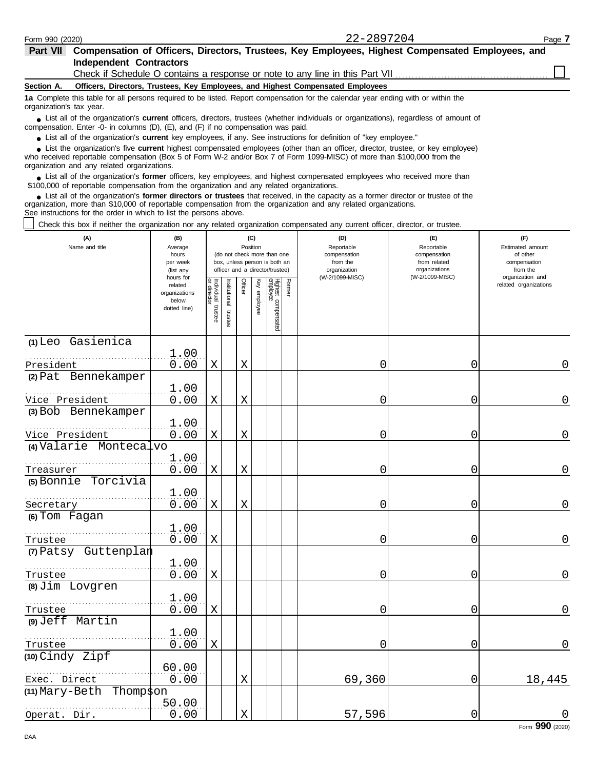| Form 990 (2020)          | $22 - 2897204$<br>Page 7                                                                                                                                                                                                                                                                                                    |
|--------------------------|-----------------------------------------------------------------------------------------------------------------------------------------------------------------------------------------------------------------------------------------------------------------------------------------------------------------------------|
| <b>Part VII</b>          | Compensation of Officers, Directors, Trustees, Key Employees, Highest Compensated Employees, and                                                                                                                                                                                                                            |
|                          | <b>Independent Contractors</b>                                                                                                                                                                                                                                                                                              |
|                          |                                                                                                                                                                                                                                                                                                                             |
| Section A.               | Officers, Directors, Trustees, Key Employees, and Highest Compensated Employees                                                                                                                                                                                                                                             |
| organization's tax year. | 1a Complete this table for all persons required to be listed. Report compensation for the calendar year ending with or within the                                                                                                                                                                                           |
|                          | • List all of the organization's <b>current</b> officers, directors, trustees (whether individuals or organizations), regardless of amount of<br>compensation. Enter -0- in columns (D), (E), and (F) if no compensation was paid.                                                                                          |
|                          | • List all of the organization's current key employees, if any. See instructions for definition of "key employee."                                                                                                                                                                                                          |
|                          | • List the organization's five current highest compensated employees (other than an officer, director, trustee, or key employee)<br>who received reportable compensation (Box 5 of Form W-2 and/or Box 7 of Form 1099-MISC) of more than \$100,000 from the<br>organization and any related organizations.                  |
|                          | • List all of the organization's former officers, key employees, and highest compensated employees who received more than<br>\$100,000 of reportable compensation from the organization and any related organizations.                                                                                                      |
|                          | List all of the organization's former directors or trustees that received, in the capacity as a former director or trustee of the<br>organization, more than \$10,000 of reportable compensation from the organization and any related organizations.<br>See instructions for the order in which to list the persons above. |

Check this box if neither the organization nor any related organization compensated any current officer, director, or trustee.

| (A)<br>Name and title                 | (B)<br>Average<br>hours<br>per week<br>(list any<br>hours for |                            | (C)<br>Position<br>(do not check more than one<br>box, unless person is both an<br>officer and a director/trustee) |                         |              |                                 |        | (D)<br>Reportable<br>compensation<br>from the<br>organization<br>(W-2/1099-MISC) | (E)<br>Reportable<br>compensation<br>from related<br>organizations<br>(W-2/1099-MISC) | (F)<br>Estimated amount<br>of other<br>compensation<br>from the<br>organization and |
|---------------------------------------|---------------------------------------------------------------|----------------------------|--------------------------------------------------------------------------------------------------------------------|-------------------------|--------------|---------------------------------|--------|----------------------------------------------------------------------------------|---------------------------------------------------------------------------------------|-------------------------------------------------------------------------------------|
|                                       | related<br>organizations<br>below<br>dotted line)             | Individual trustee<br>ctor | nstitutional trustee                                                                                               | Officer                 | Key employee | Highest compensated<br>employee | Former |                                                                                  |                                                                                       | related organizations                                                               |
| (1) Leo Gasienica                     |                                                               |                            |                                                                                                                    |                         |              |                                 |        |                                                                                  |                                                                                       |                                                                                     |
| President                             | 1.00<br>0.00                                                  | $\mathbf X$                |                                                                                                                    | X                       |              |                                 |        | 0                                                                                | $\overline{0}$                                                                        | 0                                                                                   |
| (2) Pat Bennekamper                   |                                                               |                            |                                                                                                                    |                         |              |                                 |        |                                                                                  |                                                                                       |                                                                                     |
|                                       | 1.00                                                          |                            |                                                                                                                    |                         |              |                                 |        |                                                                                  |                                                                                       |                                                                                     |
| Vice President<br>(3) Bob Bennekamper | 0.00                                                          | X                          |                                                                                                                    | $\overline{\mathrm{X}}$ |              |                                 |        | 0                                                                                | 0                                                                                     | $\mathbf 0$                                                                         |
| Vice President                        | 1.00<br>0.00                                                  | X                          |                                                                                                                    | X                       |              |                                 |        | 0                                                                                | 0                                                                                     | 0                                                                                   |
| (4) Valarie Montecalvo                |                                                               |                            |                                                                                                                    |                         |              |                                 |        |                                                                                  |                                                                                       |                                                                                     |
| Treasurer                             | 1.00<br>0.00                                                  | $\mathbf X$                |                                                                                                                    | X                       |              |                                 |        | 0                                                                                | $\overline{0}$                                                                        | $\mathbf 0$                                                                         |
| (5) Bonnie Torcivia                   | 1.00                                                          |                            |                                                                                                                    |                         |              |                                 |        |                                                                                  |                                                                                       |                                                                                     |
| Secretary                             | 0.00                                                          | X                          |                                                                                                                    | $\overline{\mathrm{X}}$ |              |                                 |        | 0                                                                                | $\mathbf 0$                                                                           | $\overline{0}$                                                                      |
| (6) Tom Fagan<br>Trustee              | 1.00<br>0.00                                                  | Χ                          |                                                                                                                    |                         |              |                                 |        | 0                                                                                | 0                                                                                     | 0                                                                                   |
| (7) Patsy Guttenplan                  |                                                               |                            |                                                                                                                    |                         |              |                                 |        |                                                                                  |                                                                                       |                                                                                     |
| Trustee                               | 1.00<br>0.00                                                  | X                          |                                                                                                                    |                         |              |                                 |        | 0                                                                                | $\overline{0}$                                                                        | 0                                                                                   |
| (8) Jim Lovgren                       |                                                               |                            |                                                                                                                    |                         |              |                                 |        |                                                                                  |                                                                                       |                                                                                     |
| Trustee                               | 1.00<br>0.00                                                  | X                          |                                                                                                                    |                         |              |                                 |        | 0                                                                                | 0                                                                                     | 0                                                                                   |
| (9) Jeff Martin                       |                                                               |                            |                                                                                                                    |                         |              |                                 |        |                                                                                  |                                                                                       |                                                                                     |
| Trustee                               | 1.00<br>0.00                                                  | X                          |                                                                                                                    |                         |              |                                 |        | 0                                                                                | 0                                                                                     | 0                                                                                   |
| $(10)$ Cindy Zipf                     |                                                               |                            |                                                                                                                    |                         |              |                                 |        |                                                                                  |                                                                                       |                                                                                     |
| Exec. Direct                          | 60.00<br>0.00                                                 |                            |                                                                                                                    | X                       |              |                                 |        | 69,360                                                                           | $\overline{0}$                                                                        | 18,445                                                                              |
| (11) Mary-Beth<br>Thomp\$on           |                                                               |                            |                                                                                                                    |                         |              |                                 |        |                                                                                  |                                                                                       |                                                                                     |
| Operat. Dir.                          | 50.00<br>0.00                                                 |                            |                                                                                                                    | $\rm X$                 |              |                                 |        | 57,596                                                                           | $\overline{0}$                                                                        | $\mathbf 0$                                                                         |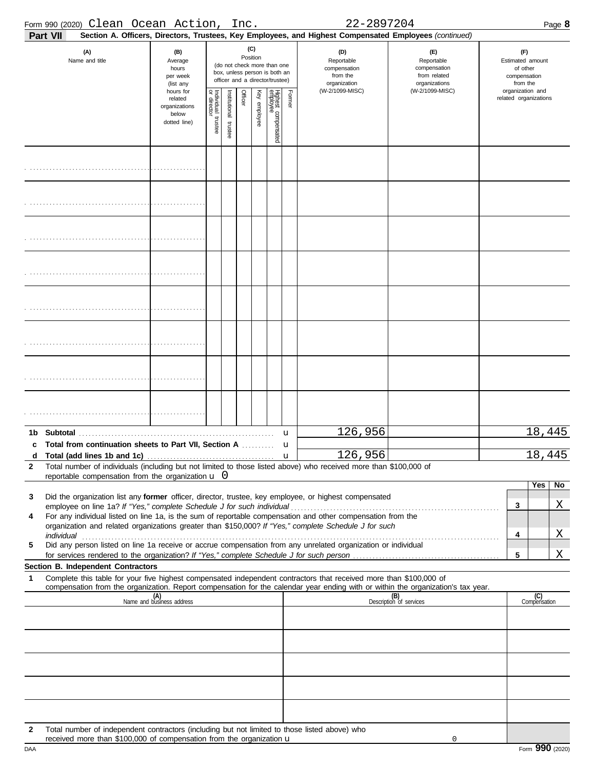|              | Form 990 (2020) Clean Ocean Action,                                                                                                                                                                                                                                                                                                     |                                                                |                                   |                       | Inc.     |              |                                                                                                 |        | 22-2897204                                                                                             |                                                                    |   |                                                                 | Page 8 |
|--------------|-----------------------------------------------------------------------------------------------------------------------------------------------------------------------------------------------------------------------------------------------------------------------------------------------------------------------------------------|----------------------------------------------------------------|-----------------------------------|-----------------------|----------|--------------|-------------------------------------------------------------------------------------------------|--------|--------------------------------------------------------------------------------------------------------|--------------------------------------------------------------------|---|-----------------------------------------------------------------|--------|
|              | Part VII                                                                                                                                                                                                                                                                                                                                |                                                                |                                   |                       |          |              |                                                                                                 |        | Section A. Officers, Directors, Trustees, Key Employees, and Highest Compensated Employees (continued) |                                                                    |   |                                                                 |        |
|              | (A)<br>Name and title                                                                                                                                                                                                                                                                                                                   | (B)<br>Average<br>hours<br>per week<br>(list any               |                                   |                       | Position | (C)          | (do not check more than one<br>box, unless person is both an<br>officer and a director/trustee) |        | (D)<br>Reportable<br>compensation<br>from the<br>organization                                          | (E)<br>Reportable<br>compensation<br>from related<br>organizations |   | (F)<br>Estimated amount<br>of other<br>compensation<br>from the |        |
|              |                                                                                                                                                                                                                                                                                                                                         | hours for<br>related<br>organizations<br>below<br>dotted line) | Individual trustee<br>or director | Institutional trustee | Officer  | Key employee | Highest compensated<br>employee                                                                 | Former | (W-2/1099-MISC)                                                                                        | (W-2/1099-MISC)                                                    |   | organization and<br>related organizations                       |        |
|              |                                                                                                                                                                                                                                                                                                                                         |                                                                |                                   |                       |          |              |                                                                                                 |        |                                                                                                        |                                                                    |   |                                                                 |        |
|              |                                                                                                                                                                                                                                                                                                                                         |                                                                |                                   |                       |          |              |                                                                                                 |        |                                                                                                        |                                                                    |   |                                                                 |        |
|              |                                                                                                                                                                                                                                                                                                                                         |                                                                |                                   |                       |          |              |                                                                                                 |        |                                                                                                        |                                                                    |   |                                                                 |        |
|              |                                                                                                                                                                                                                                                                                                                                         |                                                                |                                   |                       |          |              |                                                                                                 |        |                                                                                                        |                                                                    |   |                                                                 |        |
|              |                                                                                                                                                                                                                                                                                                                                         |                                                                |                                   |                       |          |              |                                                                                                 |        |                                                                                                        |                                                                    |   |                                                                 |        |
|              |                                                                                                                                                                                                                                                                                                                                         |                                                                |                                   |                       |          |              |                                                                                                 |        |                                                                                                        |                                                                    |   |                                                                 |        |
|              |                                                                                                                                                                                                                                                                                                                                         |                                                                |                                   |                       |          |              |                                                                                                 |        |                                                                                                        |                                                                    |   |                                                                 |        |
|              |                                                                                                                                                                                                                                                                                                                                         |                                                                |                                   |                       |          |              |                                                                                                 |        |                                                                                                        |                                                                    |   |                                                                 |        |
| 1b.          |                                                                                                                                                                                                                                                                                                                                         |                                                                |                                   |                       |          |              |                                                                                                 | u      | 126,956                                                                                                |                                                                    |   |                                                                 | 18,445 |
| a            | Total from continuation sheets to Part VII, Section A<br>Total (add lines 1b and 1c)                                                                                                                                                                                                                                                    |                                                                |                                   |                       |          |              |                                                                                                 | u      | 126,956                                                                                                |                                                                    |   |                                                                 | 18,445 |
| $\mathbf{2}$ | Total number of individuals (including but not limited to those listed above) who received more than \$100,000 of                                                                                                                                                                                                                       |                                                                |                                   |                       |          |              |                                                                                                 |        |                                                                                                        |                                                                    |   |                                                                 |        |
|              | reportable compensation from the organization $\mathbf{u}$ 0                                                                                                                                                                                                                                                                            |                                                                |                                   |                       |          |              |                                                                                                 |        |                                                                                                        |                                                                    |   | <b>Yes</b>                                                      | No     |
| 3            | Did the organization list any former officer, director, trustee, key employee, or highest compensated<br>employee on line 1a? If "Yes," complete Schedule J for such individual                                                                                                                                                         |                                                                |                                   |                       |          |              |                                                                                                 |        |                                                                                                        |                                                                    | 3 |                                                                 | X      |
| 4            | For any individual listed on line 1a, is the sum of reportable compensation and other compensation from the                                                                                                                                                                                                                             |                                                                |                                   |                       |          |              |                                                                                                 |        |                                                                                                        |                                                                    |   |                                                                 |        |
|              | organization and related organizations greater than \$150,000? If "Yes," complete Schedule J for such<br>individual with a construction of the construction of the construction of the construction of the construction of the construction of the construction of the construction of the construction of the construction of the cons |                                                                |                                   |                       |          |              |                                                                                                 |        |                                                                                                        |                                                                    | 4 |                                                                 | X      |
| 5            | Did any person listed on line 1a receive or accrue compensation from any unrelated organization or individual<br>for services rendered to the organization? If "Yes," complete Schedule J for such person                                                                                                                               |                                                                |                                   |                       |          |              |                                                                                                 |        |                                                                                                        |                                                                    | 5 |                                                                 | Χ      |
|              | Section B. Independent Contractors                                                                                                                                                                                                                                                                                                      |                                                                |                                   |                       |          |              |                                                                                                 |        |                                                                                                        |                                                                    |   |                                                                 |        |
| 1            | Complete this table for your five highest compensated independent contractors that received more than \$100,000 of<br>compensation from the organization. Report compensation for the calendar year ending with or within the organization's tax year.                                                                                  |                                                                |                                   |                       |          |              |                                                                                                 |        |                                                                                                        |                                                                    |   |                                                                 |        |
|              |                                                                                                                                                                                                                                                                                                                                         | (A)<br>Name and business address                               |                                   |                       |          |              |                                                                                                 |        |                                                                                                        | (B)<br>Description of services                                     |   | (C)<br>Compensation                                             |        |
|              |                                                                                                                                                                                                                                                                                                                                         |                                                                |                                   |                       |          |              |                                                                                                 |        |                                                                                                        |                                                                    |   |                                                                 |        |
|              |                                                                                                                                                                                                                                                                                                                                         |                                                                |                                   |                       |          |              |                                                                                                 |        |                                                                                                        |                                                                    |   |                                                                 |        |
|              |                                                                                                                                                                                                                                                                                                                                         |                                                                |                                   |                       |          |              |                                                                                                 |        |                                                                                                        |                                                                    |   |                                                                 |        |
|              |                                                                                                                                                                                                                                                                                                                                         |                                                                |                                   |                       |          |              |                                                                                                 |        |                                                                                                        |                                                                    |   |                                                                 |        |
|              |                                                                                                                                                                                                                                                                                                                                         |                                                                |                                   |                       |          |              |                                                                                                 |        |                                                                                                        |                                                                    |   |                                                                 |        |
|              |                                                                                                                                                                                                                                                                                                                                         |                                                                |                                   |                       |          |              |                                                                                                 |        |                                                                                                        |                                                                    |   |                                                                 |        |
|              |                                                                                                                                                                                                                                                                                                                                         |                                                                |                                   |                       |          |              |                                                                                                 |        |                                                                                                        |                                                                    |   |                                                                 |        |
| 2            | Total number of independent contractors (including but not limited to those listed above) who<br>received more than \$100,000 of compensation from the organization u                                                                                                                                                                   |                                                                |                                   |                       |          |              |                                                                                                 |        |                                                                                                        | 0                                                                  |   |                                                                 |        |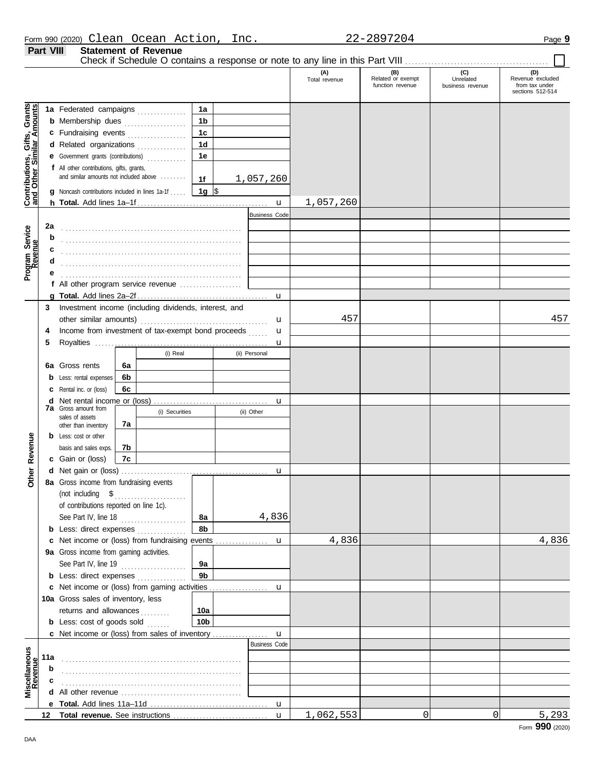| Form 990 (2020) Clean Ocean Action, |                             |  | Inc. | $-2897204$<br>22- | Page 9 |
|-------------------------------------|-----------------------------|--|------|-------------------|--------|
| <b>Part VIII</b>                    | <b>Statement of Revenue</b> |  |      |                   |        |

22-2897204

Check if Schedule O contains a response or note to any line in this Part VIII . . . . . . . . . . . . . . . . . . . . . . . . . . . . . . . . . . . . . . . . . . . .

 $\Box$ 

|                                                                  |     |                                                                                                                                                                                                                                                                                                                                                                                                                                                                                                                                                                  |    |                |                 |                      | (A)<br>Total revenue | (B)<br>Related or exempt<br>function revenue | (C)<br>Unrelated<br>business revenue | (D)<br>Revenue excluded<br>from tax under |
|------------------------------------------------------------------|-----|------------------------------------------------------------------------------------------------------------------------------------------------------------------------------------------------------------------------------------------------------------------------------------------------------------------------------------------------------------------------------------------------------------------------------------------------------------------------------------------------------------------------------------------------------------------|----|----------------|-----------------|----------------------|----------------------|----------------------------------------------|--------------------------------------|-------------------------------------------|
|                                                                  |     |                                                                                                                                                                                                                                                                                                                                                                                                                                                                                                                                                                  |    |                |                 |                      |                      |                                              |                                      | sections 512-514                          |
|                                                                  |     | 1a Federated campaigns                                                                                                                                                                                                                                                                                                                                                                                                                                                                                                                                           |    |                | 1a              |                      |                      |                                              |                                      |                                           |
|                                                                  |     | <b>b</b> Membership dues                                                                                                                                                                                                                                                                                                                                                                                                                                                                                                                                         |    | .              | 1b              |                      |                      |                                              |                                      |                                           |
|                                                                  |     | c Fundraising events                                                                                                                                                                                                                                                                                                                                                                                                                                                                                                                                             |    |                | 1 <sub>c</sub>  |                      |                      |                                              |                                      |                                           |
|                                                                  |     | d Related organizations                                                                                                                                                                                                                                                                                                                                                                                                                                                                                                                                          |    |                | 1d              |                      |                      |                                              |                                      |                                           |
|                                                                  |     | <b>e</b> Government grants (contributions)                                                                                                                                                                                                                                                                                                                                                                                                                                                                                                                       |    | .              | 1e              |                      |                      |                                              |                                      |                                           |
|                                                                  |     | f All other contributions, gifts, grants,                                                                                                                                                                                                                                                                                                                                                                                                                                                                                                                        |    |                |                 |                      |                      |                                              |                                      |                                           |
| <b>Contributions, Gifts, Grants</b><br>and Other Similar Amounts |     | and similar amounts not included above                                                                                                                                                                                                                                                                                                                                                                                                                                                                                                                           |    |                | 1f              | 1,057,260            |                      |                                              |                                      |                                           |
|                                                                  |     | Noncash contributions included in lines 1a-1f                                                                                                                                                                                                                                                                                                                                                                                                                                                                                                                    |    |                | 1g $\sqrt{5}$   |                      |                      |                                              |                                      |                                           |
|                                                                  |     |                                                                                                                                                                                                                                                                                                                                                                                                                                                                                                                                                                  |    |                |                 |                      | 1,057,260            |                                              |                                      |                                           |
|                                                                  |     |                                                                                                                                                                                                                                                                                                                                                                                                                                                                                                                                                                  |    |                |                 | <b>Business Code</b> |                      |                                              |                                      |                                           |
|                                                                  | 2a  |                                                                                                                                                                                                                                                                                                                                                                                                                                                                                                                                                                  |    |                |                 |                      |                      |                                              |                                      |                                           |
|                                                                  |     |                                                                                                                                                                                                                                                                                                                                                                                                                                                                                                                                                                  |    |                |                 |                      |                      |                                              |                                      |                                           |
|                                                                  | с   |                                                                                                                                                                                                                                                                                                                                                                                                                                                                                                                                                                  |    |                |                 |                      |                      |                                              |                                      |                                           |
| Program Service<br>Revenue                                       |     |                                                                                                                                                                                                                                                                                                                                                                                                                                                                                                                                                                  |    |                |                 |                      |                      |                                              |                                      |                                           |
|                                                                  |     |                                                                                                                                                                                                                                                                                                                                                                                                                                                                                                                                                                  |    |                |                 |                      |                      |                                              |                                      |                                           |
|                                                                  |     | f All other program service revenue                                                                                                                                                                                                                                                                                                                                                                                                                                                                                                                              |    |                |                 |                      |                      |                                              |                                      |                                           |
|                                                                  |     |                                                                                                                                                                                                                                                                                                                                                                                                                                                                                                                                                                  |    |                |                 |                      |                      |                                              |                                      |                                           |
|                                                                  | 3   | Investment income (including dividends, interest, and                                                                                                                                                                                                                                                                                                                                                                                                                                                                                                            |    |                |                 |                      | 457                  |                                              |                                      | 457                                       |
|                                                                  | 4   | other similar amounts)<br>Income from investment of tax-exempt bond proceeds                                                                                                                                                                                                                                                                                                                                                                                                                                                                                     |    |                |                 | u                    |                      |                                              |                                      |                                           |
|                                                                  | 5   |                                                                                                                                                                                                                                                                                                                                                                                                                                                                                                                                                                  |    |                |                 | u                    |                      |                                              |                                      |                                           |
|                                                                  |     |                                                                                                                                                                                                                                                                                                                                                                                                                                                                                                                                                                  |    | (i) Real       |                 | u<br>(ii) Personal   |                      |                                              |                                      |                                           |
|                                                                  |     | <b>6a</b> Gross rents                                                                                                                                                                                                                                                                                                                                                                                                                                                                                                                                            | 6a |                |                 |                      |                      |                                              |                                      |                                           |
|                                                                  |     | Less: rental expenses                                                                                                                                                                                                                                                                                                                                                                                                                                                                                                                                            | 6b |                |                 |                      |                      |                                              |                                      |                                           |
|                                                                  |     | Rental inc. or (loss)                                                                                                                                                                                                                                                                                                                                                                                                                                                                                                                                            | 6с |                |                 |                      |                      |                                              |                                      |                                           |
|                                                                  |     |                                                                                                                                                                                                                                                                                                                                                                                                                                                                                                                                                                  |    |                |                 | u                    |                      |                                              |                                      |                                           |
|                                                                  |     | <b>7a</b> Gross amount from                                                                                                                                                                                                                                                                                                                                                                                                                                                                                                                                      |    | (i) Securities |                 | (ii) Other           |                      |                                              |                                      |                                           |
|                                                                  |     | sales of assets<br>other than inventory                                                                                                                                                                                                                                                                                                                                                                                                                                                                                                                          | 7a |                |                 |                      |                      |                                              |                                      |                                           |
|                                                                  |     | <b>b</b> Less: cost or other                                                                                                                                                                                                                                                                                                                                                                                                                                                                                                                                     |    |                |                 |                      |                      |                                              |                                      |                                           |
|                                                                  |     | basis and sales exps.                                                                                                                                                                                                                                                                                                                                                                                                                                                                                                                                            | 7b |                |                 |                      |                      |                                              |                                      |                                           |
| Revenue                                                          |     | c Gain or (loss)                                                                                                                                                                                                                                                                                                                                                                                                                                                                                                                                                 | 7c |                |                 |                      |                      |                                              |                                      |                                           |
|                                                                  |     |                                                                                                                                                                                                                                                                                                                                                                                                                                                                                                                                                                  |    |                |                 | u                    |                      |                                              |                                      |                                           |
| Other                                                            |     | 8a Gross income from fundraising events                                                                                                                                                                                                                                                                                                                                                                                                                                                                                                                          |    |                |                 |                      |                      |                                              |                                      |                                           |
|                                                                  |     | $\left(\text{not including }\quad \text{$\$}\right)\qquad\qquad \text{and}\qquad \qquad \text{and}\qquad \qquad \text{and}\qquad \text{and}\qquad \text{and}\qquad \text{and}\qquad \text{and}\qquad \text{and}\qquad \text{and}\qquad \text{and}\qquad \text{and}\qquad \text{and}\qquad \text{and}\qquad \text{and}\qquad \text{and}\qquad \text{and}\qquad \text{and}\qquad \text{and}\qquad \text{and}\qquad \text{and}\qquad \text{and}\qquad \text{and}\qquad \text{and}\qquad \text{and}\qquad \text{and}\qquad \text{and}\qquad \text{and}\qquad \text{$ |    |                |                 |                      |                      |                                              |                                      |                                           |
|                                                                  |     | of contributions reported on line 1c).                                                                                                                                                                                                                                                                                                                                                                                                                                                                                                                           |    |                |                 |                      |                      |                                              |                                      |                                           |
|                                                                  |     | See Part IV, line 18                                                                                                                                                                                                                                                                                                                                                                                                                                                                                                                                             |    | . <b>.</b> .   | 8а              | 4,836                |                      |                                              |                                      |                                           |
|                                                                  |     | <b>b</b> Less: direct expenses                                                                                                                                                                                                                                                                                                                                                                                                                                                                                                                                   |    |                | 8b              |                      |                      |                                              |                                      |                                           |
|                                                                  |     | c Net income or (loss) from fundraising events                                                                                                                                                                                                                                                                                                                                                                                                                                                                                                                   |    |                |                 | $\mathbf{u}$         | 4,836                |                                              |                                      | 4,836                                     |
|                                                                  |     | 9a Gross income from gaming activities.                                                                                                                                                                                                                                                                                                                                                                                                                                                                                                                          |    |                |                 |                      |                      |                                              |                                      |                                           |
|                                                                  |     | See Part IV, line 19                                                                                                                                                                                                                                                                                                                                                                                                                                                                                                                                             |    |                | 9а              |                      |                      |                                              |                                      |                                           |
|                                                                  |     | <b>b</b> Less: direct expenses                                                                                                                                                                                                                                                                                                                                                                                                                                                                                                                                   |    |                | 9 <sub>b</sub>  |                      |                      |                                              |                                      |                                           |
|                                                                  |     |                                                                                                                                                                                                                                                                                                                                                                                                                                                                                                                                                                  |    |                |                 |                      |                      |                                              |                                      |                                           |
|                                                                  |     | 10a Gross sales of inventory, less                                                                                                                                                                                                                                                                                                                                                                                                                                                                                                                               |    |                |                 |                      |                      |                                              |                                      |                                           |
|                                                                  |     | returns and allowances                                                                                                                                                                                                                                                                                                                                                                                                                                                                                                                                           |    | 1.1.1.1        | 10a             |                      |                      |                                              |                                      |                                           |
|                                                                  |     | <b>b</b> Less: cost of goods sold                                                                                                                                                                                                                                                                                                                                                                                                                                                                                                                                |    |                | 10 <sub>b</sub> |                      |                      |                                              |                                      |                                           |
|                                                                  |     |                                                                                                                                                                                                                                                                                                                                                                                                                                                                                                                                                                  |    |                |                 |                      |                      |                                              |                                      |                                           |
|                                                                  |     |                                                                                                                                                                                                                                                                                                                                                                                                                                                                                                                                                                  |    |                |                 | <b>Business Code</b> |                      |                                              |                                      |                                           |
|                                                                  | 11a |                                                                                                                                                                                                                                                                                                                                                                                                                                                                                                                                                                  |    |                |                 |                      |                      |                                              |                                      |                                           |
| Miscellaneous<br>Revenue                                         | b   |                                                                                                                                                                                                                                                                                                                                                                                                                                                                                                                                                                  |    |                |                 |                      |                      |                                              |                                      |                                           |
|                                                                  |     |                                                                                                                                                                                                                                                                                                                                                                                                                                                                                                                                                                  |    |                |                 |                      |                      |                                              |                                      |                                           |
|                                                                  |     |                                                                                                                                                                                                                                                                                                                                                                                                                                                                                                                                                                  |    |                |                 |                      |                      |                                              |                                      |                                           |
|                                                                  | 12  |                                                                                                                                                                                                                                                                                                                                                                                                                                                                                                                                                                  |    |                |                 |                      | 1,062,553            | $\mathbf 0$                                  | 0                                    | 5,293                                     |
|                                                                  |     |                                                                                                                                                                                                                                                                                                                                                                                                                                                                                                                                                                  |    |                |                 |                      |                      |                                              |                                      |                                           |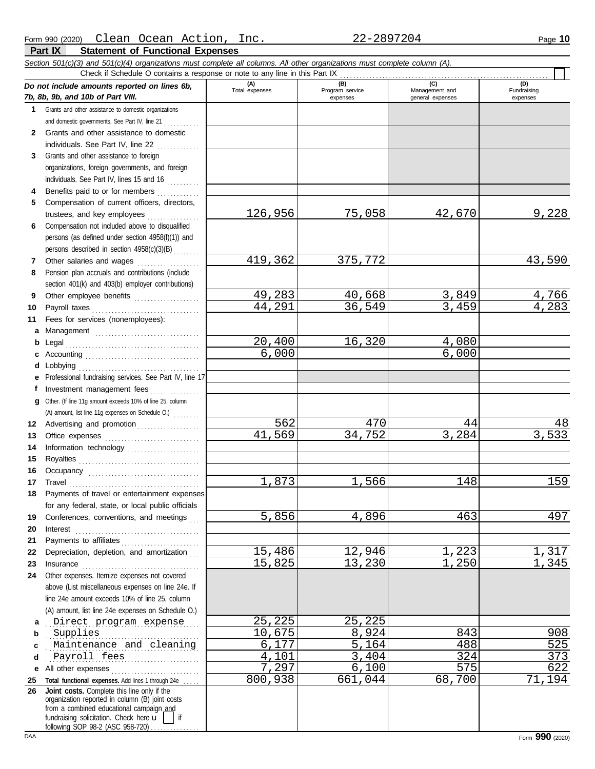|          | Section 501(c)(3) and 501(c)(4) organizations must complete all columns. All other organizations must complete column (A).<br>Check if Schedule O contains a response or note to any line in this Part IX                                                                                                                                                                                                                                                  |                 |                             |                                    |                         |
|----------|------------------------------------------------------------------------------------------------------------------------------------------------------------------------------------------------------------------------------------------------------------------------------------------------------------------------------------------------------------------------------------------------------------------------------------------------------------|-----------------|-----------------------------|------------------------------------|-------------------------|
|          | Do not include amounts reported on lines 6b,                                                                                                                                                                                                                                                                                                                                                                                                               | (A)             | (B)                         | (C)                                | (D)                     |
|          | 7b, 8b, 9b, and 10b of Part VIII.                                                                                                                                                                                                                                                                                                                                                                                                                          | Total expenses  | Program service<br>expenses | Management and<br>general expenses | Fundraising<br>expenses |
|          | 1 Grants and other assistance to domestic organizations                                                                                                                                                                                                                                                                                                                                                                                                    |                 |                             |                                    |                         |
|          | and domestic governments. See Part IV, line 21                                                                                                                                                                                                                                                                                                                                                                                                             |                 |                             |                                    |                         |
| 2        | Grants and other assistance to domestic                                                                                                                                                                                                                                                                                                                                                                                                                    |                 |                             |                                    |                         |
|          | individuals. See Part IV, line 22                                                                                                                                                                                                                                                                                                                                                                                                                          |                 |                             |                                    |                         |
| 3        | Grants and other assistance to foreign                                                                                                                                                                                                                                                                                                                                                                                                                     |                 |                             |                                    |                         |
|          | organizations, foreign governments, and foreign                                                                                                                                                                                                                                                                                                                                                                                                            |                 |                             |                                    |                         |
|          | individuals. See Part IV, lines 15 and 16                                                                                                                                                                                                                                                                                                                                                                                                                  |                 |                             |                                    |                         |
| 4        | Benefits paid to or for members                                                                                                                                                                                                                                                                                                                                                                                                                            |                 |                             |                                    |                         |
| 5        | Compensation of current officers, directors,                                                                                                                                                                                                                                                                                                                                                                                                               |                 |                             |                                    |                         |
|          | trustees, and key employees                                                                                                                                                                                                                                                                                                                                                                                                                                | 126,956         | 75,058                      | 42,670                             | 9,228                   |
| 6        | Compensation not included above to disqualified                                                                                                                                                                                                                                                                                                                                                                                                            |                 |                             |                                    |                         |
|          | persons (as defined under section 4958(f)(1)) and                                                                                                                                                                                                                                                                                                                                                                                                          |                 |                             |                                    |                         |
|          | persons described in section 4958(c)(3)(B)                                                                                                                                                                                                                                                                                                                                                                                                                 |                 |                             |                                    |                         |
| 7        | Other salaries and wages                                                                                                                                                                                                                                                                                                                                                                                                                                   | 419,362         | 375,772                     |                                    | 43,590                  |
| 8        | Pension plan accruals and contributions (include                                                                                                                                                                                                                                                                                                                                                                                                           |                 |                             |                                    |                         |
|          | section 401(k) and 403(b) employer contributions)                                                                                                                                                                                                                                                                                                                                                                                                          |                 |                             |                                    |                         |
| 9        | Other employee benefits                                                                                                                                                                                                                                                                                                                                                                                                                                    | 49,283          | 40,668                      | 3,849                              | 4,766                   |
| 10       | Payroll taxes                                                                                                                                                                                                                                                                                                                                                                                                                                              | 44,291          | 36,549                      | 3,459                              | 4,283                   |
| 11       | Fees for services (nonemployees):                                                                                                                                                                                                                                                                                                                                                                                                                          |                 |                             |                                    |                         |
| a        |                                                                                                                                                                                                                                                                                                                                                                                                                                                            |                 |                             |                                    |                         |
| b        | Legal                                                                                                                                                                                                                                                                                                                                                                                                                                                      | 20,400<br>6,000 | 16,320                      | 4,080<br>6,000                     |                         |
| с        |                                                                                                                                                                                                                                                                                                                                                                                                                                                            |                 |                             |                                    |                         |
| d        |                                                                                                                                                                                                                                                                                                                                                                                                                                                            |                 |                             |                                    |                         |
| е        | Professional fundraising services. See Part IV, line 17                                                                                                                                                                                                                                                                                                                                                                                                    |                 |                             |                                    |                         |
| f        | Investment management fees                                                                                                                                                                                                                                                                                                                                                                                                                                 |                 |                             |                                    |                         |
| g        | Other. (If line 11g amount exceeds 10% of line 25, column                                                                                                                                                                                                                                                                                                                                                                                                  |                 |                             |                                    |                         |
|          | (A) amount, list line 11g expenses on Schedule O.)                                                                                                                                                                                                                                                                                                                                                                                                         | 562             | 470                         | 44                                 | 48                      |
| 12       | Advertising and promotion                                                                                                                                                                                                                                                                                                                                                                                                                                  | 41,569          | 34,752                      | 3,284                              | 3,533                   |
| 13<br>14 |                                                                                                                                                                                                                                                                                                                                                                                                                                                            |                 |                             |                                    |                         |
| 15       | Information technology                                                                                                                                                                                                                                                                                                                                                                                                                                     |                 |                             |                                    |                         |
| 16       |                                                                                                                                                                                                                                                                                                                                                                                                                                                            |                 |                             |                                    |                         |
| 17       |                                                                                                                                                                                                                                                                                                                                                                                                                                                            | 1,873           | 1,566                       | 148                                | 159                     |
|          | Payments of travel or entertainment expenses                                                                                                                                                                                                                                                                                                                                                                                                               |                 |                             |                                    |                         |
|          | for any federal, state, or local public officials                                                                                                                                                                                                                                                                                                                                                                                                          |                 |                             |                                    |                         |
| 19       | Conferences, conventions, and meetings                                                                                                                                                                                                                                                                                                                                                                                                                     | 5,856           | 4,896                       | 463                                | 497                     |
| 20       | Interest                                                                                                                                                                                                                                                                                                                                                                                                                                                   |                 |                             |                                    |                         |
| 21       |                                                                                                                                                                                                                                                                                                                                                                                                                                                            |                 |                             |                                    |                         |
| 22       | Depreciation, depletion, and amortization                                                                                                                                                                                                                                                                                                                                                                                                                  | 15,486          | 12,946                      | 1,223                              | 1,317                   |
| 23       | $In surface \begin{tabular}{l} \hline \textbf{m} & \textbf{m} & \textbf{m} \\ \hline \textbf{m} & \textbf{m} & \textbf{m} \\ \hline \textbf{m} & \textbf{m} & \textbf{m} \\ \hline \textbf{m} & \textbf{m} & \textbf{m} \\ \hline \textbf{m} & \textbf{m} & \textbf{m} \\ \hline \textbf{m} & \textbf{m} & \textbf{m} \\ \hline \textbf{m} & \textbf{m} & \textbf{m} \\ \hline \textbf{m} & \textbf{m} & \textbf{m} \\ \hline \textbf{m} & \textbf{m} & \$ | 15,825          | 13,230                      | 1,250                              | 1,345                   |
| 24       | Other expenses. Itemize expenses not covered                                                                                                                                                                                                                                                                                                                                                                                                               |                 |                             |                                    |                         |
|          | above (List miscellaneous expenses on line 24e. If                                                                                                                                                                                                                                                                                                                                                                                                         |                 |                             |                                    |                         |
|          | line 24e amount exceeds 10% of line 25, column                                                                                                                                                                                                                                                                                                                                                                                                             |                 |                             |                                    |                         |
|          | (A) amount, list line 24e expenses on Schedule O.)                                                                                                                                                                                                                                                                                                                                                                                                         |                 |                             |                                    |                         |
| a        | Direct program expense                                                                                                                                                                                                                                                                                                                                                                                                                                     | 25,225          | 25,225                      |                                    |                         |
| b        | Supplies                                                                                                                                                                                                                                                                                                                                                                                                                                                   | 10,675          | 8,924                       | 843                                | 908                     |
| c        | Maintenance and cleaning                                                                                                                                                                                                                                                                                                                                                                                                                                   | 6,177           | 5,164                       | 488                                | 525                     |
| d        | Payroll fees                                                                                                                                                                                                                                                                                                                                                                                                                                               | 4,101           | 3,404                       | 324                                | 373                     |
| е        | All other expenses                                                                                                                                                                                                                                                                                                                                                                                                                                         | 7,297           | 6,100                       | 575                                | 622                     |
| 25       | Total functional expenses. Add lines 1 through 24e                                                                                                                                                                                                                                                                                                                                                                                                         | 800,938         | 661,044                     | 68,700                             | 71,194                  |
| 26       | Joint costs. Complete this line only if the                                                                                                                                                                                                                                                                                                                                                                                                                |                 |                             |                                    |                         |
|          | organization reported in column (B) joint costs<br>from a combined educational campaign and                                                                                                                                                                                                                                                                                                                                                                |                 |                             |                                    |                         |
|          | fundraising solicitation. Check here $\mathbf{u}$  <br>l if                                                                                                                                                                                                                                                                                                                                                                                                |                 |                             |                                    |                         |
|          | following SOP 98-2 (ASC 958-720)                                                                                                                                                                                                                                                                                                                                                                                                                           |                 |                             |                                    |                         |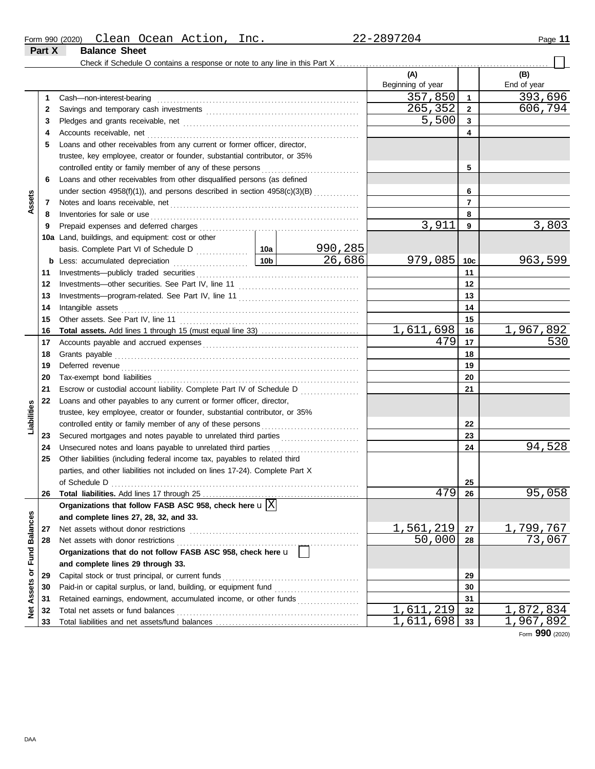| Form 990 (2020) | Clean                | Ocean | Action | Inc. | 2897204<br>$\triangle$ $\angle$ $-$ | Page |
|-----------------|----------------------|-------|--------|------|-------------------------------------|------|
| Part X          | <b>Balance Sheet</b> |       |        |      |                                     |      |

|                 |    |                                                                                                                                                                                                                                     |         | (A)               |                | (B)         |
|-----------------|----|-------------------------------------------------------------------------------------------------------------------------------------------------------------------------------------------------------------------------------------|---------|-------------------|----------------|-------------|
|                 |    |                                                                                                                                                                                                                                     |         | Beginning of year |                | End of year |
|                 | 1  | Cash-non-interest-bearing                                                                                                                                                                                                           |         | 357,850           | $\mathbf{1}$   | 393,696     |
|                 | 2  |                                                                                                                                                                                                                                     |         | 265,352           | $\overline{2}$ | 606,794     |
|                 | 3  |                                                                                                                                                                                                                                     |         | 5,500             | 3              |             |
|                 | 4  | Accounts receivable, net                                                                                                                                                                                                            |         |                   | 4              |             |
|                 | 5. | Loans and other receivables from any current or former officer, director,                                                                                                                                                           |         |                   |                |             |
|                 |    | trustee, key employee, creator or founder, substantial contributor, or 35%                                                                                                                                                          |         |                   |                |             |
|                 |    | controlled entity or family member of any of these persons                                                                                                                                                                          |         |                   | 5              |             |
|                 | 6  | Loans and other receivables from other disqualified persons (as defined                                                                                                                                                             |         |                   |                |             |
|                 |    | under section 4958(f)(1)), and persons described in section 4958(c)(3)(B)                                                                                                                                                           |         |                   | 6              |             |
| Assets          | 7  |                                                                                                                                                                                                                                     |         |                   | 7              |             |
|                 | 8  | Inventories for sale or use <i>communication</i> and the state of the state or use of the state of the state of the state of the state of the state of the state of the state of the state of the state of the state of the state o |         |                   | 8              |             |
|                 | 9  |                                                                                                                                                                                                                                     |         | 3,911             | 9              | 3,803       |
|                 |    | 10a Land, buildings, and equipment: cost or other                                                                                                                                                                                   |         |                   |                |             |
|                 |    |                                                                                                                                                                                                                                     | 990,285 |                   |                |             |
|                 |    |                                                                                                                                                                                                                                     | 26,686  | 979,085           | 10c            | 963,599     |
|                 | 11 |                                                                                                                                                                                                                                     |         |                   | 11             |             |
|                 | 12 |                                                                                                                                                                                                                                     |         |                   | 12             |             |
|                 | 13 |                                                                                                                                                                                                                                     |         |                   | 13             |             |
|                 | 14 | Intangible assets with a control of the control of the control of the control of the control of the control of the control of the control of the control of the control of the control of the control of the control of the co      |         |                   | 14             |             |
|                 | 15 |                                                                                                                                                                                                                                     |         |                   | 15             |             |
|                 | 16 |                                                                                                                                                                                                                                     |         | 1,611,698         | 16             | 1,967,892   |
|                 | 17 |                                                                                                                                                                                                                                     |         | 479               | 17             | 530         |
|                 | 18 |                                                                                                                                                                                                                                     |         |                   | 18             |             |
|                 | 19 |                                                                                                                                                                                                                                     |         |                   | 19             |             |
|                 | 20 |                                                                                                                                                                                                                                     |         |                   | 20             |             |
|                 | 21 | Escrow or custodial account liability. Complete Part IV of Schedule D                                                                                                                                                               |         |                   | 21             |             |
|                 | 22 | Loans and other payables to any current or former officer, director,                                                                                                                                                                |         |                   |                |             |
| Liabilities     |    | trustee, key employee, creator or founder, substantial contributor, or 35%                                                                                                                                                          |         |                   |                |             |
|                 |    |                                                                                                                                                                                                                                     |         |                   | 22             |             |
|                 | 23 | Secured mortgages and notes payable to unrelated third parties [111] Secured mortgages and notes payable to unrelated third parties                                                                                                 |         |                   | 23             |             |
|                 | 24 | Unsecured notes and loans payable to unrelated third parties                                                                                                                                                                        |         |                   | 24             | 94,528      |
|                 | 25 | Other liabilities (including federal income tax, payables to related third                                                                                                                                                          |         |                   |                |             |
|                 |    | parties, and other liabilities not included on lines 17-24). Complete Part X                                                                                                                                                        |         |                   |                |             |
|                 |    |                                                                                                                                                                                                                                     |         |                   | 25             |             |
|                 | 26 |                                                                                                                                                                                                                                     |         | 479               | 26             | 95,058      |
|                 |    | Organizations that follow FASB ASC 958, check here $\mathbf{u}[\overline{X}]$                                                                                                                                                       |         |                   |                |             |
|                 |    | and complete lines 27, 28, 32, and 33.                                                                                                                                                                                              |         |                   |                |             |
| <b>Balances</b> | 27 | Net assets without donor restrictions                                                                                                                                                                                               |         | 1,561,219         | 27             | 1,799,767   |
|                 | 28 | Net assets with donor restrictions                                                                                                                                                                                                  |         | 50,000            | 28             | 73,067      |
| Fund            |    | Organizations that do not follow FASB ASC 958, check here u                                                                                                                                                                         |         |                   |                |             |
|                 |    | and complete lines 29 through 33.                                                                                                                                                                                                   |         |                   |                |             |
| ŏ               | 29 | Capital stock or trust principal, or current funds                                                                                                                                                                                  |         |                   | 29             |             |
|                 | 30 |                                                                                                                                                                                                                                     |         |                   | 30             |             |
| Assets          | 31 | Retained earnings, endowment, accumulated income, or other funds                                                                                                                                                                    |         |                   | 31             |             |
| ğ               | 32 | Total net assets or fund balances                                                                                                                                                                                                   |         | 1,611,219         | 32             | 1,872,834   |
|                 | 33 |                                                                                                                                                                                                                                     |         | 1,611,698         | 33             | 1,967,892   |

Form **990** (2020)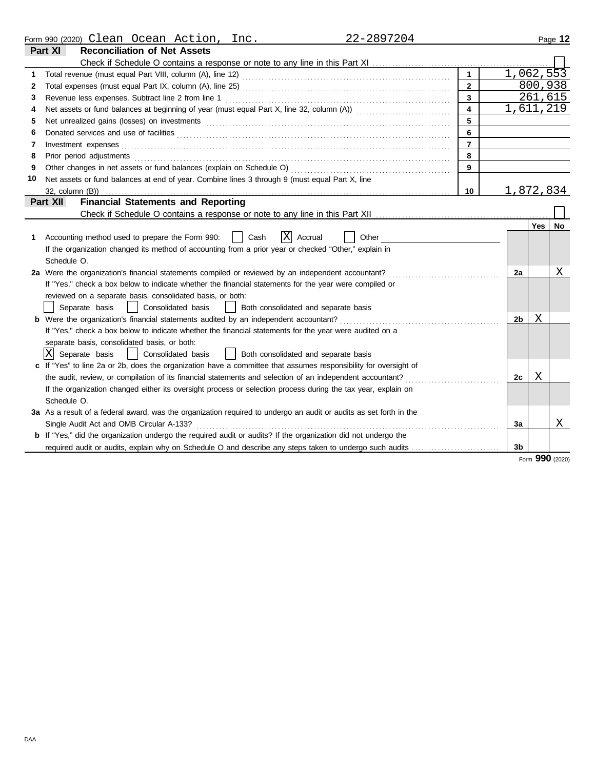|    | 22-2897204<br>Form 990 (2020) Clean Ocean Action, Inc.                                                                                                                                                                         |                         |           |         | Page 12   |
|----|--------------------------------------------------------------------------------------------------------------------------------------------------------------------------------------------------------------------------------|-------------------------|-----------|---------|-----------|
|    | Part XI<br><b>Reconciliation of Net Assets</b>                                                                                                                                                                                 |                         |           |         |           |
|    |                                                                                                                                                                                                                                |                         |           |         |           |
| 1  |                                                                                                                                                                                                                                |                         | 1,062,553 |         |           |
| 2  |                                                                                                                                                                                                                                | $\overline{2}$          |           | 800,938 |           |
| 3  | Revenue less expenses. Subtract line 2 from line 1                                                                                                                                                                             | $\mathbf{3}$            |           | 261,615 |           |
| 4  |                                                                                                                                                                                                                                | $\overline{\mathbf{4}}$ | 1,611,219 |         |           |
| 5  |                                                                                                                                                                                                                                | 5                       |           |         |           |
| 6  | Donated services and use of facilities <b>constructs</b> and the construction of the service of facilities <b>constructs</b>                                                                                                   | 6                       |           |         |           |
| 7  | Investment expenses <b>contract and the expenses contract and the expenses contract and the expenses</b>                                                                                                                       | $\overline{7}$          |           |         |           |
| 8  | Prior period adjustments contains and a series and adjustments and a series and an analysis of the series and an analysis of the series and an analysis of the series and an analysis of the series of the series and an analy | 8                       |           |         |           |
| 9  |                                                                                                                                                                                                                                | 9                       |           |         |           |
| 10 | Net assets or fund balances at end of year. Combine lines 3 through 9 (must equal Part X, line                                                                                                                                 |                         |           |         |           |
|    |                                                                                                                                                                                                                                | 10                      | 1,872,834 |         |           |
|    | <b>Financial Statements and Reporting</b><br>Part XII                                                                                                                                                                          |                         |           |         |           |
|    |                                                                                                                                                                                                                                |                         |           |         |           |
|    | X<br>Accounting method used to prepare the Form 990:<br>Cash<br>Accrual<br>Other<br>If the organization changed its method of accounting from a prior year or checked "Other," explain in<br>Schedule O.                       |                         |           | Yes     | <b>No</b> |
|    | 2a Were the organization's financial statements compiled or reviewed by an independent accountant?                                                                                                                             |                         | 2a        |         | X         |
|    | If "Yes," check a box below to indicate whether the financial statements for the year were compiled or                                                                                                                         |                         |           |         |           |
|    | reviewed on a separate basis, consolidated basis, or both:                                                                                                                                                                     |                         |           |         |           |
|    | Consolidated basis<br>Separate basis<br>Both consolidated and separate basis                                                                                                                                                   |                         |           |         |           |
|    | <b>b</b> Were the organization's financial statements audited by an independent accountant?                                                                                                                                    |                         | 2b        | Χ       |           |
|    | If "Yes," check a box below to indicate whether the financial statements for the year were audited on a                                                                                                                        |                         |           |         |           |
|    | separate basis, consolidated basis, or both:                                                                                                                                                                                   |                         |           |         |           |
|    | lxl<br>Both consolidated and separate basis<br>Separate basis<br>Consolidated basis<br>$\mathbf{I}$                                                                                                                            |                         |           |         |           |
|    | c If "Yes" to line 2a or 2b, does the organization have a committee that assumes responsibility for oversight of                                                                                                               |                         |           |         |           |
|    | the audit, review, or compilation of its financial statements and selection of an independent accountant?                                                                                                                      |                         | 2с        | Χ       |           |
|    | If the organization changed either its oversight process or selection process during the tax year, explain on                                                                                                                  |                         |           |         |           |
|    | Schedule O.                                                                                                                                                                                                                    |                         |           |         |           |
|    | 3a As a result of a federal award, was the organization required to undergo an audit or audits as set forth in the                                                                                                             |                         |           |         |           |
|    | Single Audit Act and OMB Circular A-133?                                                                                                                                                                                       |                         | 3a        |         | X         |
|    |                                                                                                                                                                                                                                |                         |           |         |           |

**3b b** If "Yes," did the organization undergo the required audit or audits? If the organization did not undergo the required audit or audits, explain why on Schedule O and describe any steps taken to undergo such audits

Form **990** (2020)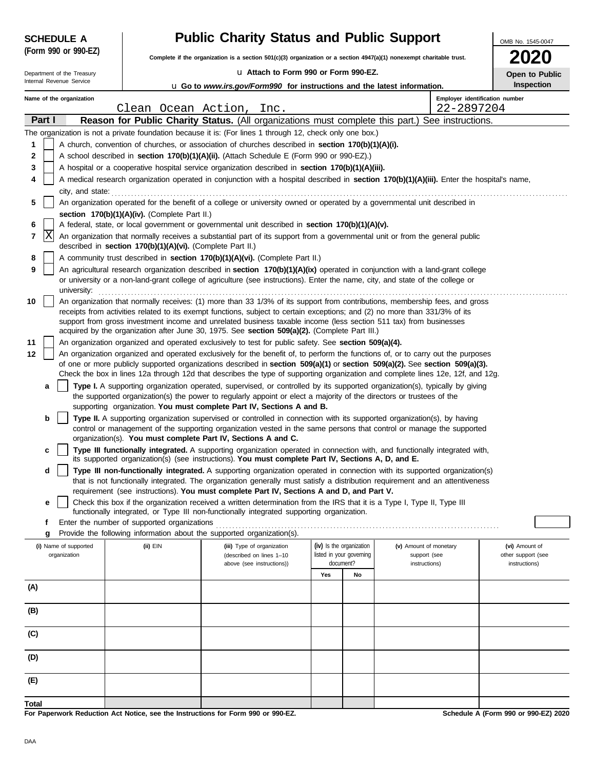| <b>SCHEDULE A</b>                     |                                                            | <b>Public Charity Status and Public Support</b>                                                                                                                                                                                                     |                                                      |    |                                        | OMB No. 1545-0047                    |
|---------------------------------------|------------------------------------------------------------|-----------------------------------------------------------------------------------------------------------------------------------------------------------------------------------------------------------------------------------------------------|------------------------------------------------------|----|----------------------------------------|--------------------------------------|
| (Form 990 or 990-EZ)                  |                                                            | Complete if the organization is a section $501(c)(3)$ organization or a section $4947(a)(1)$ nonexempt charitable trust.                                                                                                                            |                                                      |    |                                        |                                      |
| Department of the Treasury            |                                                            | La Attach to Form 990 or Form 990-EZ.                                                                                                                                                                                                               |                                                      |    |                                        | Open to Public                       |
| Internal Revenue Service              |                                                            | <b>u</b> Go to <i>www.irs.gov/Form990</i> for instructions and the latest information.                                                                                                                                                              |                                                      |    |                                        | Inspection                           |
| Name of the organization              |                                                            |                                                                                                                                                                                                                                                     |                                                      |    | Employer identification number         |                                      |
|                                       |                                                            | Clean Ocean Action, Inc.                                                                                                                                                                                                                            |                                                      |    | 22-2897204                             |                                      |
| Part I                                |                                                            | Reason for Public Charity Status. (All organizations must complete this part.) See instructions.                                                                                                                                                    |                                                      |    |                                        |                                      |
| 1                                     |                                                            | The organization is not a private foundation because it is: (For lines 1 through 12, check only one box.)<br>A church, convention of churches, or association of churches described in <b>section 170(b)(1)(A)(i).</b>                              |                                                      |    |                                        |                                      |
| $\mathbf{2}$                          |                                                            | A school described in <b>section 170(b)(1)(A)(ii).</b> (Attach Schedule E (Form 990 or 990-EZ).)                                                                                                                                                    |                                                      |    |                                        |                                      |
| 3                                     |                                                            | A hospital or a cooperative hospital service organization described in section 170(b)(1)(A)(iii).                                                                                                                                                   |                                                      |    |                                        |                                      |
| 4                                     |                                                            | A medical research organization operated in conjunction with a hospital described in section 170(b)(1)(A)(iii). Enter the hospital's name,                                                                                                          |                                                      |    |                                        |                                      |
| city, and state:                      |                                                            |                                                                                                                                                                                                                                                     |                                                      |    |                                        |                                      |
| 5                                     |                                                            | An organization operated for the benefit of a college or university owned or operated by a governmental unit described in                                                                                                                           |                                                      |    |                                        |                                      |
|                                       | section 170(b)(1)(A)(iv). (Complete Part II.)              |                                                                                                                                                                                                                                                     |                                                      |    |                                        |                                      |
| 6                                     |                                                            | A federal, state, or local government or governmental unit described in section 170(b)(1)(A)(v).                                                                                                                                                    |                                                      |    |                                        |                                      |
| X<br>7                                | described in section 170(b)(1)(A)(vi). (Complete Part II.) | An organization that normally receives a substantial part of its support from a governmental unit or from the general public                                                                                                                        |                                                      |    |                                        |                                      |
| 8                                     |                                                            | A community trust described in section 170(b)(1)(A)(vi). (Complete Part II.)                                                                                                                                                                        |                                                      |    |                                        |                                      |
| 9                                     |                                                            | An agricultural research organization described in section 170(b)(1)(A)(ix) operated in conjunction with a land-grant college                                                                                                                       |                                                      |    |                                        |                                      |
| university:                           |                                                            | or university or a non-land-grant college of agriculture (see instructions). Enter the name, city, and state of the college or                                                                                                                      |                                                      |    |                                        |                                      |
| 10                                    |                                                            | An organization that normally receives: (1) more than 33 1/3% of its support from contributions, membership fees, and gross                                                                                                                         |                                                      |    |                                        |                                      |
|                                       |                                                            | receipts from activities related to its exempt functions, subject to certain exceptions; and (2) no more than 331/3% of its                                                                                                                         |                                                      |    |                                        |                                      |
|                                       |                                                            | support from gross investment income and unrelated business taxable income (less section 511 tax) from businesses<br>acquired by the organization after June 30, 1975. See section 509(a)(2). (Complete Part III.)                                  |                                                      |    |                                        |                                      |
| 11                                    |                                                            | An organization organized and operated exclusively to test for public safety. See section 509(a)(4).                                                                                                                                                |                                                      |    |                                        |                                      |
| 12                                    |                                                            | An organization organized and operated exclusively for the benefit of, to perform the functions of, or to carry out the purposes                                                                                                                    |                                                      |    |                                        |                                      |
|                                       |                                                            | of one or more publicly supported organizations described in section 509(a)(1) or section 509(a)(2). See section 509(a)(3).                                                                                                                         |                                                      |    |                                        |                                      |
|                                       |                                                            | Check the box in lines 12a through 12d that describes the type of supporting organization and complete lines 12e, 12f, and 12g.                                                                                                                     |                                                      |    |                                        |                                      |
| a                                     |                                                            | Type I. A supporting organization operated, supervised, or controlled by its supported organization(s), typically by giving<br>the supported organization(s) the power to regularly appoint or elect a majority of the directors or trustees of the |                                                      |    |                                        |                                      |
|                                       |                                                            | supporting organization. You must complete Part IV, Sections A and B.                                                                                                                                                                               |                                                      |    |                                        |                                      |
| b                                     |                                                            | Type II. A supporting organization supervised or controlled in connection with its supported organization(s), by having                                                                                                                             |                                                      |    |                                        |                                      |
|                                       |                                                            | control or management of the supporting organization vested in the same persons that control or manage the supported<br>organization(s). You must complete Part IV, Sections A and C.                                                               |                                                      |    |                                        |                                      |
| C                                     |                                                            | Type III functionally integrated. A supporting organization operated in connection with, and functionally integrated with,                                                                                                                          |                                                      |    |                                        |                                      |
|                                       |                                                            | its supported organization(s) (see instructions). You must complete Part IV, Sections A, D, and E.                                                                                                                                                  |                                                      |    |                                        |                                      |
| d                                     |                                                            | Type III non-functionally integrated. A supporting organization operated in connection with its supported organization(s)                                                                                                                           |                                                      |    |                                        |                                      |
|                                       |                                                            | that is not functionally integrated. The organization generally must satisfy a distribution requirement and an attentiveness<br>requirement (see instructions). You must complete Part IV, Sections A and D, and Part V.                            |                                                      |    |                                        |                                      |
| е                                     |                                                            | Check this box if the organization received a written determination from the IRS that it is a Type I, Type II, Type III                                                                                                                             |                                                      |    |                                        |                                      |
|                                       |                                                            | functionally integrated, or Type III non-functionally integrated supporting organization.                                                                                                                                                           |                                                      |    |                                        |                                      |
| f                                     | Enter the number of supported organizations                |                                                                                                                                                                                                                                                     |                                                      |    |                                        |                                      |
| g                                     |                                                            | Provide the following information about the supported organization(s).                                                                                                                                                                              |                                                      |    |                                        |                                      |
| (i) Name of supported<br>organization | $(ii)$ EIN                                                 | (iii) Type of organization<br>(described on lines 1-10                                                                                                                                                                                              | (iv) Is the organization<br>listed in your governing |    | (v) Amount of monetary<br>support (see | (vi) Amount of<br>other support (see |
|                                       |                                                            | above (see instructions))                                                                                                                                                                                                                           | document?                                            |    | instructions)                          | instructions)                        |
|                                       |                                                            |                                                                                                                                                                                                                                                     | Yes                                                  | No |                                        |                                      |
| (A)                                   |                                                            |                                                                                                                                                                                                                                                     |                                                      |    |                                        |                                      |
| (B)                                   |                                                            |                                                                                                                                                                                                                                                     |                                                      |    |                                        |                                      |
|                                       |                                                            |                                                                                                                                                                                                                                                     |                                                      |    |                                        |                                      |
| (C)                                   |                                                            |                                                                                                                                                                                                                                                     |                                                      |    |                                        |                                      |
|                                       |                                                            |                                                                                                                                                                                                                                                     |                                                      |    |                                        |                                      |
| (D)                                   |                                                            |                                                                                                                                                                                                                                                     |                                                      |    |                                        |                                      |
| (E)                                   |                                                            |                                                                                                                                                                                                                                                     |                                                      |    |                                        |                                      |
|                                       |                                                            |                                                                                                                                                                                                                                                     |                                                      |    |                                        |                                      |
| Total                                 |                                                            | For Paperwork Poduction Act Notice, see the Instructions for Form 000 or 000-F7                                                                                                                                                                     |                                                      |    |                                        | Schodule A (Form 000 or 000-F7) 2020 |

For Paperwork Reduction Act Notice, see the Instructions for Form 990 or 990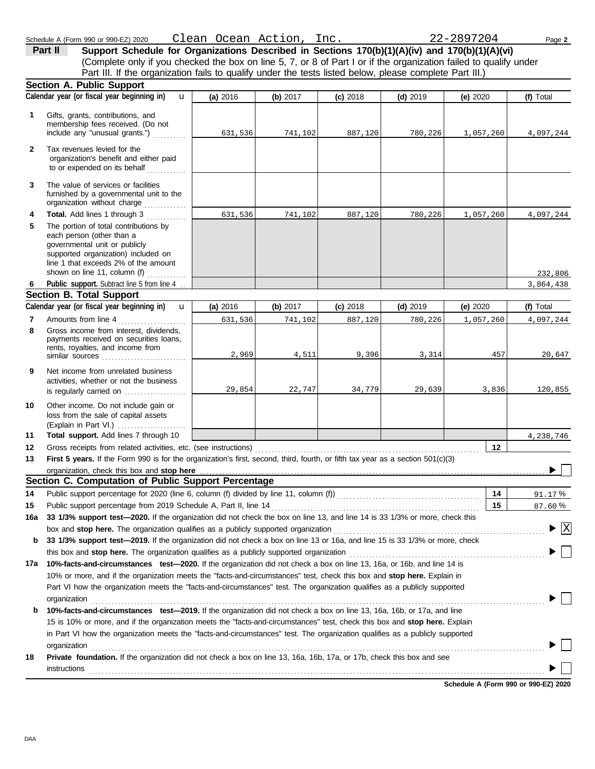DAA

**12 11**

**Total support.** Add lines 7 through 10

|              | Schedule A (Form 990 or 990-EZ) 2020                                                                                                                                                                                                                                                                                                      | Clean Ocean Action, Inc. 22-2897204 |            |            |            |            | Page 2    |
|--------------|-------------------------------------------------------------------------------------------------------------------------------------------------------------------------------------------------------------------------------------------------------------------------------------------------------------------------------------------|-------------------------------------|------------|------------|------------|------------|-----------|
|              | Support Schedule for Organizations Described in Sections 170(b)(1)(A)(iv) and 170(b)(1)(A)(vi)<br>Part II<br>(Complete only if you checked the box on line 5, 7, or 8 of Part I or if the organization failed to qualify under<br>Part III. If the organization fails to qualify under the tests listed below, please complete Part III.) |                                     |            |            |            |            |           |
|              | Section A. Public Support                                                                                                                                                                                                                                                                                                                 |                                     |            |            |            |            |           |
|              | Calendar year (or fiscal year beginning in)<br>$\mathbf{u}$                                                                                                                                                                                                                                                                               | (a) 2016                            | (b) $2017$ | $(c)$ 2018 | $(d)$ 2019 | (e) $2020$ | (f) Total |
| 1            | Gifts, grants, contributions, and<br>membership fees received. (Do not<br>include any "unusual grants.")                                                                                                                                                                                                                                  | 631,536                             | 741,102    | 887,120    | 780,226    | 1,057,260  | 4,097,244 |
| $\mathbf{2}$ | Tax revenues levied for the<br>organization's benefit and either paid<br>to or expended on its behalf                                                                                                                                                                                                                                     |                                     |            |            |            |            |           |
| 3            | The value of services or facilities<br>furnished by a governmental unit to the<br>organization without charge                                                                                                                                                                                                                             |                                     |            |            |            |            |           |
| 4            | Total. Add lines 1 through 3                                                                                                                                                                                                                                                                                                              | 631,536                             | 741,102    | 887,120    | 780,226    | 1,057,260  | 4,097,244 |
| 5            | The portion of total contributions by<br>each person (other than a<br>governmental unit or publicly<br>supported organization) included on<br>line 1 that exceeds 2% of the amount<br>shown on line 11, column (f) $\ldots$                                                                                                               |                                     |            |            |            |            | 232,806   |
| 6            | Public support. Subtract line 5 from line 4                                                                                                                                                                                                                                                                                               |                                     |            |            |            |            | 3,864,438 |
|              | <b>Section B. Total Support</b>                                                                                                                                                                                                                                                                                                           |                                     |            |            |            |            |           |
|              | Calendar year (or fiscal year beginning in)<br>$\mathbf{u}$                                                                                                                                                                                                                                                                               | (a) 2016                            | (b) $2017$ | $(c)$ 2018 | $(d)$ 2019 | (e) $2020$ | (f) Total |
| 7            | Amounts from line 4                                                                                                                                                                                                                                                                                                                       | 631,536                             | 741,102    | 887,120    | 780,226    | 1,057,260  | 4,097,244 |
| 8            | Gross income from interest, dividends,<br>payments received on securities loans,<br>rents, royalties, and income from                                                                                                                                                                                                                     | 2,969                               | 4,511      | 9,396      | 3,314      | 457        | 20,647    |
| 9            | Net income from unrelated business<br>activities, whether or not the business<br>is regularly carried on $\ldots$                                                                                                                                                                                                                         | 29,854                              | 22,747     | 34,779     | 29,639     | 3,836      | 120,855   |
| 10           | Other income. Do not include gain or<br>loss from the sale of capital assets<br>(Explain in Part VI.)                                                                                                                                                                                                                                     |                                     |            |            |            |            |           |

| 12  |                                                                                                                                 |     |        |  |  |  |  |  |
|-----|---------------------------------------------------------------------------------------------------------------------------------|-----|--------|--|--|--|--|--|
| 13  | First 5 years. If the Form 990 is for the organization's first, second, third, fourth, or fifth tax year as a section 501(c)(3) |     |        |  |  |  |  |  |
|     |                                                                                                                                 |     |        |  |  |  |  |  |
|     | Section C. Computation of Public Support Percentage                                                                             |     |        |  |  |  |  |  |
| 14  | Public support percentage for 2020 (line 6, column (f) divided by line 11, column (f) <i>contrast to the set of the</i>         | -14 | 91.17% |  |  |  |  |  |
| 15  | Public support percentage from 2019 Schedule A, Part II, line 14                                                                | 15  | 87.60% |  |  |  |  |  |
| 16a | 33 1/3% support test—2020. If the organization did not check the box on line 13, and line 14 is 33 1/3% or more, check this     |     |        |  |  |  |  |  |

|    | $\blacktriangleright \overline{\mathbf{X}}$<br>box and stop here. The organization qualifies as a publicly supported organization <i>[[[[[[[[[[[[[[[[[]]]]]</i> ]]]] |
|----|----------------------------------------------------------------------------------------------------------------------------------------------------------------------|
|    | <b>b</b> 33 1/3% support test-2019. If the organization did not check a box on line 13 or 16a, and line 15 is 33 1/3% or more, check                                 |
|    | $\mathbb{R}^n$                                                                                                                                                       |
|    | 17a 10%-facts-and-circumstances test-2020. If the organization did not check a box on line 13, 16a, or 16b, and line 14 is                                           |
|    | 10% or more, and if the organization meets the "facts-and-circumstances" test, check this box and stop here. Explain in                                              |
|    | Part VI how the organization meets the "facts-and-circumstances" test. The organization qualifies as a publicly supported                                            |
|    | organization                                                                                                                                                         |
|    | <b>b</b> 10%-facts-and-circumstances test-2019. If the organization did not check a box on line 13, 16a, 16b, or 17a, and line                                       |
|    | 15 is 10% or more, and if the organization meets the "facts-and-circumstances" test, check this box and stop here. Explain                                           |
|    | in Part VI how the organization meets the "facts-and-circumstances" test. The organization qualifies as a publicly supported                                         |
|    | organization                                                                                                                                                         |
| 18 | <b>Private foundation.</b> If the organization did not check a box on line 13, 16a, 16b, 17a, or 17b, check this box and see                                         |
|    | instructions                                                                                                                                                         |
|    |                                                                                                                                                                      |

**Schedule A (Form 990 or 990-EZ) 2020**

4,238,746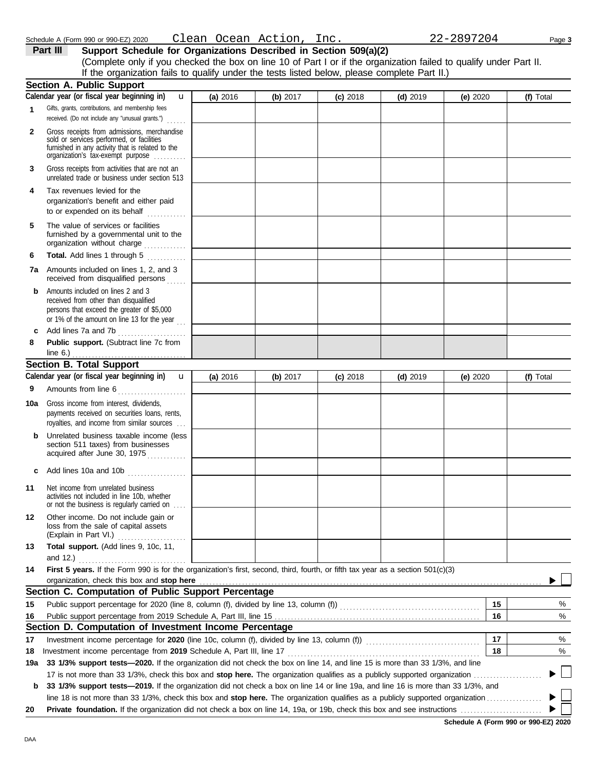DAA

| Schedule A (Form 990 or 990-EZ) 2020 |  |  |  |  |  |  | ciean c |  |
|--------------------------------------|--|--|--|--|--|--|---------|--|
|                                      |  |  |  |  |  |  |         |  |

Schedule A (Form 990 or 990-EZ) 2020 Page **3** Clean Ocean Action, Inc. 22-2897204

**Schedule A (Form 990 or 990-EZ) 2020**

**Part III** Support Schedule for Organizations Described in Section 509(a)(2) (Complete only if you checked the box on line 10 of Part I or if the organization failed to qualify under Part II. If the organization fails to qualify under the tests listed below, please complete Part II.)

|     | <b>Section A. Public Support</b>                                                                                                                                                  |          |            |            |            |            |    |           |
|-----|-----------------------------------------------------------------------------------------------------------------------------------------------------------------------------------|----------|------------|------------|------------|------------|----|-----------|
|     | Calendar year (or fiscal year beginning in)<br>u                                                                                                                                  | (a) 2016 | (b) $2017$ | $(c)$ 2018 | $(d)$ 2019 | (e) $2020$ |    | (f) Total |
| 1   | Gifts, grants, contributions, and membership fees<br>received. (Do not include any "unusual grants.")                                                                             |          |            |            |            |            |    |           |
| 2   | Gross receipts from admissions, merchandise<br>sold or services performed, or facilities<br>furnished in any activity that is related to the<br>organization's fax-exempt purpose |          |            |            |            |            |    |           |
| 3   | Gross receipts from activities that are not an<br>unrelated trade or business under section 513                                                                                   |          |            |            |            |            |    |           |
| 4   | Tax revenues levied for the<br>organization's benefit and either paid<br>to or expended on its behalf                                                                             |          |            |            |            |            |    |           |
| 5   | The value of services or facilities<br>furnished by a governmental unit to the<br>organization without charge                                                                     |          |            |            |            |            |    |           |
| 6   | Total. Add lines 1 through 5<br>.                                                                                                                                                 |          |            |            |            |            |    |           |
| 7а  | Amounts included on lines 1, 2, and 3<br>received from disqualified persons                                                                                                       |          |            |            |            |            |    |           |
| b   | Amounts included on lines 2 and 3<br>received from other than disqualified<br>persons that exceed the greater of \$5,000<br>or 1% of the amount on line 13 for the year $\ldots$  |          |            |            |            |            |    |           |
| c   | Add lines 7a and 7b                                                                                                                                                               |          |            |            |            |            |    |           |
| 8   | Public support. (Subtract line 7c from<br>line $6.$ )                                                                                                                             |          |            |            |            |            |    |           |
|     | <b>Section B. Total Support</b>                                                                                                                                                   |          |            |            |            |            |    |           |
|     | Calendar year (or fiscal year beginning in)<br>$\mathbf{u}$                                                                                                                       | (a) 2016 | (b) 2017   | $(c)$ 2018 | $(d)$ 2019 | (e) 2020   |    | (f) Total |
| 9   | Amounts from line 6<br>.                                                                                                                                                          |          |            |            |            |            |    |           |
| 10a | Gross income from interest, dividends,<br>payments received on securities loans, rents,<br>royalties, and income from similar sources                                             |          |            |            |            |            |    |           |
| b   | Unrelated business taxable income (less<br>section 511 taxes) from businesses<br>acquired after June 30, 1975                                                                     |          |            |            |            |            |    |           |
| c   | Add lines 10a and 10b                                                                                                                                                             |          |            |            |            |            |    |           |
| 11  | Net income from unrelated business<br>activities not included in line 10b, whether<br>or not the business is regularly carried on                                                 |          |            |            |            |            |    |           |
| 12  | Other income. Do not include gain or<br>loss from the sale of capital assets<br>(Explain in Part VI.)                                                                             |          |            |            |            |            |    |           |
| 13  | Total support. (Add lines 9, 10c, 11,<br>and 12.)                                                                                                                                 |          |            |            |            |            |    |           |
| 14  | First 5 years. If the Form 990 is for the organization's first, second, third, fourth, or fifth tax year as a section 501(c)(3)                                                   |          |            |            |            |            |    |           |
|     | organization, check this box and stop here                                                                                                                                        |          |            |            |            |            |    |           |
|     | Section C. Computation of Public Support Percentage                                                                                                                               |          |            |            |            |            |    |           |
| 15  |                                                                                                                                                                                   |          |            |            |            |            | 15 | %         |
| 16  |                                                                                                                                                                                   |          |            |            |            |            | 16 | %         |
|     | Section D. Computation of Investment Income Percentage                                                                                                                            |          |            |            |            |            |    |           |
| 17  | Investment income percentage for 2020 (line 10c, column (f), divided by line 13, column (f)) [[[[[[[[[[[[[[[[                                                                     |          |            |            |            |            | 17 | %         |
| 18  | Investment income percentage from 2019 Schedule A, Part III, line 17                                                                                                              |          |            |            |            |            | 18 | %         |
| 19a | 33 1/3% support tests-2020. If the organization did not check the box on line 14, and line 15 is more than 33 1/3%, and line                                                      |          |            |            |            |            |    |           |
|     |                                                                                                                                                                                   |          |            |            |            |            |    |           |
| b   | 33 1/3% support tests-2019. If the organization did not check a box on line 14 or line 19a, and line 16 is more than 33 1/3%, and                                                 |          |            |            |            |            |    |           |
| 20  | line 18 is not more than 33 1/3%, check this box and stop here. The organization qualifies as a publicly supported organization                                                   |          |            |            |            |            |    |           |
|     |                                                                                                                                                                                   |          |            |            |            |            |    |           |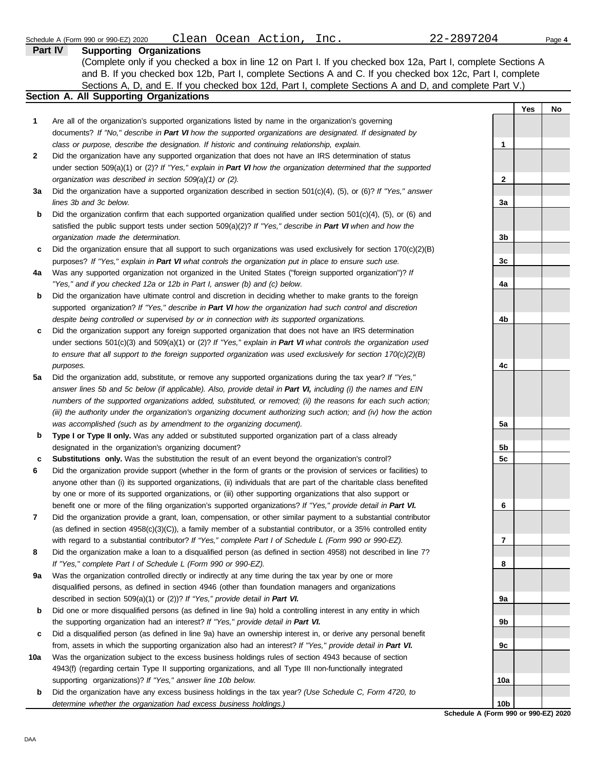|     | Part IV<br><b>Supporting Organizations</b>                                                                                                                                                                         |                |              |    |
|-----|--------------------------------------------------------------------------------------------------------------------------------------------------------------------------------------------------------------------|----------------|--------------|----|
|     | (Complete only if you checked a box in line 12 on Part I. If you checked box 12a, Part I, complete Sections A                                                                                                      |                |              |    |
|     | and B. If you checked box 12b, Part I, complete Sections A and C. If you checked box 12c, Part I, complete                                                                                                         |                |              |    |
|     | Sections A, D, and E. If you checked box 12d, Part I, complete Sections A and D, and complete Part V.)                                                                                                             |                |              |    |
|     | Section A. All Supporting Organizations                                                                                                                                                                            |                |              |    |
|     |                                                                                                                                                                                                                    |                | Yes          | No |
| 1   | Are all of the organization's supported organizations listed by name in the organization's governing                                                                                                               |                |              |    |
|     | documents? If "No," describe in Part VI how the supported organizations are designated. If designated by                                                                                                           |                |              |    |
|     | class or purpose, describe the designation. If historic and continuing relationship, explain.                                                                                                                      | $\mathbf{1}$   |              |    |
| 2   | Did the organization have any supported organization that does not have an IRS determination of status                                                                                                             |                |              |    |
|     | under section 509(a)(1) or (2)? If "Yes," explain in Part VI how the organization determined that the supported                                                                                                    |                |              |    |
|     | organization was described in section 509(a)(1) or (2).                                                                                                                                                            | $\mathbf{2}$   |              |    |
| За  | Did the organization have a supported organization described in section $501(c)(4)$ , (5), or (6)? If "Yes," answer                                                                                                |                |              |    |
|     | lines 3b and 3c below.                                                                                                                                                                                             | 3a             |              |    |
| b   | Did the organization confirm that each supported organization qualified under section 501(c)(4), (5), or (6) and                                                                                                   |                |              |    |
|     | satisfied the public support tests under section 509(a)(2)? If "Yes," describe in Part VI when and how the                                                                                                         |                |              |    |
|     | organization made the determination.                                                                                                                                                                               | 3 <sub>b</sub> |              |    |
| c   | Did the organization ensure that all support to such organizations was used exclusively for section $170(c)(2)(B)$                                                                                                 |                |              |    |
|     | purposes? If "Yes," explain in Part VI what controls the organization put in place to ensure such use.                                                                                                             | 3c             |              |    |
| 4a  | Was any supported organization not organized in the United States ("foreign supported organization")? If                                                                                                           |                |              |    |
|     | "Yes," and if you checked 12a or 12b in Part I, answer (b) and (c) below.                                                                                                                                          | 4a             |              |    |
| b   | Did the organization have ultimate control and discretion in deciding whether to make grants to the foreign                                                                                                        |                |              |    |
|     | supported organization? If "Yes," describe in Part VI how the organization had such control and discretion                                                                                                         |                |              |    |
|     | despite being controlled or supervised by or in connection with its supported organizations.                                                                                                                       | 4b             |              |    |
| c   | Did the organization support any foreign supported organization that does not have an IRS determination                                                                                                            |                |              |    |
|     | under sections $501(c)(3)$ and $509(a)(1)$ or (2)? If "Yes," explain in Part VI what controls the organization used                                                                                                |                |              |    |
|     | to ensure that all support to the foreign supported organization was used exclusively for section $170(c)(2)(B)$                                                                                                   |                |              |    |
|     | purposes.                                                                                                                                                                                                          | 4с             |              |    |
| 5a  | Did the organization add, substitute, or remove any supported organizations during the tax year? If "Yes,"                                                                                                         |                |              |    |
|     | answer lines 5b and 5c below (if applicable). Also, provide detail in Part VI, including (i) the names and EIN                                                                                                     |                |              |    |
|     | numbers of the supported organizations added, substituted, or removed; (ii) the reasons for each such action;                                                                                                      |                |              |    |
|     | (iii) the authority under the organization's organizing document authorizing such action; and (iv) how the action                                                                                                  |                |              |    |
|     | was accomplished (such as by amendment to the organizing document).                                                                                                                                                | 5a             |              |    |
| b   | Type I or Type II only. Was any added or substituted supported organization part of a class already                                                                                                                |                |              |    |
|     | designated in the organization's organizing document?                                                                                                                                                              | 5b             |              |    |
| c   | Substitutions only. Was the substitution the result of an event beyond the organization's control?                                                                                                                 | 5c             |              |    |
| 6   | Did the organization provide support (whether in the form of grants or the provision of services or facilities) to                                                                                                 |                |              |    |
|     | anyone other than (i) its supported organizations, (ii) individuals that are part of the charitable class benefited                                                                                                |                |              |    |
|     | by one or more of its supported organizations, or (iii) other supporting organizations that also support or                                                                                                        |                |              |    |
|     | benefit one or more of the filing organization's supported organizations? If "Yes," provide detail in Part VI.                                                                                                     | 6              |              |    |
| 7   | Did the organization provide a grant, loan, compensation, or other similar payment to a substantial contributor                                                                                                    |                |              |    |
|     | (as defined in section $4958(c)(3)(C)$ ), a family member of a substantial contributor, or a 35% controlled entity                                                                                                 |                |              |    |
|     | with regard to a substantial contributor? If "Yes," complete Part I of Schedule L (Form 990 or 990-EZ).                                                                                                            | 7              |              |    |
| 8   | Did the organization make a loan to a disqualified person (as defined in section 4958) not described in line 7?                                                                                                    |                |              |    |
|     | If "Yes," complete Part I of Schedule L (Form 990 or 990-EZ).                                                                                                                                                      | 8              |              |    |
| 9а  | Was the organization controlled directly or indirectly at any time during the tax year by one or more                                                                                                              |                |              |    |
|     | disqualified persons, as defined in section 4946 (other than foundation managers and organizations                                                                                                                 |                |              |    |
|     | described in section 509(a)(1) or (2))? If "Yes," provide detail in Part VI.                                                                                                                                       | 9a             |              |    |
| b   | Did one or more disqualified persons (as defined in line 9a) hold a controlling interest in any entity in which                                                                                                    |                |              |    |
|     | the supporting organization had an interest? If "Yes," provide detail in Part VI.                                                                                                                                  | 9b             |              |    |
|     | Did a disqualified person (as defined in line 9a) have an ownership interest in, or derive any personal benefit                                                                                                    |                |              |    |
| c   | from, assets in which the supporting organization also had an interest? If "Yes," provide detail in Part VI.                                                                                                       | 9c             |              |    |
|     |                                                                                                                                                                                                                    |                |              |    |
| 10a | Was the organization subject to the excess business holdings rules of section 4943 because of section<br>4943(f) (regarding certain Type II supporting organizations, and all Type III non-functionally integrated |                |              |    |
|     | supporting organizations)? If "Yes," answer line 10b below.                                                                                                                                                        | 10a            |              |    |
| b   | Did the organization have any excess business holdings in the tax year? (Use Schedule C, Form 4720, to                                                                                                             |                |              |    |
|     | determine whether the organization had excess business holdings.)                                                                                                                                                  | 10b            |              |    |
|     |                                                                                                                                                                                                                    |                | $0.005$ $-7$ |    |

**Schedule A (Form 990 or 990-EZ) 2020**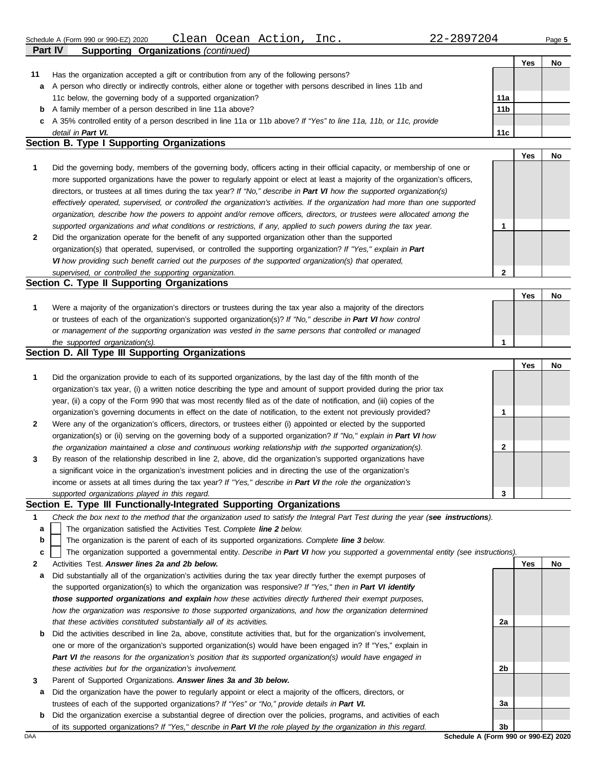**2**

|                                                   |                                                                                                                    |                 | Yes        | No |  |  |
|---------------------------------------------------|--------------------------------------------------------------------------------------------------------------------|-----------------|------------|----|--|--|
| 11                                                | Has the organization accepted a gift or contribution from any of the following persons?                            |                 |            |    |  |  |
| a                                                 | A person who directly or indirectly controls, either alone or together with persons described in lines 11b and     |                 |            |    |  |  |
|                                                   | 11c below, the governing body of a supported organization?                                                         | 11a             |            |    |  |  |
| b                                                 | A family member of a person described in line 11a above?                                                           | 11 <sub>b</sub> |            |    |  |  |
| c.                                                | A 35% controlled entity of a person described in line 11a or 11b above? If "Yes" to line 11a, 11b, or 11c, provide |                 |            |    |  |  |
|                                                   | detail in Part VI.                                                                                                 | 11c             |            |    |  |  |
| <b>Section B. Type I Supporting Organizations</b> |                                                                                                                    |                 |            |    |  |  |
|                                                   |                                                                                                                    |                 | <b>Yes</b> | Nc |  |  |

|              | Did the governing body, members of the governing body, officers acting in their official capacity, or membership of one or     |  |  |
|--------------|--------------------------------------------------------------------------------------------------------------------------------|--|--|
|              | more supported organizations have the power to regularly appoint or elect at least a majority of the organization's officers,  |  |  |
|              | directors, or trustees at all times during the tax year? If "No," describe in Part VI how the supported organization(s)        |  |  |
|              | effectively operated, supervised, or controlled the organization's activities. If the organization had more than one supported |  |  |
|              | organization, describe how the powers to appoint and/or remove officers, directors, or trustees were allocated among the       |  |  |
|              | supported organizations and what conditions or restrictions, if any, applied to such powers during the tax year.               |  |  |
| $\mathbf{2}$ | Did the organization operate for the benefit of any supported organization other than the supported                            |  |  |
|              | organization(s) that operated, supervised, or controlled the supporting organization? If "Yes," explain in Part                |  |  |
|              | VI how providing such benefit carried out the purposes of the supported organization(s) that operated,                         |  |  |

| Section C. Type II Supporting Organizations |                                                                                                                  |  |  |    |  |  |
|---------------------------------------------|------------------------------------------------------------------------------------------------------------------|--|--|----|--|--|
|                                             |                                                                                                                  |  |  | Nc |  |  |
|                                             | Were a majority of the organization's directors or trustees during the tax year also a majority of the directors |  |  |    |  |  |
|                                             | or trustees of each of the organization's supported organization(s)? If "No," describe in Part VI how control    |  |  |    |  |  |
|                                             | or management of the supporting organization was vested in the same persons that controlled or managed           |  |  |    |  |  |
|                                             | the supported organization(s).                                                                                   |  |  |    |  |  |

#### **Section D. All Type III Supporting Organizations**

*supervised, or controlled the supporting organization.*

|                |                                                                                                                        |   | Yes | No |
|----------------|------------------------------------------------------------------------------------------------------------------------|---|-----|----|
| $\mathbf 1$    | Did the organization provide to each of its supported organizations, by the last day of the fifth month of the         |   |     |    |
|                | organization's tax year, (i) a written notice describing the type and amount of support provided during the prior tax  |   |     |    |
|                | year, (ii) a copy of the Form 990 that was most recently filed as of the date of notification, and (iii) copies of the |   |     |    |
|                | organization's governing documents in effect on the date of notification, to the extent not previously provided?       |   |     |    |
| $\overline{2}$ | Were any of the organization's officers, directors, or trustees either (i) appointed or elected by the supported       |   |     |    |
|                | organization(s) or (ii) serving on the governing body of a supported organization? If "No," explain in Part VI how     |   |     |    |
|                | the organization maintained a close and continuous working relationship with the supported organization(s).            | 2 |     |    |
| $\mathbf{3}$   | By reason of the relationship described in line 2, above, did the organization's supported organizations have          |   |     |    |
|                | a significant voice in the organization's investment policies and in directing the use of the organization's           |   |     |    |
|                | income or assets at all times during the tax year? If "Yes," describe in Part VI the role the organization's           |   |     |    |
|                | supported organizations played in this regard.                                                                         | 3 |     |    |

#### **Section E. Type III Functionally-Integrated Supporting Organizations**

|  | Check the box next to the method that the organization used to satisfy the Integral Part Test during the year (see instructions). |  |  |  |  |
|--|-----------------------------------------------------------------------------------------------------------------------------------|--|--|--|--|
|--|-----------------------------------------------------------------------------------------------------------------------------------|--|--|--|--|

- The organization satisfied the Activities Test. *Complete line 2 below.* **a**
- The organization is the parent of each of its supported organizations. *Complete line 3 below.* **b**

- **2** Activities Test. *Answer lines 2a and 2b below.*
- **a** Did substantially all of the organization's activities during the tax year directly further the exempt purposes of the supported organization(s) to which the organization was responsive? *If "Yes," then in Part VI identify those supported organizations and explain how these activities directly furthered their exempt purposes,*  how the organization was responsive to those supported organizations, and how the organization determined *that these activities constituted substantially all of its activities.*
- **b** Did the activities described in line 2a, above, constitute activities that, but for the organization's involvement, one or more of the organization's supported organization(s) would have been engaged in? If "Yes," explain in *Part VI the reasons for the organization's position that its supported organization(s) would have engaged in these activities but for the organization's involvement.*
- **3** Parent of Supported Organizations. *Answer lines 3a and 3b below.*
- **a** Did the organization have the power to regularly appoint or elect a majority of the officers, directors, or trustees of each of the supported organizations? *If "Yes" or "No," provide details in Part VI.*
- **b** Did the organization exercise a substantial degree of direction over the policies, programs, and activities of each of its supported organizations? *If "Yes," describe in Part VI the role played by the organization in this regard.*

DAA **Schedule A (Form 990 or 990-EZ) 2020 3b**

**2a**

**2b**

**3a**

**Yes No**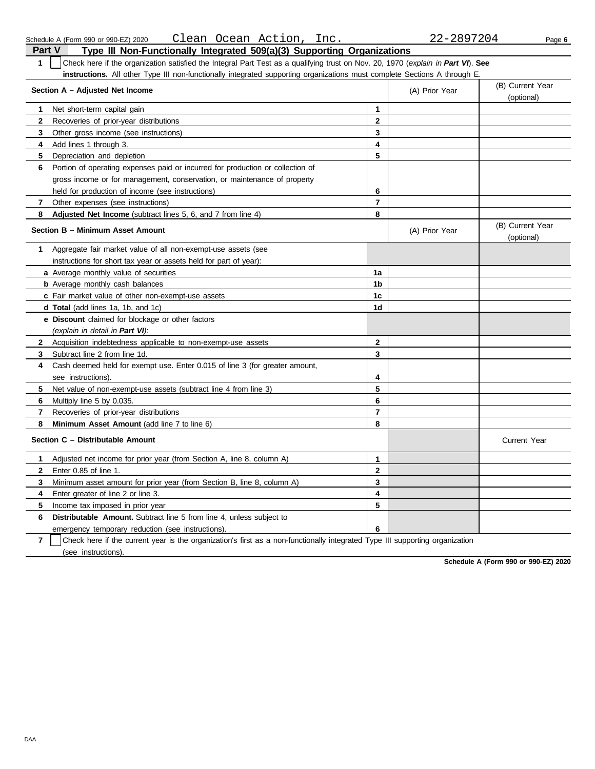|              | prieck nere in the organization satisfied the integran ran rest as a qualifying trust on Nov. 20, 1970 (explain in ran vi). See<br>instructions. All other Type III non-functionally integrated supporting organizations must complete Sections A through E. |                         |                |                                |
|--------------|--------------------------------------------------------------------------------------------------------------------------------------------------------------------------------------------------------------------------------------------------------------|-------------------------|----------------|--------------------------------|
|              | Section A - Adjusted Net Income                                                                                                                                                                                                                              |                         | (A) Prior Year | (B) Current Year<br>(optional) |
| 1            | Net short-term capital gain                                                                                                                                                                                                                                  | 1                       |                |                                |
| $\mathbf{2}$ | Recoveries of prior-year distributions                                                                                                                                                                                                                       | $\mathbf{2}$            |                |                                |
| 3            | Other gross income (see instructions)                                                                                                                                                                                                                        | 3                       |                |                                |
|              | 4 Add lines 1 through 3.                                                                                                                                                                                                                                     | $\overline{\mathbf{4}}$ |                |                                |
| 5.           | Depreciation and depletion                                                                                                                                                                                                                                   | 5                       |                |                                |
| 6            | Portion of operating expenses paid or incurred for production or collection of                                                                                                                                                                               |                         |                |                                |
|              | gross income or for management, conservation, or maintenance of property                                                                                                                                                                                     |                         |                |                                |
|              | held for production of income (see instructions)                                                                                                                                                                                                             | 6                       |                |                                |
| 7            | Other expenses (see instructions)                                                                                                                                                                                                                            | $\overline{7}$          |                |                                |
| 8            | Adjusted Net Income (subtract lines 5, 6, and 7 from line 4)                                                                                                                                                                                                 | 8                       |                |                                |
|              | Section B - Minimum Asset Amount                                                                                                                                                                                                                             |                         | (A) Prior Year | (B) Current Year<br>(optional) |
| 1            | Aggregate fair market value of all non-exempt-use assets (see                                                                                                                                                                                                |                         |                |                                |
|              | instructions for short tax year or assets held for part of year):                                                                                                                                                                                            |                         |                |                                |
|              | a Average monthly value of securities                                                                                                                                                                                                                        | 1a                      |                |                                |
|              | <b>b</b> Average monthly cash balances                                                                                                                                                                                                                       | 1 <sub>b</sub>          |                |                                |
|              | c Fair market value of other non-exempt-use assets                                                                                                                                                                                                           | 1 <sub>c</sub>          |                |                                |
|              | d Total (add lines 1a, 1b, and 1c)                                                                                                                                                                                                                           | 1 <sub>d</sub>          |                |                                |
|              | e Discount claimed for blockage or other factors                                                                                                                                                                                                             |                         |                |                                |
|              | (explain in detail in Part VI):                                                                                                                                                                                                                              |                         |                |                                |
|              | 2 Acquisition indebtedness applicable to non-exempt-use assets                                                                                                                                                                                               | $\mathbf 2$             |                |                                |
| 3            | Subtract line 2 from line 1d.                                                                                                                                                                                                                                | 3                       |                |                                |
| 4            | Cash deemed held for exempt use. Enter 0.015 of line 3 (for greater amount,                                                                                                                                                                                  |                         |                |                                |
|              | see instructions).                                                                                                                                                                                                                                           | 4                       |                |                                |
| 5            | Net value of non-exempt-use assets (subtract line 4 from line 3)                                                                                                                                                                                             | 5                       |                |                                |
| 6.           | Multiply line 5 by 0.035.                                                                                                                                                                                                                                    | 6                       |                |                                |
| 7            | Recoveries of prior-year distributions                                                                                                                                                                                                                       | 7                       |                |                                |
| 8            | Minimum Asset Amount (add line 7 to line 6)                                                                                                                                                                                                                  | 8                       |                |                                |
|              | Section C - Distributable Amount                                                                                                                                                                                                                             |                         |                | <b>Current Year</b>            |
| 1            | Adjusted net income for prior year (from Section A, line 8, column A)                                                                                                                                                                                        | $\mathbf{1}$            |                |                                |
| $\mathbf{2}$ | Enter 0.85 of line 1.                                                                                                                                                                                                                                        | $\mathbf{2}$            |                |                                |
| 3            | Minimum asset amount for prior year (from Section B, line 8, column A)                                                                                                                                                                                       | 3                       |                |                                |
| 4            | Enter greater of line 2 or line 3.                                                                                                                                                                                                                           | 4                       |                |                                |
| 5            | Income tax imposed in prior year                                                                                                                                                                                                                             | 5                       |                |                                |
| 6            | Distributable Amount. Subtract line 5 from line 4, unless subject to                                                                                                                                                                                         |                         |                |                                |
|              | emergency temporary reduction (see instructions).                                                                                                                                                                                                            | 6                       |                |                                |

**7** | Check here if the current year is the organization's first as a non-functionally integrated Type III supporting organization

## **Part V Type III Non-Functionally Integrated 509(a)(3) Supporting Organizations** Schedule A (Form 990 or 990-EZ) 2020 Page **6** Clean Ocean Action, Inc. 22-2897204

**1** Check here if the organization satisfied the Integral Part Test as a qualifying trust on Nov. 20, 1970 (*explain in Part VI*). **See** 

**Schedule A (Form 990 or 990-EZ) 2020**

(see instructions).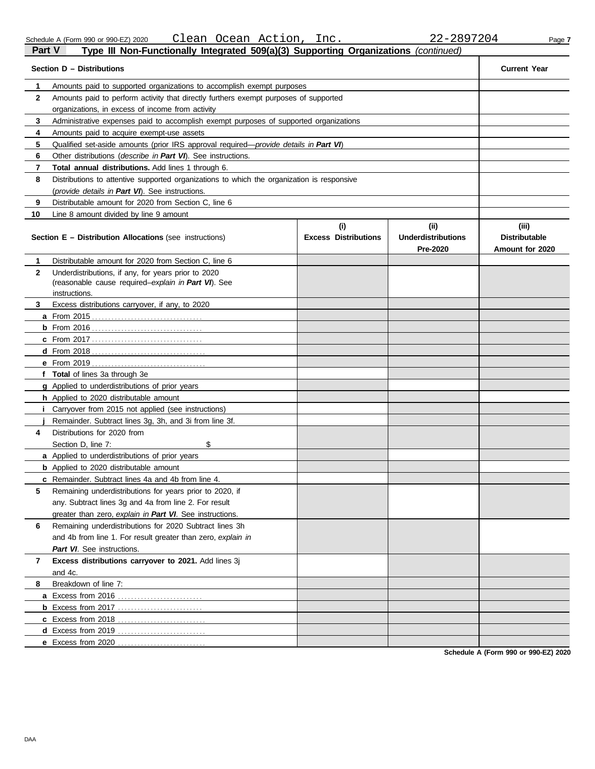| Section D - Distributions | <b>Current Year</b>                                                                                                         |                                    |                                                |                                                  |  |  |  |
|---------------------------|-----------------------------------------------------------------------------------------------------------------------------|------------------------------------|------------------------------------------------|--------------------------------------------------|--|--|--|
| 1                         | Amounts paid to supported organizations to accomplish exempt purposes                                                       |                                    |                                                |                                                  |  |  |  |
| $\mathbf{2}$              | Amounts paid to perform activity that directly furthers exempt purposes of supported                                        |                                    |                                                |                                                  |  |  |  |
|                           | organizations, in excess of income from activity                                                                            |                                    |                                                |                                                  |  |  |  |
| 3                         | Administrative expenses paid to accomplish exempt purposes of supported organizations                                       |                                    |                                                |                                                  |  |  |  |
| 4                         | Amounts paid to acquire exempt-use assets                                                                                   |                                    |                                                |                                                  |  |  |  |
| 5                         | Qualified set-aside amounts (prior IRS approval required—provide details in Part VI)                                        |                                    |                                                |                                                  |  |  |  |
| 6                         | Other distributions (describe in Part VI). See instructions.                                                                |                                    |                                                |                                                  |  |  |  |
| 7                         | Total annual distributions. Add lines 1 through 6.                                                                          |                                    |                                                |                                                  |  |  |  |
| 8                         | Distributions to attentive supported organizations to which the organization is responsive                                  |                                    |                                                |                                                  |  |  |  |
|                           | (provide details in Part VI). See instructions.                                                                             |                                    |                                                |                                                  |  |  |  |
| 9                         | Distributable amount for 2020 from Section C, line 6                                                                        |                                    |                                                |                                                  |  |  |  |
| 10                        | Line 8 amount divided by line 9 amount                                                                                      |                                    |                                                |                                                  |  |  |  |
|                           | <b>Section E - Distribution Allocations (see instructions)</b>                                                              | (i)<br><b>Excess Distributions</b> | (iii)<br><b>Underdistributions</b><br>Pre-2020 | (iii)<br><b>Distributable</b><br>Amount for 2020 |  |  |  |
| 1                         | Distributable amount for 2020 from Section C, line 6                                                                        |                                    |                                                |                                                  |  |  |  |
| $\mathbf{2}$              | Underdistributions, if any, for years prior to 2020<br>(reasonable cause required-explain in Part VI). See<br>instructions. |                                    |                                                |                                                  |  |  |  |
| 3                         | Excess distributions carryover, if any, to 2020                                                                             |                                    |                                                |                                                  |  |  |  |
|                           |                                                                                                                             |                                    |                                                |                                                  |  |  |  |
|                           |                                                                                                                             |                                    |                                                |                                                  |  |  |  |
|                           |                                                                                                                             |                                    |                                                |                                                  |  |  |  |
|                           |                                                                                                                             |                                    |                                                |                                                  |  |  |  |
|                           |                                                                                                                             |                                    |                                                |                                                  |  |  |  |
|                           | f Total of lines 3a through 3e                                                                                              |                                    |                                                |                                                  |  |  |  |
|                           | <b>g</b> Applied to underdistributions of prior years                                                                       |                                    |                                                |                                                  |  |  |  |
|                           | h Applied to 2020 distributable amount                                                                                      |                                    |                                                |                                                  |  |  |  |
|                           | <i>i</i> Carryover from 2015 not applied (see instructions)                                                                 |                                    |                                                |                                                  |  |  |  |
|                           | Remainder. Subtract lines 3g, 3h, and 3i from line 3f.                                                                      |                                    |                                                |                                                  |  |  |  |
| 4                         | Distributions for 2020 from                                                                                                 |                                    |                                                |                                                  |  |  |  |
|                           | Section D, line 7:<br>\$                                                                                                    |                                    |                                                |                                                  |  |  |  |
|                           | a Applied to underdistributions of prior years                                                                              |                                    |                                                |                                                  |  |  |  |
|                           | <b>b</b> Applied to 2020 distributable amount                                                                               |                                    |                                                |                                                  |  |  |  |
|                           | <b>c</b> Remainder. Subtract lines 4a and 4b from line 4.                                                                   |                                    |                                                |                                                  |  |  |  |
| 5                         | Remaining underdistributions for years prior to 2020, if                                                                    |                                    |                                                |                                                  |  |  |  |
|                           | any. Subtract lines 3g and 4a from line 2. For result                                                                       |                                    |                                                |                                                  |  |  |  |
|                           | greater than zero, explain in Part VI. See instructions.                                                                    |                                    |                                                |                                                  |  |  |  |
| 6                         | Remaining underdistributions for 2020 Subtract lines 3h                                                                     |                                    |                                                |                                                  |  |  |  |
|                           | and 4b from line 1. For result greater than zero, explain in                                                                |                                    |                                                |                                                  |  |  |  |
|                           | Part VI. See instructions.                                                                                                  |                                    |                                                |                                                  |  |  |  |
| 7                         | Excess distributions carryover to 2021. Add lines 3j                                                                        |                                    |                                                |                                                  |  |  |  |
|                           | and 4c.                                                                                                                     |                                    |                                                |                                                  |  |  |  |
| 8                         | Breakdown of line 7:                                                                                                        |                                    |                                                |                                                  |  |  |  |
|                           | a Excess from 2016                                                                                                          |                                    |                                                |                                                  |  |  |  |
|                           |                                                                                                                             |                                    |                                                |                                                  |  |  |  |
|                           | c Excess from 2018                                                                                                          |                                    |                                                |                                                  |  |  |  |
|                           | d Excess from 2019                                                                                                          |                                    |                                                |                                                  |  |  |  |
|                           | e Excess from 2020                                                                                                          |                                    |                                                |                                                  |  |  |  |

**Schedule A (Form 990 or 990-EZ) 2020**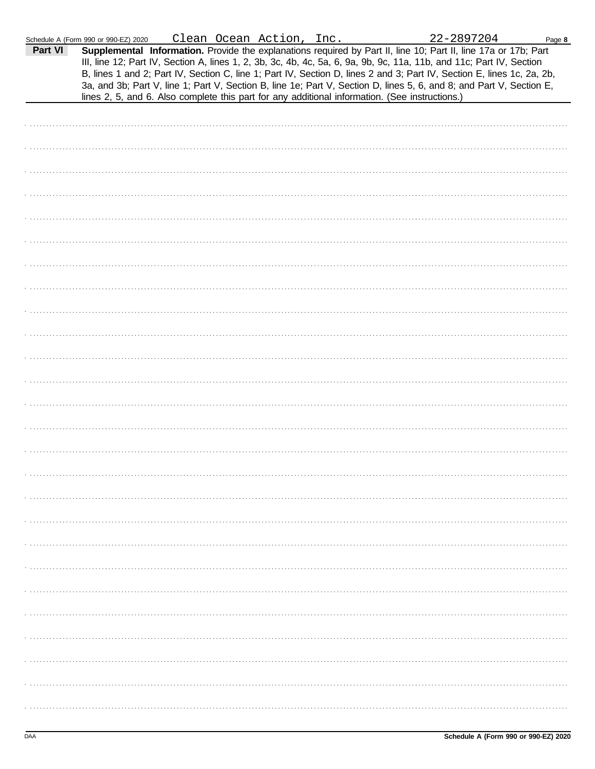|         | Schedule A (Form 990 or 990-EZ) 2020                                                           |  |  |                                                                                                                                                                                                                                                                                                                                                                                                                                                                                                                                                                                                          | Page 8 |
|---------|------------------------------------------------------------------------------------------------|--|--|----------------------------------------------------------------------------------------------------------------------------------------------------------------------------------------------------------------------------------------------------------------------------------------------------------------------------------------------------------------------------------------------------------------------------------------------------------------------------------------------------------------------------------------------------------------------------------------------------------|--------|
| Part VI | lines 2, 5, and 6. Also complete this part for any additional information. (See instructions.) |  |  | 990 or 990-EZ) 2020 Clean Ocean Action, Inc. 22-2897204 Part Departmental Information. Provide the explanations required by Part II, line 10; Part II, line 17a or 17b; Part Supplemental Information. Provide the explanation<br>III, line 12; Part IV, Section A, lines 1, 2, 3b, 3c, 4b, 4c, 5a, 6, 9a, 9b, 9c, 11a, 11b, and 11c; Part IV, Section<br>B, lines 1 and 2; Part IV, Section C, line 1; Part IV, Section D, lines 2 and 3; Part IV, Section E, lines 1c, 2a, 2b,<br>3a, and 3b; Part V, line 1; Part V, Section B, line 1e; Part V, Section D, lines 5, 6, and 8; and Part V, Section E, |        |
|         |                                                                                                |  |  |                                                                                                                                                                                                                                                                                                                                                                                                                                                                                                                                                                                                          |        |
|         |                                                                                                |  |  |                                                                                                                                                                                                                                                                                                                                                                                                                                                                                                                                                                                                          |        |
|         |                                                                                                |  |  |                                                                                                                                                                                                                                                                                                                                                                                                                                                                                                                                                                                                          |        |
|         |                                                                                                |  |  |                                                                                                                                                                                                                                                                                                                                                                                                                                                                                                                                                                                                          |        |
|         |                                                                                                |  |  |                                                                                                                                                                                                                                                                                                                                                                                                                                                                                                                                                                                                          |        |
|         |                                                                                                |  |  |                                                                                                                                                                                                                                                                                                                                                                                                                                                                                                                                                                                                          |        |
|         |                                                                                                |  |  |                                                                                                                                                                                                                                                                                                                                                                                                                                                                                                                                                                                                          |        |
|         |                                                                                                |  |  |                                                                                                                                                                                                                                                                                                                                                                                                                                                                                                                                                                                                          |        |
|         |                                                                                                |  |  |                                                                                                                                                                                                                                                                                                                                                                                                                                                                                                                                                                                                          |        |
|         |                                                                                                |  |  |                                                                                                                                                                                                                                                                                                                                                                                                                                                                                                                                                                                                          |        |
|         |                                                                                                |  |  |                                                                                                                                                                                                                                                                                                                                                                                                                                                                                                                                                                                                          |        |
|         |                                                                                                |  |  |                                                                                                                                                                                                                                                                                                                                                                                                                                                                                                                                                                                                          |        |
|         |                                                                                                |  |  |                                                                                                                                                                                                                                                                                                                                                                                                                                                                                                                                                                                                          |        |
|         |                                                                                                |  |  |                                                                                                                                                                                                                                                                                                                                                                                                                                                                                                                                                                                                          |        |
|         |                                                                                                |  |  |                                                                                                                                                                                                                                                                                                                                                                                                                                                                                                                                                                                                          |        |
|         |                                                                                                |  |  |                                                                                                                                                                                                                                                                                                                                                                                                                                                                                                                                                                                                          |        |
|         |                                                                                                |  |  |                                                                                                                                                                                                                                                                                                                                                                                                                                                                                                                                                                                                          |        |
|         |                                                                                                |  |  |                                                                                                                                                                                                                                                                                                                                                                                                                                                                                                                                                                                                          |        |
|         |                                                                                                |  |  |                                                                                                                                                                                                                                                                                                                                                                                                                                                                                                                                                                                                          |        |
|         |                                                                                                |  |  |                                                                                                                                                                                                                                                                                                                                                                                                                                                                                                                                                                                                          |        |
|         |                                                                                                |  |  |                                                                                                                                                                                                                                                                                                                                                                                                                                                                                                                                                                                                          |        |
|         |                                                                                                |  |  |                                                                                                                                                                                                                                                                                                                                                                                                                                                                                                                                                                                                          |        |
|         |                                                                                                |  |  |                                                                                                                                                                                                                                                                                                                                                                                                                                                                                                                                                                                                          |        |
|         |                                                                                                |  |  |                                                                                                                                                                                                                                                                                                                                                                                                                                                                                                                                                                                                          |        |
|         |                                                                                                |  |  |                                                                                                                                                                                                                                                                                                                                                                                                                                                                                                                                                                                                          |        |
|         |                                                                                                |  |  |                                                                                                                                                                                                                                                                                                                                                                                                                                                                                                                                                                                                          |        |
|         |                                                                                                |  |  |                                                                                                                                                                                                                                                                                                                                                                                                                                                                                                                                                                                                          |        |
|         |                                                                                                |  |  |                                                                                                                                                                                                                                                                                                                                                                                                                                                                                                                                                                                                          |        |
|         |                                                                                                |  |  |                                                                                                                                                                                                                                                                                                                                                                                                                                                                                                                                                                                                          |        |
|         |                                                                                                |  |  |                                                                                                                                                                                                                                                                                                                                                                                                                                                                                                                                                                                                          |        |
|         |                                                                                                |  |  |                                                                                                                                                                                                                                                                                                                                                                                                                                                                                                                                                                                                          |        |
|         |                                                                                                |  |  |                                                                                                                                                                                                                                                                                                                                                                                                                                                                                                                                                                                                          |        |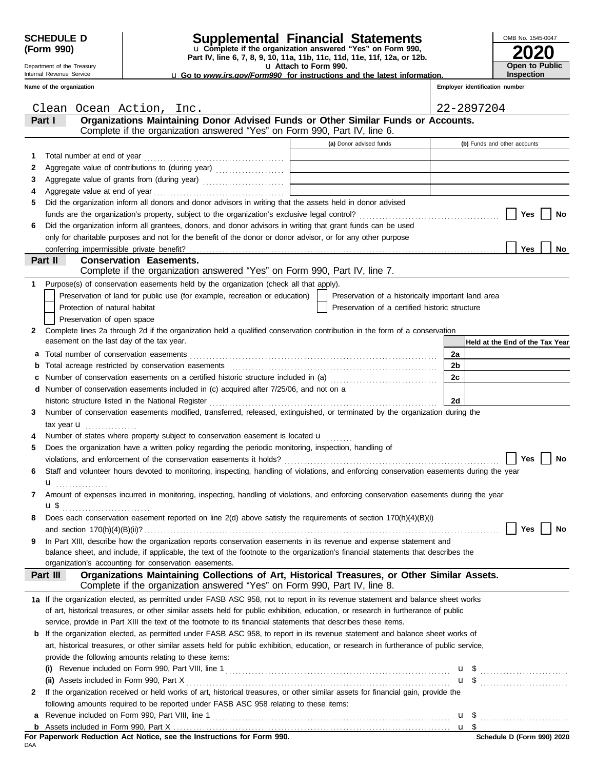| <b>SCHEDULE D</b> |  |
|-------------------|--|
| (Form 990)        |  |

Department of the Treasury Internal Revenue Service

# **SCHEDULE D Supplemental Financial Statements**

**Part IV, line 6, 7, 8, 9, 10, 11a, 11b, 11c, 11d, 11e, 11f, 12a, or 12b.** u **Complete if the organization answered "Yes" on Form 990,**

u **Attach to Form 990.**  u **Go to** *www.irs.gov/Form990* **for instructions and the latest information.**

| OMB No. 1545-0047                          |
|--------------------------------------------|
| 2020                                       |
| <b>Open to Public</b><br><b>Inspection</b> |

**Name of the organization**

| Employer identification number |  |
|--------------------------------|--|
|                                |  |

|              |          | Clean Ocean Action, Inc.                                                                                                                             |                                                    | 22-2897204                      |
|--------------|----------|------------------------------------------------------------------------------------------------------------------------------------------------------|----------------------------------------------------|---------------------------------|
|              | Part I   | Organizations Maintaining Donor Advised Funds or Other Similar Funds or Accounts.                                                                    |                                                    |                                 |
|              |          | Complete if the organization answered "Yes" on Form 990, Part IV, line 6.                                                                            |                                                    |                                 |
|              |          |                                                                                                                                                      | (a) Donor advised funds                            | (b) Funds and other accounts    |
| 1.           |          |                                                                                                                                                      |                                                    |                                 |
| 2            |          | Aggregate value of contributions to (during year)                                                                                                    |                                                    |                                 |
| 3            |          |                                                                                                                                                      |                                                    |                                 |
| 4            |          |                                                                                                                                                      |                                                    |                                 |
| 5            |          | Did the organization inform all donors and donor advisors in writing that the assets held in donor advised                                           |                                                    |                                 |
|              |          |                                                                                                                                                      |                                                    | Yes<br>No                       |
| 6            |          | Did the organization inform all grantees, donors, and donor advisors in writing that grant funds can be used                                         |                                                    |                                 |
|              |          | only for charitable purposes and not for the benefit of the donor or donor advisor, or for any other purpose                                         |                                                    |                                 |
|              |          |                                                                                                                                                      |                                                    | <b>Yes</b><br>No.               |
|              | Part II  | <b>Conservation Easements.</b>                                                                                                                       |                                                    |                                 |
|              |          | Complete if the organization answered "Yes" on Form 990, Part IV, line 7.                                                                            |                                                    |                                 |
| 1            |          | Purpose(s) of conservation easements held by the organization (check all that apply).                                                                |                                                    |                                 |
|              |          | Preservation of land for public use (for example, recreation or education)                                                                           | Preservation of a historically important land area |                                 |
|              |          | Protection of natural habitat                                                                                                                        | Preservation of a certified historic structure     |                                 |
|              |          | Preservation of open space                                                                                                                           |                                                    |                                 |
| $\mathbf{2}$ |          | Complete lines 2a through 2d if the organization held a qualified conservation contribution in the form of a conservation                            |                                                    |                                 |
|              |          | easement on the last day of the tax year.                                                                                                            |                                                    | Held at the End of the Tax Year |
| а            |          |                                                                                                                                                      |                                                    | 2a                              |
| b            |          |                                                                                                                                                      |                                                    | 2b                              |
| c            |          | Number of conservation easements on a certified historic structure included in (a) [[[[[[[[[[[[[[[[[[[[[[[[[]]]]]]]                                  |                                                    | 2c                              |
| d            |          | Number of conservation easements included in (c) acquired after 7/25/06, and not on a                                                                |                                                    |                                 |
|              |          | historic structure listed in the National Register                                                                                                   |                                                    | 2d                              |
| 3            |          | Number of conservation easements modified, transferred, released, extinguished, or terminated by the organization during the                         |                                                    |                                 |
|              |          | tax year $\mathbf u$                                                                                                                                 |                                                    |                                 |
|              |          | Number of states where property subject to conservation easement is located <b>u</b>                                                                 |                                                    |                                 |
| 5            |          | Does the organization have a written policy regarding the periodic monitoring, inspection, handling of                                               |                                                    | Yes<br>No                       |
|              |          | Staff and volunteer hours devoted to monitoring, inspecting, handling of violations, and enforcing conservation easements during the year            |                                                    |                                 |
| 6            |          |                                                                                                                                                      |                                                    |                                 |
| 7            |          | u <sub></sub><br>Amount of expenses incurred in monitoring, inspecting, handling of violations, and enforcing conservation easements during the year |                                                    |                                 |
|              | u \$     |                                                                                                                                                      |                                                    |                                 |
|              |          | Does each conservation easement reported on line $2(d)$ above satisfy the requirements of section $170(h)(4)(B)(i)$                                  |                                                    |                                 |
|              |          | and section $170(h)(4)(B)(ii)?$                                                                                                                      |                                                    | Yes<br>No                       |
| 9            |          | In Part XIII, describe how the organization reports conservation easements in its revenue and expense statement and                                  |                                                    |                                 |
|              |          | balance sheet, and include, if applicable, the text of the footnote to the organization's financial statements that describes the                    |                                                    |                                 |
|              |          | organization's accounting for conservation easements.                                                                                                |                                                    |                                 |
|              | Part III | Organizations Maintaining Collections of Art, Historical Treasures, or Other Similar Assets.                                                         |                                                    |                                 |
|              |          | Complete if the organization answered "Yes" on Form 990, Part IV, line 8.                                                                            |                                                    |                                 |
|              |          | 1a If the organization elected, as permitted under FASB ASC 958, not to report in its revenue statement and balance sheet works                      |                                                    |                                 |
|              |          | of art, historical treasures, or other similar assets held for public exhibition, education, or research in furtherance of public                    |                                                    |                                 |
|              |          | service, provide in Part XIII the text of the footnote to its financial statements that describes these items.                                       |                                                    |                                 |
| b            |          | If the organization elected, as permitted under FASB ASC 958, to report in its revenue statement and balance sheet works of                          |                                                    |                                 |
|              |          | art, historical treasures, or other similar assets held for public exhibition, education, or research in furtherance of public service,              |                                                    |                                 |
|              |          | provide the following amounts relating to these items:                                                                                               |                                                    |                                 |
|              |          |                                                                                                                                                      |                                                    |                                 |
|              |          |                                                                                                                                                      |                                                    |                                 |
| 2            |          | If the organization received or held works of art, historical treasures, or other similar assets for financial gain, provide the                     |                                                    |                                 |
|              |          | following amounts required to be reported under FASB ASC 958 relating to these items:                                                                |                                                    |                                 |
| а            |          |                                                                                                                                                      |                                                    |                                 |
|              |          |                                                                                                                                                      |                                                    |                                 |

DAA **For Paperwork Reduction Act Notice, see the Instructions for Form 990.**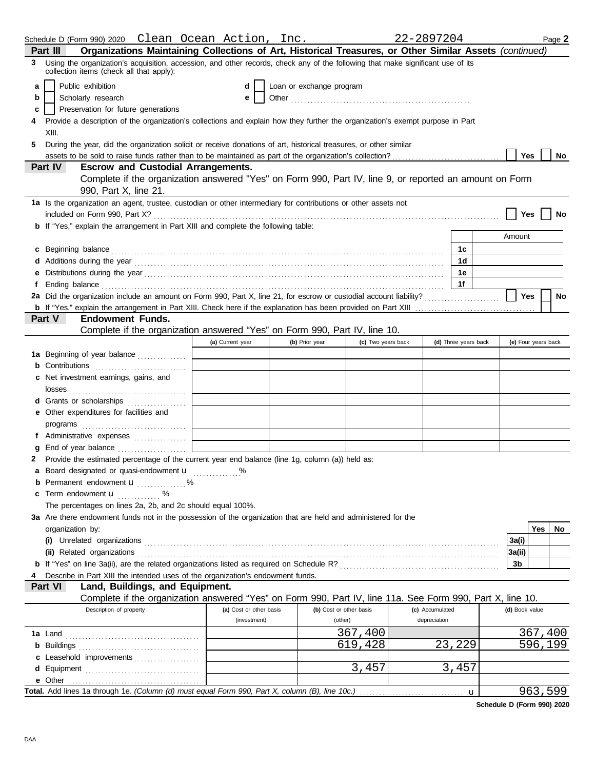|                                                                                                                                                                                  |                                                                                                                                                                                                                                      |                         |  |                          |                    | 22-2897204      |                      |                     |         | Page 2    |
|----------------------------------------------------------------------------------------------------------------------------------------------------------------------------------|--------------------------------------------------------------------------------------------------------------------------------------------------------------------------------------------------------------------------------------|-------------------------|--|--------------------------|--------------------|-----------------|----------------------|---------------------|---------|-----------|
|                                                                                                                                                                                  | Organizations Maintaining Collections of Art, Historical Treasures, or Other Similar Assets (continued)<br>Part III                                                                                                                  |                         |  |                          |                    |                 |                      |                     |         |           |
| Using the organization's acquisition, accession, and other records, check any of the following that make significant use of its<br>3<br>collection items (check all that apply): |                                                                                                                                                                                                                                      |                         |  |                          |                    |                 |                      |                     |         |           |
| a                                                                                                                                                                                | Public exhibition                                                                                                                                                                                                                    | d                       |  | Loan or exchange program |                    |                 |                      |                     |         |           |
| b                                                                                                                                                                                | Scholarly research                                                                                                                                                                                                                   | e                       |  |                          |                    |                 |                      |                     |         |           |
| c                                                                                                                                                                                | Preservation for future generations                                                                                                                                                                                                  |                         |  |                          |                    |                 |                      |                     |         |           |
|                                                                                                                                                                                  | Provide a description of the organization's collections and explain how they further the organization's exempt purpose in Part                                                                                                       |                         |  |                          |                    |                 |                      |                     |         |           |
|                                                                                                                                                                                  | XIII.                                                                                                                                                                                                                                |                         |  |                          |                    |                 |                      |                     |         |           |
| 5.                                                                                                                                                                               | During the year, did the organization solicit or receive donations of art, historical treasures, or other similar                                                                                                                    |                         |  |                          |                    |                 |                      |                     |         |           |
|                                                                                                                                                                                  |                                                                                                                                                                                                                                      |                         |  |                          |                    |                 |                      | Yes                 |         | No        |
|                                                                                                                                                                                  | Part IV<br><b>Escrow and Custodial Arrangements.</b>                                                                                                                                                                                 |                         |  |                          |                    |                 |                      |                     |         |           |
|                                                                                                                                                                                  | Complete if the organization answered "Yes" on Form 990, Part IV, line 9, or reported an amount on Form<br>990, Part X, line 21.                                                                                                     |                         |  |                          |                    |                 |                      |                     |         |           |
|                                                                                                                                                                                  | 1a Is the organization an agent, trustee, custodian or other intermediary for contributions or other assets not                                                                                                                      |                         |  |                          |                    |                 |                      |                     |         |           |
|                                                                                                                                                                                  |                                                                                                                                                                                                                                      |                         |  |                          |                    |                 |                      | Yes                 |         | No        |
|                                                                                                                                                                                  | b If "Yes," explain the arrangement in Part XIII and complete the following table:                                                                                                                                                   |                         |  |                          |                    |                 |                      |                     |         |           |
|                                                                                                                                                                                  |                                                                                                                                                                                                                                      |                         |  |                          |                    |                 |                      | Amount              |         |           |
|                                                                                                                                                                                  | c Beginning balance <b>contract to the contract of the contract of the contract of the contract of the contract of the contract of the contract of the contract of the contract of the contract of the contract of the contract </b> |                         |  |                          |                    |                 | 1c                   |                     |         |           |
|                                                                                                                                                                                  |                                                                                                                                                                                                                                      |                         |  |                          |                    |                 | 1 <sub>d</sub>       |                     |         |           |
|                                                                                                                                                                                  |                                                                                                                                                                                                                                      |                         |  |                          |                    |                 | 1e                   |                     |         |           |
|                                                                                                                                                                                  | Ending balance with the contract of the contract of the contract of the contract of the contract of the contract of the contract of the contract of the contract of the contract of the contract of the contract of the contra       |                         |  |                          |                    |                 | 1f                   |                     |         |           |
|                                                                                                                                                                                  |                                                                                                                                                                                                                                      |                         |  |                          |                    |                 |                      | Yes                 |         | <b>No</b> |
|                                                                                                                                                                                  |                                                                                                                                                                                                                                      |                         |  |                          |                    |                 |                      |                     |         |           |
|                                                                                                                                                                                  | <b>Endowment Funds.</b><br><b>Part V</b>                                                                                                                                                                                             |                         |  |                          |                    |                 |                      |                     |         |           |
|                                                                                                                                                                                  | Complete if the organization answered "Yes" on Form 990, Part IV, line 10.                                                                                                                                                           |                         |  |                          |                    |                 |                      |                     |         |           |
|                                                                                                                                                                                  |                                                                                                                                                                                                                                      | (a) Current year        |  | (b) Prior year           | (c) Two years back |                 | (d) Three years back | (e) Four years back |         |           |
|                                                                                                                                                                                  | 1a Beginning of year balance                                                                                                                                                                                                         |                         |  |                          |                    |                 |                      |                     |         |           |
|                                                                                                                                                                                  |                                                                                                                                                                                                                                      |                         |  |                          |                    |                 |                      |                     |         |           |
|                                                                                                                                                                                  | <b>b</b> Contributions <b>contributions</b>                                                                                                                                                                                          |                         |  |                          |                    |                 |                      |                     |         |           |
|                                                                                                                                                                                  | c Net investment earnings, gains, and                                                                                                                                                                                                |                         |  |                          |                    |                 |                      |                     |         |           |
|                                                                                                                                                                                  |                                                                                                                                                                                                                                      |                         |  |                          |                    |                 |                      |                     |         |           |
|                                                                                                                                                                                  | d Grants or scholarships                                                                                                                                                                                                             |                         |  |                          |                    |                 |                      |                     |         |           |
|                                                                                                                                                                                  | e Other expenditures for facilities and                                                                                                                                                                                              |                         |  |                          |                    |                 |                      |                     |         |           |
|                                                                                                                                                                                  |                                                                                                                                                                                                                                      |                         |  |                          |                    |                 |                      |                     |         |           |
|                                                                                                                                                                                  | f Administrative expenses                                                                                                                                                                                                            |                         |  |                          |                    |                 |                      |                     |         |           |
|                                                                                                                                                                                  |                                                                                                                                                                                                                                      |                         |  |                          |                    |                 |                      |                     |         |           |
| 2                                                                                                                                                                                | Provide the estimated percentage of the current year end balance (line 1g, column (a)) held as:                                                                                                                                      |                         |  |                          |                    |                 |                      |                     |         |           |
|                                                                                                                                                                                  | a Board designated or quasi-endowment u                                                                                                                                                                                              |                         |  |                          |                    |                 |                      |                     |         |           |
|                                                                                                                                                                                  | <b>b</b> Permanent endowment <b>u</b> %                                                                                                                                                                                              |                         |  |                          |                    |                 |                      |                     |         |           |
|                                                                                                                                                                                  | <b>c</b> Term endowment $\mathbf{u}$ %                                                                                                                                                                                               |                         |  |                          |                    |                 |                      |                     |         |           |
|                                                                                                                                                                                  | The percentages on lines 2a, 2b, and 2c should equal 100%.                                                                                                                                                                           |                         |  |                          |                    |                 |                      |                     |         |           |
|                                                                                                                                                                                  | 3a Are there endowment funds not in the possession of the organization that are held and administered for the                                                                                                                        |                         |  |                          |                    |                 |                      |                     |         |           |
|                                                                                                                                                                                  | organization by:                                                                                                                                                                                                                     |                         |  |                          |                    |                 |                      |                     | Yes     | No.       |
|                                                                                                                                                                                  |                                                                                                                                                                                                                                      |                         |  |                          |                    |                 |                      | 3a(i)               |         |           |
|                                                                                                                                                                                  | (ii) Related organizations <b>constants</b> and constant of the constant of the constant of the constant of the constant of the constant of the constant of the constant of the constant of the constant of the constant of the con  |                         |  |                          |                    |                 |                      | 3a(ii)              |         |           |
|                                                                                                                                                                                  |                                                                                                                                                                                                                                      |                         |  |                          |                    |                 |                      | 3b                  |         |           |
|                                                                                                                                                                                  | Describe in Part XIII the intended uses of the organization's endowment funds.                                                                                                                                                       |                         |  |                          |                    |                 |                      |                     |         |           |
|                                                                                                                                                                                  | Land, Buildings, and Equipment.<br>Part VI                                                                                                                                                                                           |                         |  |                          |                    |                 |                      |                     |         |           |
|                                                                                                                                                                                  | Complete if the organization answered "Yes" on Form 990, Part IV, line 11a. See Form 990, Part X, line 10.                                                                                                                           |                         |  |                          |                    |                 |                      |                     |         |           |
|                                                                                                                                                                                  | Description of property                                                                                                                                                                                                              | (a) Cost or other basis |  | (b) Cost or other basis  |                    | (c) Accumulated |                      | (d) Book value      |         |           |
|                                                                                                                                                                                  |                                                                                                                                                                                                                                      | (investment)            |  | (other)                  |                    | depreciation    |                      |                     |         |           |
|                                                                                                                                                                                  |                                                                                                                                                                                                                                      |                         |  |                          | 367,400            |                 |                      |                     | 367,400 |           |
|                                                                                                                                                                                  |                                                                                                                                                                                                                                      |                         |  |                          | 619,428            |                 | 23,229               |                     | 596,199 |           |
|                                                                                                                                                                                  | c Leasehold improvements                                                                                                                                                                                                             |                         |  |                          |                    |                 |                      |                     |         |           |
|                                                                                                                                                                                  |                                                                                                                                                                                                                                      |                         |  |                          | 3,457              |                 | 3,457                |                     |         |           |
|                                                                                                                                                                                  |                                                                                                                                                                                                                                      |                         |  |                          |                    |                 |                      |                     |         |           |
|                                                                                                                                                                                  | Total. Add lines 1a through 1e. (Column (d) must equal Form 990, Part X, column (B), line 10c.)                                                                                                                                      |                         |  |                          |                    |                 | u                    |                     | 963,599 |           |
|                                                                                                                                                                                  |                                                                                                                                                                                                                                      |                         |  |                          |                    |                 |                      |                     |         |           |

**Schedule D (Form 990) 2020**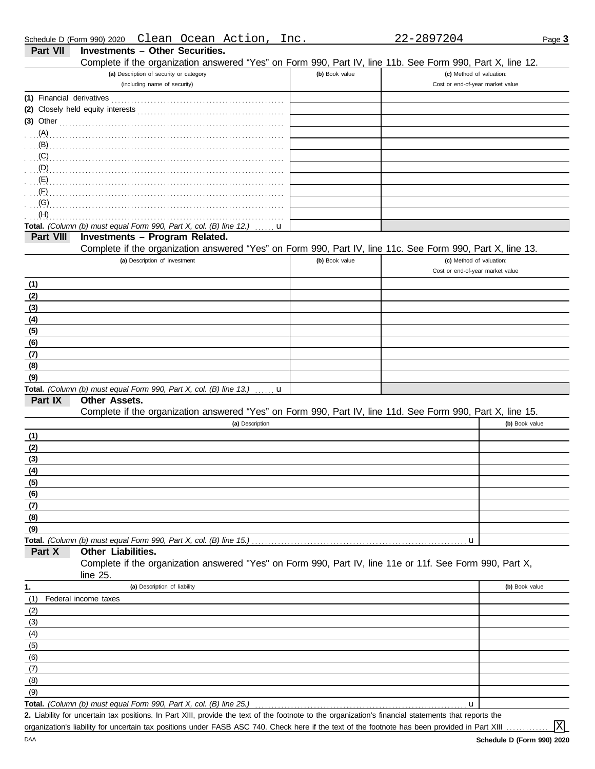| Schedule D (Form 990) 2020 Clean Ocean Action, Inc. |  |  | 22-2897204 |
|-----------------------------------------------------|--|--|------------|
| Part VII<br>Investments – Other Securities.         |  |  |            |

|            | Complete if the organization answered "Yes" on Form 990, Part IV, line 11b. See Form 990, Part X, line 12. |                |                                  |                |
|------------|------------------------------------------------------------------------------------------------------------|----------------|----------------------------------|----------------|
|            | (a) Description of security or category                                                                    | (b) Book value | (c) Method of valuation:         |                |
|            | (including name of security)                                                                               |                | Cost or end-of-year market value |                |
|            |                                                                                                            |                |                                  |                |
|            | (2) Closely held equity interests                                                                          |                |                                  |                |
|            | (3) Other $\ldots$ $\ldots$ $\ldots$ $\ldots$                                                              |                |                                  |                |
| $(A)$ .    |                                                                                                            |                |                                  |                |
| (B)        |                                                                                                            |                |                                  |                |
| (C)        |                                                                                                            |                |                                  |                |
| (D)        |                                                                                                            |                |                                  |                |
| (E)        |                                                                                                            |                |                                  |                |
| (F)        |                                                                                                            |                |                                  |                |
| (G)<br>(H) |                                                                                                            |                |                                  |                |
|            | Total. (Column (b) must equal Form 990, Part X, col. (B) line 12.)<br>u                                    |                |                                  |                |
| Part VIII  | Investments - Program Related.                                                                             |                |                                  |                |
|            | Complete if the organization answered "Yes" on Form 990, Part IV, line 11c. See Form 990, Part X, line 13. |                |                                  |                |
|            | (a) Description of investment                                                                              | (b) Book value | (c) Method of valuation:         |                |
|            |                                                                                                            |                | Cost or end-of-year market value |                |
| (1)        |                                                                                                            |                |                                  |                |
| (2)        |                                                                                                            |                |                                  |                |
| (3)        |                                                                                                            |                |                                  |                |
| (4)        |                                                                                                            |                |                                  |                |
| (5)        |                                                                                                            |                |                                  |                |
| (6)        |                                                                                                            |                |                                  |                |
| (7)        |                                                                                                            |                |                                  |                |
| (8)        |                                                                                                            |                |                                  |                |
| (9)        |                                                                                                            |                |                                  |                |
|            | Total. (Column (b) must equal Form 990, Part X, col. (B) line 13.)<br>u                                    |                |                                  |                |
| Part IX    | <b>Other Assets.</b>                                                                                       |                |                                  |                |
|            | Complete if the organization answered "Yes" on Form 990, Part IV, line 11d. See Form 990, Part X, line 15. |                |                                  |                |
|            | (a) Description                                                                                            |                |                                  | (b) Book value |
| (1)        |                                                                                                            |                |                                  |                |
| (2)        |                                                                                                            |                |                                  |                |
| (3)        |                                                                                                            |                |                                  |                |
| (4)        |                                                                                                            |                |                                  |                |
| (5)        |                                                                                                            |                |                                  |                |
| <u>(6)</u> |                                                                                                            |                |                                  |                |
| (7)        |                                                                                                            |                |                                  |                |
| (8)        |                                                                                                            |                |                                  |                |
| (9)        |                                                                                                            |                |                                  |                |
|            | Total. (Column (b) must equal Form 990, Part X, col. (B) line 15.)<br>Other Liabilities.                   |                | u                                |                |
| Part X     | Complete if the organization answered "Yes" on Form 990, Part IV, line 11e or 11f. See Form 990, Part X,   |                |                                  |                |
|            | line 25.                                                                                                   |                |                                  |                |
| 1.         | (a) Description of liability                                                                               |                |                                  | (b) Book value |
| (1)        | Federal income taxes                                                                                       |                |                                  |                |
| (2)        |                                                                                                            |                |                                  |                |
| (3)        |                                                                                                            |                |                                  |                |
| (4)        |                                                                                                            |                |                                  |                |
| (5)        |                                                                                                            |                |                                  |                |
| (6)        |                                                                                                            |                |                                  |                |
| (7)        |                                                                                                            |                |                                  |                |
| (8)        |                                                                                                            |                |                                  |                |
|            |                                                                                                            |                |                                  |                |
| (9)        | <b>Total.</b> (Column (b) must equal Form 990, Part X, col. (B) line 25.)                                  |                | u                                |                |

Liability for uncertain tax positions. In Part XIII, provide the text of the footnote to the organization's financial statements that reports the **2.** organization's liability for uncertain tax positions under FASB ASC 740. Check here if the text of the footnote has been provided in Part XIII

DAA

X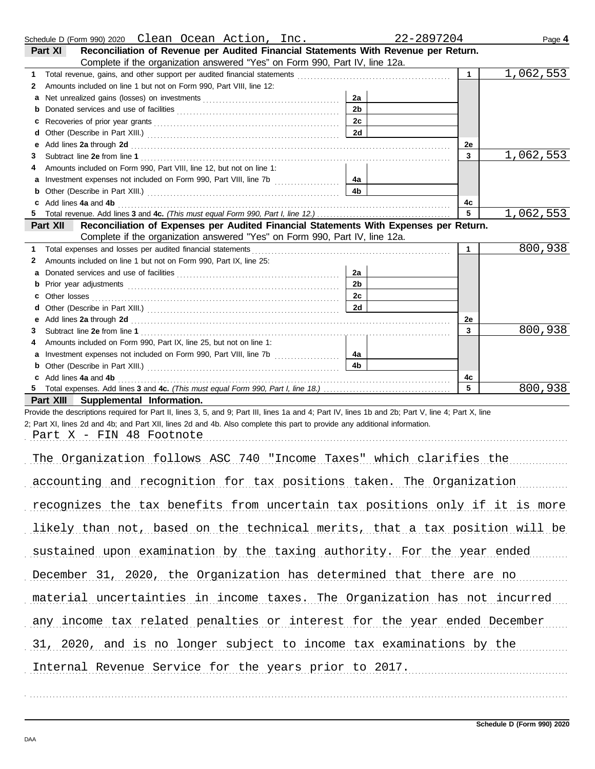|        | Schedule D (Form 990) 2020 Clean Ocean Action, Inc.                                                                                                                                                                            | 22-2897204           |              | Page 4    |
|--------|--------------------------------------------------------------------------------------------------------------------------------------------------------------------------------------------------------------------------------|----------------------|--------------|-----------|
|        | Reconciliation of Revenue per Audited Financial Statements With Revenue per Return.<br>Part XI                                                                                                                                 |                      |              |           |
|        | Complete if the organization answered "Yes" on Form 990, Part IV, line 12a.                                                                                                                                                    |                      |              |           |
| 1.     |                                                                                                                                                                                                                                |                      | $\mathbf{1}$ | 1,062,553 |
| 2      | Amounts included on line 1 but not on Form 990, Part VIII, line 12:                                                                                                                                                            |                      |              |           |
| a      |                                                                                                                                                                                                                                | 2a                   |              |           |
| b      |                                                                                                                                                                                                                                | 2 <sub>b</sub>       |              |           |
| с      |                                                                                                                                                                                                                                | 2c                   |              |           |
| d      |                                                                                                                                                                                                                                | 2d                   |              |           |
| е<br>3 | Add lines 2a through 2d [11] Add [12] Add [12] Add lines 2a through 2d [12] Add lines 2a through 2d [12] Add [12] Add [12] Add [12] Add [12] Add [12] Add [12] Add [12] Add [12] Add [12] Add [12] Add [12] Add [12] Add [12]  |                      | 2e<br>3      | 1,062,553 |
| 4      | Amounts included on Form 990, Part VIII, line 12, but not on line 1:                                                                                                                                                           |                      |              |           |
| а      |                                                                                                                                                                                                                                | 4a                   |              |           |
| b      |                                                                                                                                                                                                                                | 4b                   |              |           |
| c      | Add lines 4a and 4b                                                                                                                                                                                                            |                      | 4c           |           |
| 5      |                                                                                                                                                                                                                                |                      | 5            | 1,062,553 |
|        | Reconciliation of Expenses per Audited Financial Statements With Expenses per Return.<br>Part XII                                                                                                                              |                      |              |           |
|        | Complete if the organization answered "Yes" on Form 990, Part IV, line 12a.                                                                                                                                                    |                      |              |           |
| 1      | Total expenses and losses per audited financial statements                                                                                                                                                                     |                      | $\mathbf{1}$ | 800,938   |
| 2      | Amounts included on line 1 but not on Form 990, Part IX, line 25:                                                                                                                                                              |                      |              |           |
| а      |                                                                                                                                                                                                                                | 2a<br>2 <sub>b</sub> |              |           |
| b<br>с |                                                                                                                                                                                                                                | 2c                   |              |           |
| d      |                                                                                                                                                                                                                                | 2d                   |              |           |
| е      | Add lines 2a through 2d [11] Add [12] Add [12] Add lines 2a through 2d [12] Add lines 2a through 2d [12] Add [12] Add [12] Add [12] Add [12] Add [12] Add [12] Add [12] Add [12] Add [12] Add [12] Add [12] Add [12] Add [12]  |                      | 2e           |           |
| 3      |                                                                                                                                                                                                                                |                      | 3            | 800,938   |
| 4      | Amounts included on Form 990, Part IX, line 25, but not on line 1:                                                                                                                                                             |                      |              |           |
| а      | Investment expenses not included on Form 990, Part VIII, line 7b [100] [100] [100] [100] [100] [100] [100] [100] [100] [100] [100] [100] [100] [100] [100] [100] [100] [100] [100] [100] [100] [100] [100] [100] [100] [100] [ | 4a                   |              |           |
| b      |                                                                                                                                                                                                                                | 4b                   |              |           |
| c      | Add lines 4a and 4b                                                                                                                                                                                                            |                      | 4c<br>5      | 800,938   |
| 5.     | Part XIII Supplemental Information.                                                                                                                                                                                            |                      |              |           |
|        | Provide the descriptions required for Part II, lines 3, 5, and 9; Part III, lines 1a and 4; Part IV, lines 1b and 2b; Part V, line 4; Part X, line                                                                             |                      |              |           |
|        | 2; Part XI, lines 2d and 4b; and Part XII, lines 2d and 4b. Also complete this part to provide any additional information.                                                                                                     |                      |              |           |
|        | Part X - FIN 48 Footnote                                                                                                                                                                                                       |                      |              |           |
|        |                                                                                                                                                                                                                                |                      |              |           |
|        | The Organization follows ASC 740 "Income Taxes" which clarifies the                                                                                                                                                            |                      |              |           |
|        |                                                                                                                                                                                                                                |                      |              |           |
|        | accounting and recognition for tax positions taken. The Organization                                                                                                                                                           |                      |              |           |
|        |                                                                                                                                                                                                                                |                      |              |           |
|        | recognizes the tax benefits from uncertain tax positions only if it is more                                                                                                                                                    |                      |              |           |
|        | likely than not, based on the technical merits, that a tax position will be                                                                                                                                                    |                      |              |           |
|        |                                                                                                                                                                                                                                |                      |              |           |
|        | sustained upon examination by the taxing authority. For the year ended                                                                                                                                                         |                      |              |           |
|        |                                                                                                                                                                                                                                |                      |              |           |
|        | December 31, 2020, the Organization has determined that there are no                                                                                                                                                           |                      |              |           |
|        |                                                                                                                                                                                                                                |                      |              |           |
|        | material uncertainties in income taxes. The Organization has not incurred                                                                                                                                                      |                      |              |           |
|        |                                                                                                                                                                                                                                |                      |              |           |
|        | any income tax related penalties or interest for the year ended December                                                                                                                                                       |                      |              |           |
|        | 31, 2020, and is no longer subject to income tax examinations by the                                                                                                                                                           |                      |              |           |
|        |                                                                                                                                                                                                                                |                      |              |           |
|        | Internal Revenue Service for the years prior to 2017.                                                                                                                                                                          |                      |              |           |
|        |                                                                                                                                                                                                                                |                      |              |           |
|        |                                                                                                                                                                                                                                |                      |              |           |

. . . . . . . . . . . . . . . . . . . . . . . . . . . . . . . . . . . . . . . . . . . . . . . . . . . . . . . . . . . . . . . . . . . . . . . . . . . . . . . . . . . . . . . . . . . . . . . . . . . . . . . . . . . . . . . . . . . . . . . . . . . . . . . . . . . . . . . . . . . . . . . . . . . . . . . . . . . . . . . . . . . . . .

Page **4**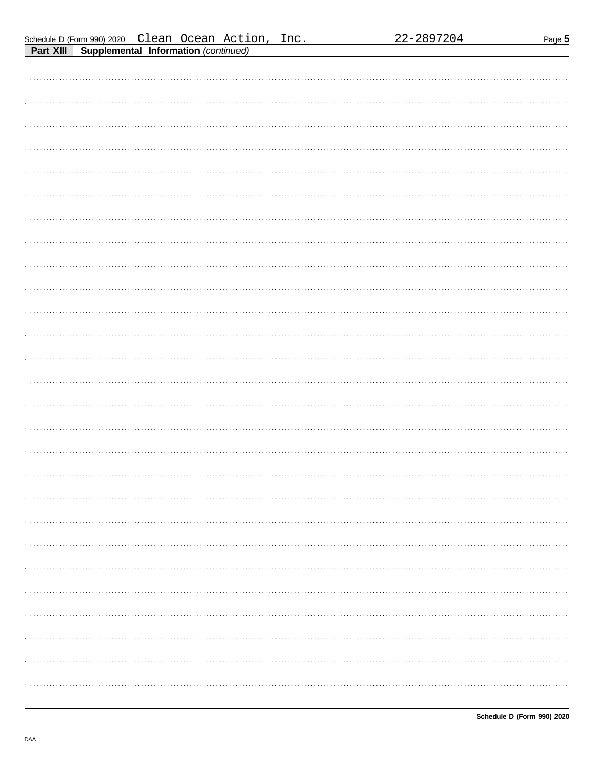Page 5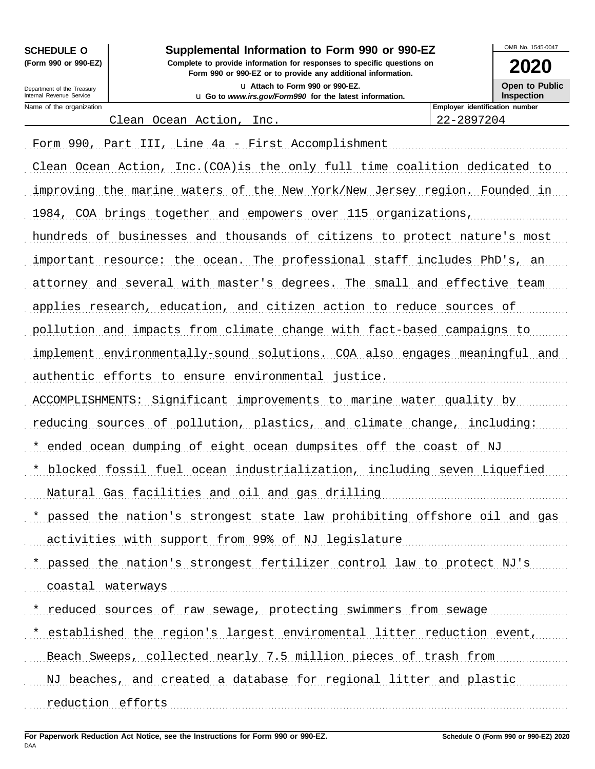**SCHEDULE O** 

(Form 990 or 990-EZ)

Department of the Treasury

Name of the organization

Internal Revenue Service

## Supplemental Information to Form 990 or 990-EZ

Complete to provide information for responses to specific questions on Form 990 or 990-EZ or to provide any additional information. La Attach to Form 990 or 990-EZ.

u Go to www.irs.gov/Form990 for the latest information.

OMB No 1545-0047

2020 **Open to Public** 

Inspection Employer identification number

22-2897204

Clean Ocean Action, Inc.

Form 990, Part III, Line 4a - First Accomplishment Clean Ocean Action, Inc.(COA)is the only full time coalition dedicated to improving the marine waters of the New York/New Jersey region. Founded in 1984, COA brings together and empowers over 115 organizations, hundreds of businesses and thousands of citizens to protect nature's most important resource: the ocean. The professional staff includes PhD's, an attorney and several with master's degrees. The small and effective team applies research, education, and citizen action to reduce sources of pollution and impacts from climate change with fact-based campaigns to implement environmentally-sound solutions. COA also engages meaningful and authentic efforts to ensure environmental justice. ACCOMPLISHMENTS: Significant improvements to marine water quality by reducing sources of pollution, plastics, and climate change, including: \* ended ocean dumping of eight ocean dumpsites off the coast of NJ \* blocked fossil fuel ocean industrialization, including seven Liquefied Natural Gas facilities and oil and gas drilling manuscription of the Matural Gas facilities and oil and gas drilling \* passed the nation's strongest state law prohibiting offshore oil and gas activities with support from 99% of NJ legislature \* passed the nation's strongest fertilizer control law to protect NJ's coastal waterways continuum contract coastal waterways \* reduced sources of raw sewage, protecting swimmers from sewage \* established the region's largest enviromental litter reduction event, Beach Sweeps, collected nearly 7.5 million pieces of trash from NJ beaches, and created a database for regional litter and plastic reduction efforts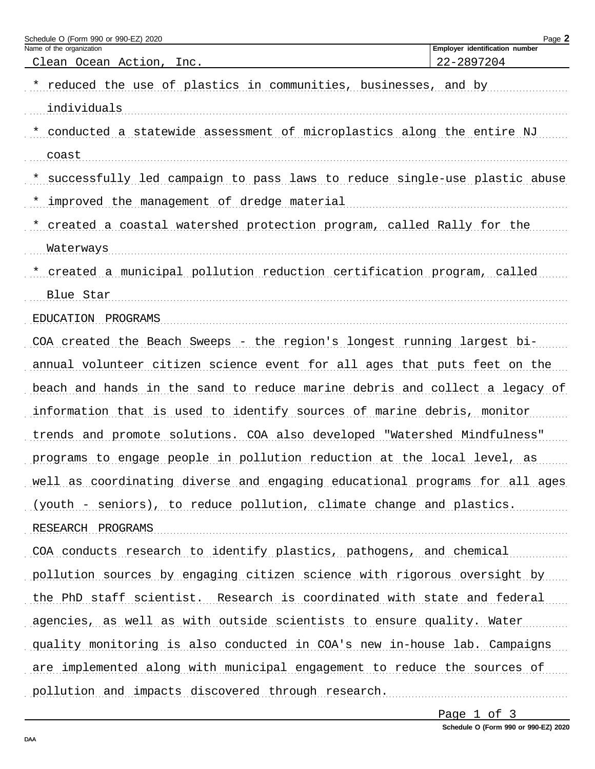| Schedule O (Form 990 or 990-EZ) 2020                                        | Page 2                                       |
|-----------------------------------------------------------------------------|----------------------------------------------|
| Name of the organization<br>Clean Ocean Action, Inc.                        | Employer identification number<br>22-2897204 |
| reduced the use of plastics in communities, businesses, and by              |                                              |
| individuals                                                                 |                                              |
| conducted a statewide assessment of microplastics along the entire NJ       |                                              |
| coast                                                                       |                                              |
| successfully led campaign to pass laws to reduce single-use plastic abuse   |                                              |
| improved the management of dredge material<br>$\star$                       |                                              |
| created a coastal watershed protection program, called Rally for the        |                                              |
| Waterways                                                                   |                                              |
| created a municipal pollution reduction certification program, called       |                                              |
| Blue Star                                                                   |                                              |
| EDUCATION PROGRAMS                                                          |                                              |
| COA created the Beach Sweeps - the region's longest running largest bi-     |                                              |
| annual volunteer citizen science event for all ages that puts feet on the   |                                              |
| beach and hands in the sand to reduce marine debris and collect a legacy of |                                              |
| information that is used to identify sources of marine debris, monitor      |                                              |
| trends and promote solutions. COA also developed "Watershed Mindfulness"    |                                              |
| programs to engage people in pollution reduction at the local level, as     |                                              |
| well as coordinating diverse and engaging educational programs for all ages |                                              |
| (youth - seniors), to reduce pollution, climate change and plastics.        |                                              |
| RESEARCH PROGRAMS                                                           |                                              |
| COA conducts research to identify plastics, pathogens, and chemical         |                                              |
| pollution sources by engaging citizen science with rigorous oversight by    |                                              |
| the PhD staff scientist. Research is coordinated with state and federal     |                                              |
| agencies, as well as with outside scientists to ensure quality. Water       |                                              |
| quality monitoring is also conducted in COA's new in-house lab. Campaigns   |                                              |
| are implemented along with municipal engagement to reduce the sources of    |                                              |
| pollution and impacts discovered through research.                          |                                              |

Page 1 of 3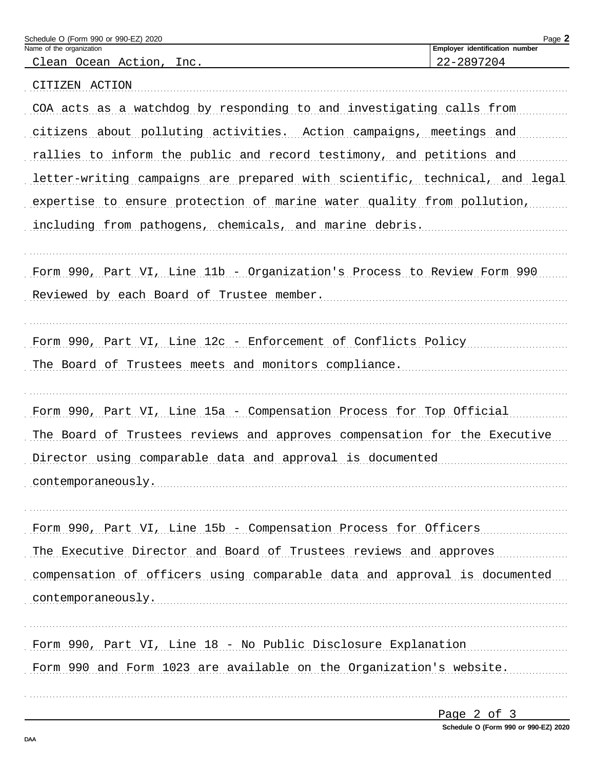| Schedule O (Form 990 or 990-EZ) 2020                                        | Page 2                                       |
|-----------------------------------------------------------------------------|----------------------------------------------|
| Name of the organization<br>Clean Ocean Action, Inc.                        | Employer identification number<br>22-2897204 |
| CITIZEN ACTION                                                              |                                              |
| COA acts as a watchdog by responding to and investigating calls from        |                                              |
| citizens about polluting activities. Action campaigns, meetings and         |                                              |
| rallies to inform the public and record testimony, and petitions and        |                                              |
| letter-writing campaigns are prepared with scientific, technical, and legal |                                              |
| expertise to ensure protection of marine water quality from pollution,      |                                              |
| including from pathogens, chemicals, and marine debris.                     |                                              |
|                                                                             |                                              |
| Form 990, Part VI, Line 11b - Organization's Process to Review Form 990     |                                              |
| Reviewed by each Board of Trustee member.                                   |                                              |
|                                                                             |                                              |
| Form 990, Part VI, Line 12c - Enforcement of Conflicts Policy               |                                              |
| The Board of Trustees meets and monitors compliance.                        |                                              |
| Form 990, Part VI, Line 15a - Compensation Process for Top Official         |                                              |
| The Board of Trustees reviews and approves compensation for the Executive   |                                              |
| Director using comparable data and approval is documented                   |                                              |
| contemporaneously.                                                          |                                              |
|                                                                             |                                              |
| Form 990, Part VI, Line 15b - Compensation Process for Officers             |                                              |
| The Executive Director and Board of Trustees reviews and approves           |                                              |
| compensation of officers using comparable data and approval is documented   |                                              |
| contemporaneously.                                                          |                                              |
|                                                                             |                                              |
| Form 990, Part VI, Line 18 - No Public Disclosure Explanation               |                                              |
| Form 990 and Form 1023 are available on the Organization's website.         |                                              |
|                                                                             |                                              |

Page 2 of 3

Schedule O (Form 990 or 990-EZ) 2020